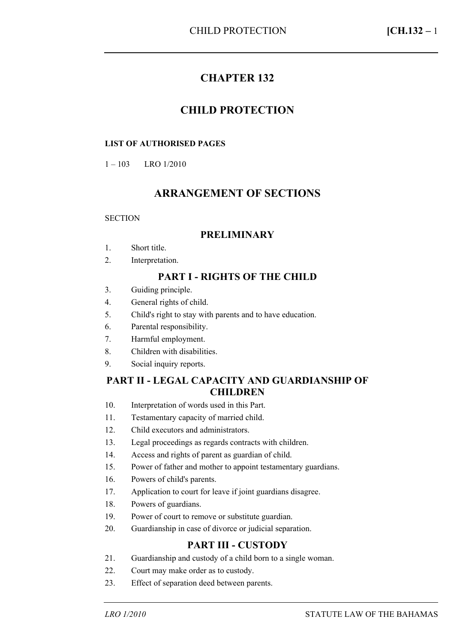# **CHAPTER 132**

## **CHILD PROTECTION**

#### **LIST OF AUTHORISED PAGES**

1 – 103 LRO 1/2010

# **ARRANGEMENT OF SECTIONS**

#### **SECTION**

#### **PRELIMINARY**

- 1. Short title.
- 2. Interpretation.

## **PART I - RIGHTS OF THE CHILD**

- 3. Guiding principle.
- 4. General rights of child.
- 5. Child's right to stay with parents and to have education.
- 6. Parental responsibility.
- 7. Harmful employment.
- 8. Children with disabilities.
- 9. Social inquiry reports.

#### **PART II - LEGAL CAPACITY AND GUARDIANSHIP OF CHILDREN**

- 10. Interpretation of words used in this Part.
- 11. Testamentary capacity of married child.
- 12. Child executors and administrators.
- 13. Legal proceedings as regards contracts with children.
- 14. Access and rights of parent as guardian of child.
- 15. Power of father and mother to appoint testamentary guardians.
- 16. Powers of child's parents.
- 17. Application to court for leave if joint guardians disagree.
- 18. Powers of guardians.
- 19. Power of court to remove or substitute guardian.
- 20. Guardianship in case of divorce or judicial separation.

#### **PART III - CUSTODY**

- 21. Guardianship and custody of a child born to a single woman.
- 22. Court may make order as to custody.
- 23. Effect of separation deed between parents.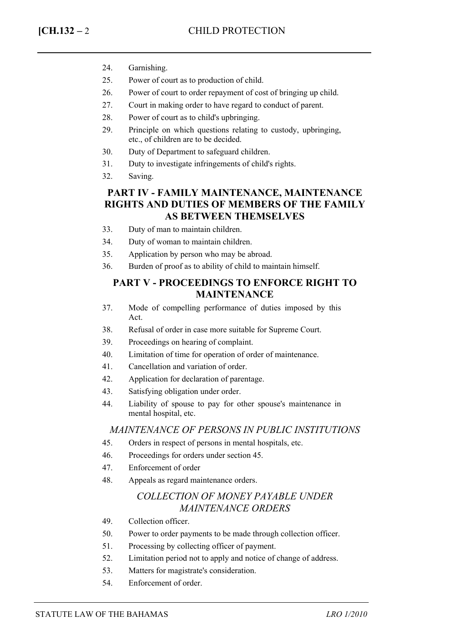- 24. Garnishing.
- 25. Power of court as to production of child.
- 26. Power of court to order repayment of cost of bringing up child.
- 27. Court in making order to have regard to conduct of parent.
- 28. Power of court as to child's upbringing.
- 29. Principle on which questions relating to custody, upbringing, etc., of children are to be decided.
- 30. Duty of Department to safeguard children.
- 31. Duty to investigate infringements of child's rights.
- 32. Saving.

## **PART IV - FAMILY MAINTENANCE, MAINTENANCE RIGHTS AND DUTIES OF MEMBERS OF THE FAMILY AS BETWEEN THEMSELVES**

- 33. Duty of man to maintain children.
- 34. Duty of woman to maintain children.
- 35. Application by person who may be abroad.
- 36. Burden of proof as to ability of child to maintain himself.

#### **PART V - PROCEEDINGS TO ENFORCE RIGHT TO MAINTENANCE**

- 37. Mode of compelling performance of duties imposed by this Act.
- 38. Refusal of order in case more suitable for Supreme Court.
- 39. Proceedings on hearing of complaint.
- 40. Limitation of time for operation of order of maintenance.
- 41. Cancellation and variation of order.
- 42. Application for declaration of parentage.
- 43. Satisfying obligation under order.
- 44. Liability of spouse to pay for other spouse's maintenance in mental hospital, etc.

#### *MAINTENANCE OF PERSONS IN PUBLIC INSTITUTIONS*

- 45. Orders in respect of persons in mental hospitals, etc.
- 46. Proceedings for orders under section 45.
- 47. Enforcement of order
- 48. Appeals as regard maintenance orders.

## *COLLECTION OF MONEY PAYABLE UNDER MAINTENANCE ORDERS*

- 49. Collection officer.
- 50. Power to order payments to be made through collection officer.
- 51. Processing by collecting officer of payment.
- 52. Limitation period not to apply and notice of change of address.
- 53. Matters for magistrate's consideration.
- 54. Enforcement of order.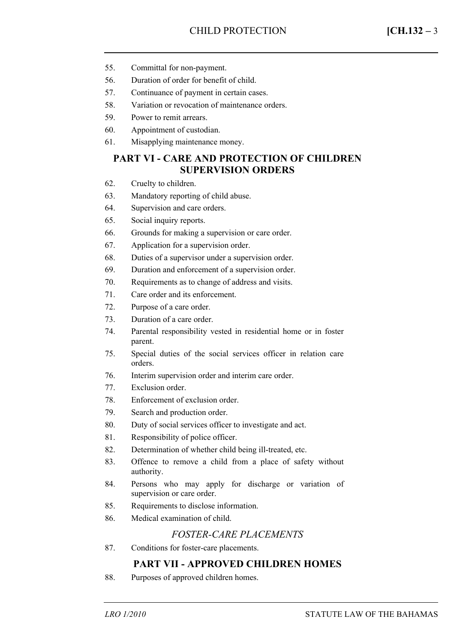- 55. Committal for non-payment.
- 56. Duration of order for benefit of child.
- 57. Continuance of payment in certain cases.
- 58. Variation or revocation of maintenance orders.
- 59. Power to remit arrears.
- 60. Appointment of custodian.
- 61. Misapplying maintenance money.

### **PART VI - CARE AND PROTECTION OF CHILDREN SUPERVISION ORDERS**

- 62. Cruelty to children.
- 63. Mandatory reporting of child abuse.
- 64. Supervision and care orders.
- 65. Social inquiry reports.
- 66. Grounds for making a supervision or care order.
- 67. Application for a supervision order.
- 68. Duties of a supervisor under a supervision order.
- 69. Duration and enforcement of a supervision order.
- 70. Requirements as to change of address and visits.
- 71. Care order and its enforcement.
- 72. Purpose of a care order.
- 73. Duration of a care order.
- 74. Parental responsibility vested in residential home or in foster parent.
- 75. Special duties of the social services officer in relation care orders.
- 76. Interim supervision order and interim care order.
- 77. Exclusion order.
- 78. Enforcement of exclusion order.
- 79. Search and production order.
- 80. Duty of social services officer to investigate and act.
- 81. Responsibility of police officer.
- 82. Determination of whether child being ill-treated, etc.
- 83. Offence to remove a child from a place of safety without authority.
- 84. Persons who may apply for discharge or variation of supervision or care order.
- 85. Requirements to disclose information.
- 86. Medical examination of child.

#### *FOSTER-CARE PLACEMENTS*

87. Conditions for foster-care placements.

## **PART VII - APPROVED CHILDREN HOMES**

88. Purposes of approved children homes.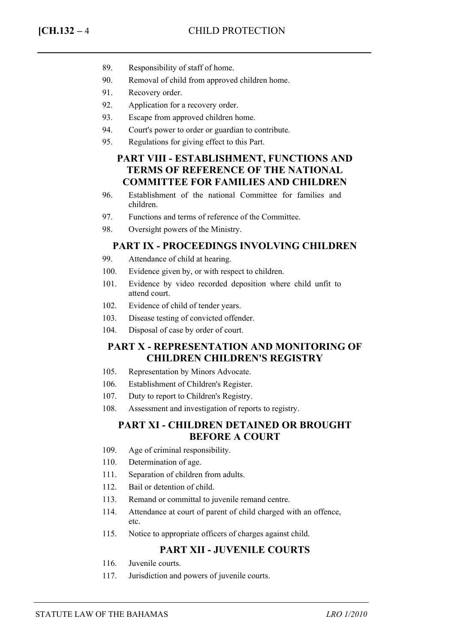- 89. Responsibility of staff of home.
- 90. Removal of child from approved children home.
- 91. Recovery order.
- 92. Application for a recovery order.
- 93. Escape from approved children home.
- 94. Court's power to order or guardian to contribute.
- 95. Regulations for giving effect to this Part.

### **PART VIII - ESTABLISHMENT, FUNCTIONS AND TERMS OF REFERENCE OF THE NATIONAL COMMITTEE FOR FAMILIES AND CHILDREN**

- 96. Establishment of the national Committee for families and children.
- 97. Functions and terms of reference of the Committee.
- 98. Oversight powers of the Ministry.

#### **PART IX - PROCEEDINGS INVOLVING CHILDREN**

- 99. Attendance of child at hearing.
- 100. Evidence given by, or with respect to children.
- 101. Evidence by video recorded deposition where child unfit to attend court.
- 102. Evidence of child of tender years.
- 103. Disease testing of convicted offender.
- 104. Disposal of case by order of court.

## **PART X - REPRESENTATION AND MONITORING OF CHILDREN CHILDREN'S REGISTRY**

- 105. Representation by Minors Advocate.
- 106. Establishment of Children's Register.
- 107. Duty to report to Children's Registry.
- 108. Assessment and investigation of reports to registry.

## **PART XI - CHILDREN DETAINED OR BROUGHT BEFORE A COURT**

- 109. Age of criminal responsibility.
- 110. Determination of age.
- 111. Separation of children from adults.
- 112. Bail or detention of child.
- 113. Remand or committal to juvenile remand centre.
- 114. Attendance at court of parent of child charged with an offence, etc.
- 115. Notice to appropriate officers of charges against child.

## **PART XII - JUVENILE COURTS**

- 116. Juvenile courts.
- 117. Jurisdiction and powers of juvenile courts.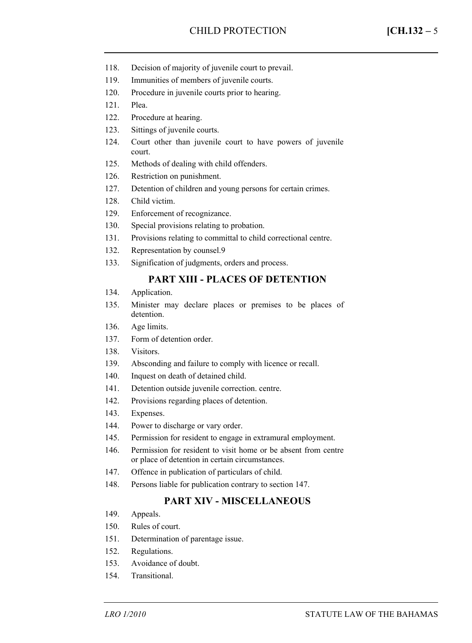- 118. Decision of majority of juvenile court to prevail.
- 119. Immunities of members of juvenile courts.
- 120. Procedure in juvenile courts prior to hearing.
- 121. Plea.
- 122. Procedure at hearing.
- 123. Sittings of juvenile courts.
- 124. Court other than juvenile court to have powers of juvenile court.
- 125. Methods of dealing with child offenders.
- 126. Restriction on punishment.
- 127. Detention of children and young persons for certain crimes.
- 128. Child victim.
- 129. Enforcement of recognizance.
- 130. Special provisions relating to probation.
- 131. Provisions relating to committal to child correctional centre.
- 132. Representation by counsel.9
- 133. Signification of judgments, orders and process.

#### **PART XIII - PLACES OF DETENTION**

- 134. Application.
- 135. Minister may declare places or premises to be places of detention.
- 136. Age limits.
- 137. Form of detention order.
- 138. Visitors.
- 139. Absconding and failure to comply with licence or recall.
- 140. Inquest on death of detained child.
- 141. Detention outside juvenile correction. centre.
- 142. Provisions regarding places of detention.
- 143. Expenses.
- 144. Power to discharge or vary order.
- 145. Permission for resident to engage in extramural employment.
- 146. Permission for resident to visit home or be absent from centre or place of detention in certain circumstances.
- 147. Offence in publication of particulars of child.
- 148. Persons liable for publication contrary to section 147.

#### **PART XIV - MISCELLANEOUS**

- 149. Appeals.
- 150. Rules of court.
- 151. Determination of parentage issue.
- 152. Regulations.
- 153. Avoidance of doubt.
- 154. Transitional.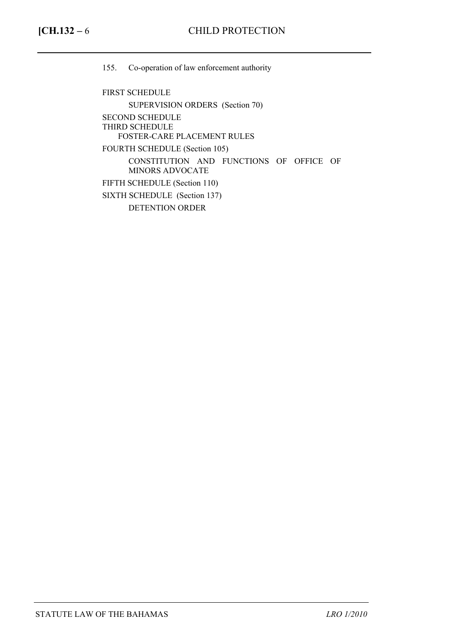155. Co-operation of law enforcement authority

FIRST SCHEDULE SUPERVISION ORDERS (Section 70) SECOND SCHEDULE THIRD SCHEDULE FOSTER-CARE PLACEMENT RULES FOURTH SCHEDULE (Section 105) CONSTITUTION AND FUNCTIONS OF OFFICE OF MINORS ADVOCATE FIFTH SCHEDULE (Section 110) SIXTH SCHEDULE (Section 137) DETENTION ORDER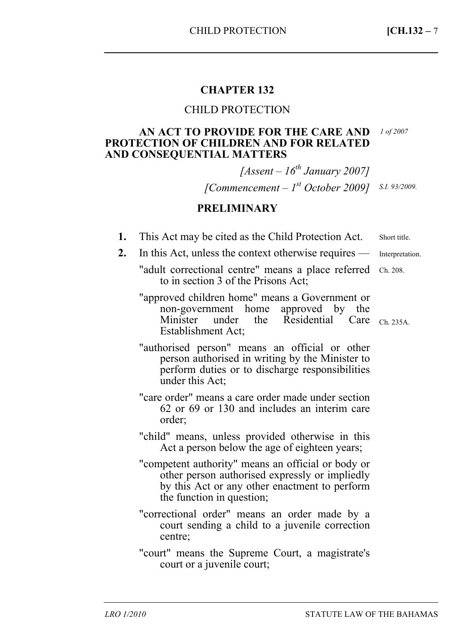# **CHAPTER 132**

## CHILD PROTECTION

### **AN ACT TO PROVIDE FOR THE CARE AND**  *1 of 2007*  **PROTECTION OF CHILDREN AND FOR RELATED AND CONSEQUENTIAL MATTERS**

*[Assent – 16th January 2007] [Commencement – 1st October 2009] S.I. 93/2009.* 

## **PRELIMINARY**

| This Act may be cited as the Child Protection Act.<br>ı. | Short title. |
|----------------------------------------------------------|--------------|
|----------------------------------------------------------|--------------|

2. In this Act, unless the context otherwise requires — Interpretation.

- "adult correctional centre" means a place referred Ch. 208. to in section 3 of the Prisons Act;
- "approved children home" means a Government or non-government home approved by the<br>Minister under the Residential Care Minister under the Residential Care Ch. 235A. Establishment Act;
- "authorised person" means an official or other person authorised in writing by the Minister to perform duties or to discharge responsibilities under this Act;
- "care order" means a care order made under section 62 or 69 or 130 and includes an interim care order;
- "child" means, unless provided otherwise in this Act a person below the age of eighteen years;
- "competent authority" means an official or body or other person authorised expressly or impliedly by this Act or any other enactment to perform the function in question;
- "correctional order" means an order made by a court sending a child to a juvenile correction centre;
- "court" means the Supreme Court, a magistrate's court or a juvenile court;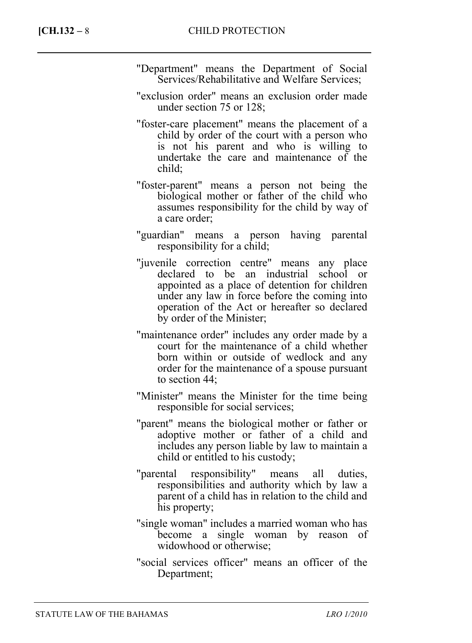- "Department" means the Department of Social Services/Rehabilitative and Welfare Services;
- "exclusion order" means an exclusion order made under section 75 or 128;
- "foster-care placement" means the placement of a child by order of the court with a person who is not his parent and who is willing to undertake the care and maintenance of the child;
- "foster-parent" means a person not being the biological mother or father of the child who assumes responsibility for the child by way of a care order;
- "guardian" means a person having parental responsibility for a child;
- "juvenile correction centre" means any place declared to be an industrial school or appointed as a place of detention for children under any law in force before the coming into operation of the Act or hereafter so declared by order of the Minister;
- "maintenance order" includes any order made by a court for the maintenance of a child whether born within or outside of wedlock and any order for the maintenance of a spouse pursuant to section 44;
- "Minister" means the Minister for the time being responsible for social services;
- "parent" means the biological mother or father or adoptive mother or father of a child and includes any person liable by law to maintain a child or entitled to his custody;
- "parental responsibility" means all duties, responsibilities and authority which by law a parent of a child has in relation to the child and his property;
- "single woman" includes a married woman who has become a single woman by reason of widowhood or otherwise;
- "social services officer" means an officer of the Department;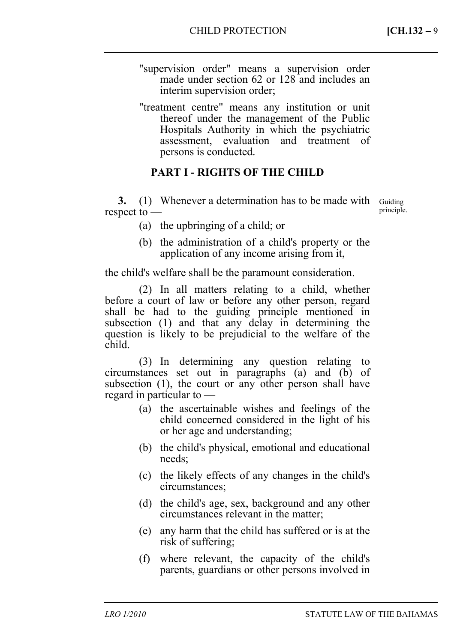- "supervision order" means a supervision order made under section 62 or 128 and includes an interim supervision order;
- "treatment centre" means any institution or unit thereof under the management of the Public Hospitals Authority in which the psychiatric assessment, evaluation and treatment of persons is conducted.

# **PART I - RIGHTS OF THE CHILD**

**3.** (1) Whenever a determination has to be made with Guiding respect to —

principle.

- (a) the upbringing of a child; or
- (b) the administration of a child's property or the application of any income arising from it,

the child's welfare shall be the paramount consideration.

(2) In all matters relating to a child, whether before a court of law or before any other person, regard shall be had to the guiding principle mentioned in subsection (1) and that any delay in determining the question is likely to be prejudicial to the welfare of the child.

(3) In determining any question relating to circumstances set out in paragraphs (a) and (b) of subsection (1), the court or any other person shall have regard in particular to —

- (a) the ascertainable wishes and feelings of the child concerned considered in the light of his or her age and understanding;
- (b) the child's physical, emotional and educational needs;
- (c) the likely effects of any changes in the child's circumstances;
- (d) the child's age, sex, background and any other circumstances relevant in the matter;
- (e) any harm that the child has suffered or is at the risk of suffering;
- (f) where relevant, the capacity of the child's parents, guardians or other persons involved in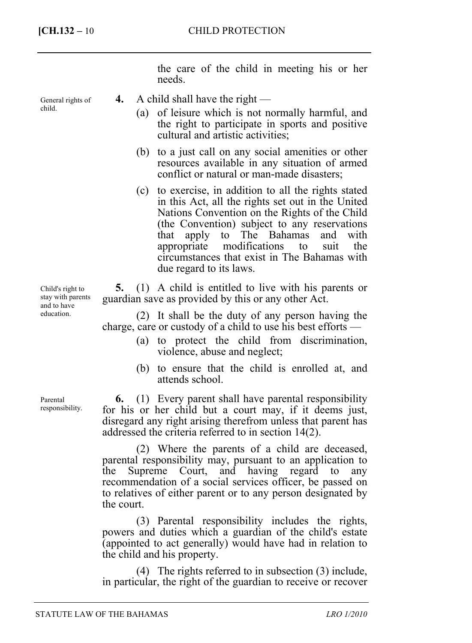General rights of

child.

the care of the child in meeting his or her needs.

- **4.** A child shall have the right
	- (a) of leisure which is not normally harmful, and the right to participate in sports and positive cultural and artistic activities;
	- (b) to a just call on any social amenities or other resources available in any situation of armed conflict or natural or man-made disasters;
	- (c) to exercise, in addition to all the rights stated in this Act, all the rights set out in the United Nations Convention on the Rights of the Child (the Convention) subject to any reservations that apply to The Bahamas and with appropriate modifications to suit the circumstances that exist in The Bahamas with due regard to its laws.

**5.** (1) A child is entitled to live with his parents or guardian save as provided by this or any other Act.

(2) It shall be the duty of any person having the charge, care or custody of a child to use his best efforts —

- (a) to protect the child from discrimination, violence, abuse and neglect;
- (b) to ensure that the child is enrolled at, and attends school.

**6.** (1) Every parent shall have parental responsibility for his or her child but a court may, if it deems just, disregard any right arising therefrom unless that parent has addressed the criteria referred to in section 14(2).

(2) Where the parents of a child are deceased, parental responsibility may, pursuant to an application to the Supreme Court, and having regard to any recommendation of a social services officer, be passed on to relatives of either parent or to any person designated by the court.

(3) Parental responsibility includes the rights, powers and duties which a guardian of the child's estate (appointed to act generally) would have had in relation to the child and his property.

(4) The rights referred to in subsection (3) include, in particular, the right of the guardian to receive or recover

Child's right to stay with parents and to have education.

Parental responsibility.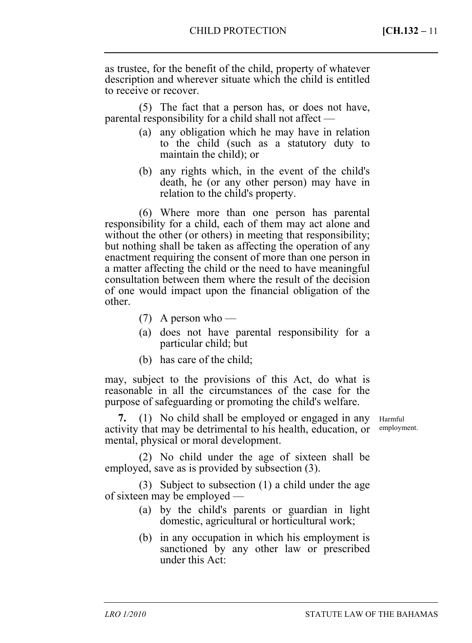as trustee, for the benefit of the child, property of whatever description and wherever situate which the child is entitled to receive or recover.

(5) The fact that a person has, or does not have, parental responsibility for a child shall not affect —

- (a) any obligation which he may have in relation to the child (such as a statutory duty to maintain the child); or
- (b) any rights which, in the event of the child's death, he (or any other person) may have in relation to the child's property.

(6) Where more than one person has parental responsibility for a child, each of them may act alone and without the other (or others) in meeting that responsibility; but nothing shall be taken as affecting the operation of any enactment requiring the consent of more than one person in a matter affecting the child or the need to have meaningful consultation between them where the result of the decision of one would impact upon the financial obligation of the other.

- (7) A person who —
- (a) does not have parental responsibility for a particular child; but
- (b) has care of the child;

may, subject to the provisions of this Act, do what is reasonable in all the circumstances of the case for the purpose of safeguarding or promoting the child's welfare.

**7.** (1) No child shall be employed or engaged in any activity that may be detrimental to his health, education, or mental, physical or moral development.

(2) No child under the age of sixteen shall be employed, save as is provided by subsection (3).

(3) Subject to subsection (1) a child under the age of sixteen may be employed —

- (a) by the child's parents or guardian in light domestic, agricultural or horticultural work;
- (b) in any occupation in which his employment is sanctioned by any other law or prescribed under this Act:

Harmful employment.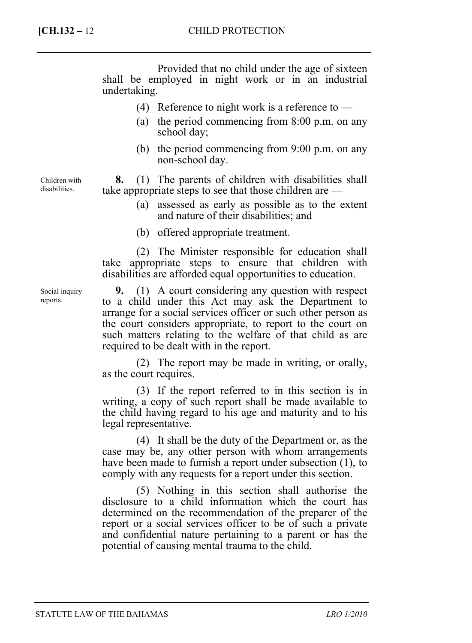Provided that no child under the age of sixteen shall be employed in night work or in an industrial undertaking.

- (4) Reference to night work is a reference to  $-$
- (a) the period commencing from 8:00 p.m. on any school day;
- (b) the period commencing from 9:00 p.m. on any non-school day.

**8.** (1) The parents of children with disabilities shall take appropriate steps to see that those children are —

- (a) assessed as early as possible as to the extent and nature of their disabilities; and
- (b) offered appropriate treatment.

(2) The Minister responsible for education shall take appropriate steps to ensure that children with disabilities are afforded equal opportunities to education.

**9.** (1) A court considering any question with respect to a child under this Act may ask the Department to arrange for a social services officer or such other person as the court considers appropriate, to report to the court on such matters relating to the welfare of that child as are required to be dealt with in the report.

(2) The report may be made in writing, or orally, as the court requires.

(3) If the report referred to in this section is in writing, a copy of such report shall be made available to the child having regard to his age and maturity and to his legal representative.

(4) It shall be the duty of the Department or, as the case may be, any other person with whom arrangements have been made to furnish a report under subsection (1), to comply with any requests for a report under this section.

(5) Nothing in this section shall authorise the disclosure to a child information which the court has determined on the recommendation of the preparer of the report or a social services officer to be of such a private and confidential nature pertaining to a parent or has the potential of causing mental trauma to the child.

Children with disabilities.

Social inquiry reports.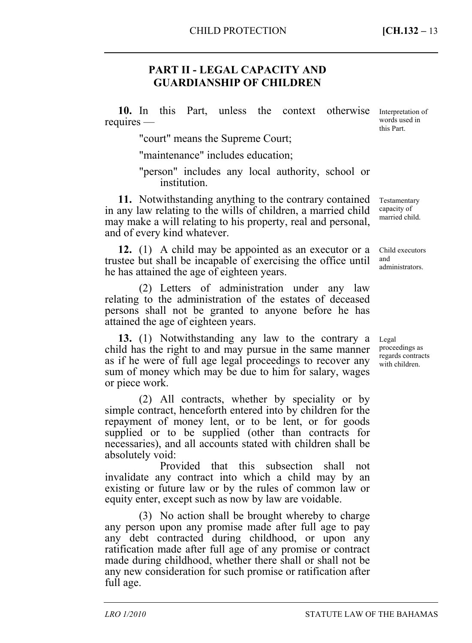# **PART II - LEGAL CAPACITY AND GUARDIANSHIP OF CHILDREN**

**10.** In this Part, unless the context requires otherwise Interpretation of words used in this Part.

"court" means the Supreme Court;

"maintenance" includes education;

"person" includes any local authority, school or institution.

**11.** Notwithstanding anything to the contrary contained in any law relating to the wills of children, a married child may make a will relating to his property, real and personal, and of every kind whatever.

**12.** (1) A child may be appointed as an executor or a trustee but shall be incapable of exercising the office until he has attained the age of eighteen years. Child executors

(2) Letters of administration under any law relating to the administration of the estates of deceased persons shall not be granted to anyone before he has attained the age of eighteen years.

**13.** (1) Notwithstanding any law to the contrary a child has the right to and may pursue in the same manner as if he were of full age legal proceedings to recover any sum of money which may be due to him for salary, wages or piece work.

(2) All contracts, whether by speciality or by simple contract, henceforth entered into by children for the repayment of money lent, or to be lent, or for goods supplied or to be supplied (other than contracts for necessaries), and all accounts stated with children shall be absolutely void:

Provided that this subsection shall not invalidate any contract into which a child may by an existing or future law or by the rules of common law or equity enter, except such as now by law are voidable.

(3) No action shall be brought whereby to charge any person upon any promise made after full age to pay any debt contracted during childhood, or upon any ratification made after full age of any promise or contract made during childhood, whether there shall or shall not be any new consideration for such promise or ratification after full age.

Testamentary capacity of married child.

and administrators.

Legal proceedings as regards contracts with children.

*LRO 1/2010* STATUTE LAW OF THE BAHAMAS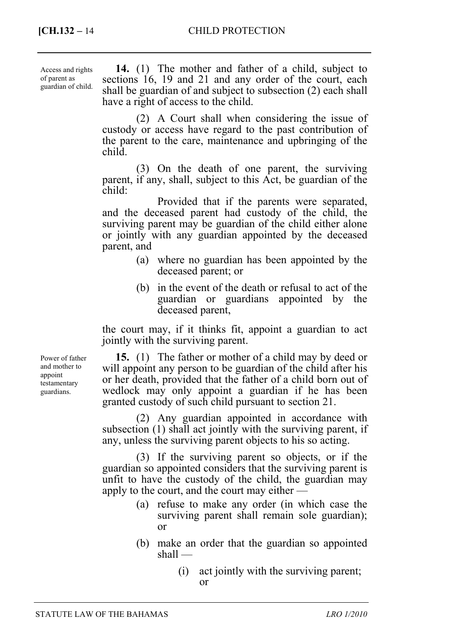| Access and rights<br>of parent as<br>guardian of child. | 14. (1) The mother and father of a child, subject to<br>sections 16, 19 and 21 and any order of the court, each<br>shall be guardian of and subject to subsection (2) each shall<br>have a right of access to the child. |
|---------------------------------------------------------|--------------------------------------------------------------------------------------------------------------------------------------------------------------------------------------------------------------------------|
|                                                         | (2) A Court shall when considering the issue of<br>custody or access have regard to the past contribution of<br>the parent to the care, maintenance and upbringing of the<br>child.                                      |
|                                                         | (3) On the death of one parent, the surviving<br>reagant if only aboll quiring to this A at he quantion of the                                                                                                           |

the surviving parent, if any, shall, subject to this Act, be guardian of the child: Provided that if the parents were separated,

and the deceased parent had custody of the child, the surviving parent may be guardian of the child either alone or jointly with any guardian appointed by the deceased parent, and

- (a) where no guardian has been appointed by the deceased parent; or
- (b) in the event of the death or refusal to act of the guardian or guardians appointed by the deceased parent,

the court may, if it thinks fit, appoint a guardian to act jointly with the surviving parent.

**15.** (1) The father or mother of a child may by deed or will appoint any person to be guardian of the child after his or her death, provided that the father of a child born out of wedlock may only appoint a guardian if he has been granted custody of such child pursuant to section 21.

(2) Any guardian appointed in accordance with subsection (1) shall act jointly with the surviving parent, if any, unless the surviving parent objects to his so acting.

(3) If the surviving parent so objects, or if the guardian so appointed considers that the surviving parent is unfit to have the custody of the child, the guardian may apply to the court, and the court may either —

- (a) refuse to make any order (in which case the surviving parent shall remain sole guardian); or
- (b) make an order that the guardian so appointed shall —
	- (i) act jointly with the surviving parent; or

Power of father and mother to appoint testamentary guardians.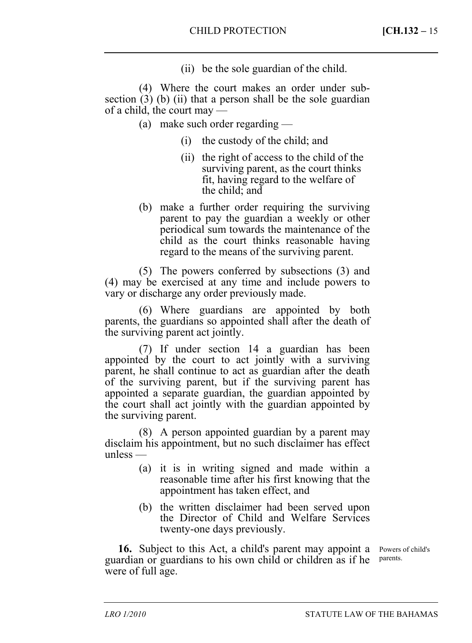(ii) be the sole guardian of the child.

(4) Where the court makes an order under subsection  $(3)$  (b) (ii) that a person shall be the sole guardian of a child, the court may —

- (a) make such order regarding
	- (i) the custody of the child; and
	- (ii) the right of access to the child of the surviving parent, as the court thinks fit, having regard to the welfare of the child; and
- (b) make a further order requiring the surviving parent to pay the guardian a weekly or other periodical sum towards the maintenance of the child as the court thinks reasonable having regard to the means of the surviving parent.

(5) The powers conferred by subsections (3) and (4) may be exercised at any time and include powers to vary or discharge any order previously made.

(6) Where guardians are appointed by both parents, the guardians so appointed shall after the death of the surviving parent act jointly.

(7) If under section 14 a guardian has been appointed by the court to act jointly with a surviving parent, he shall continue to act as guardian after the death of the surviving parent, but if the surviving parent has appointed a separate guardian, the guardian appointed by the court shall act jointly with the guardian appointed by the surviving parent.

(8) A person appointed guardian by a parent may disclaim his appointment, but no such disclaimer has effect unless —

- (a) it is in writing signed and made within a reasonable time after his first knowing that the appointment has taken effect, and
- (b) the written disclaimer had been served upon the Director of Child and Welfare Services twenty-one days previously.

16. Subject to this Act, a child's parent may appoint a Powers of child's guardian or guardians to his own child or children as if he parents. were of full age.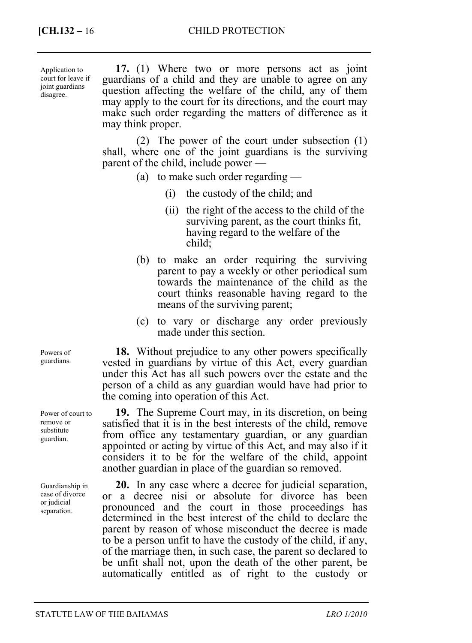Application to court for leave if joint guardians disagree.

**17.** (1) Where two or more persons act as joint guardians of a child and they are unable to agree on any question affecting the welfare of the child, any of them may apply to the court for its directions, and the court may make such order regarding the matters of difference as it may think proper.

(2) The power of the court under subsection (1) shall, where one of the joint guardians is the surviving parent of the child, include power —

- (a) to make such order regarding
	- (i) the custody of the child; and
	- (ii) the right of the access to the child of the surviving parent, as the court thinks fit, having regard to the welfare of the child;
- (b) to make an order requiring the surviving parent to pay a weekly or other periodical sum towards the maintenance of the child as the court thinks reasonable having regard to the means of the surviving parent;
- (c) to vary or discharge any order previously made under this section.

**18.** Without prejudice to any other powers specifically vested in guardians by virtue of this Act, every guardian under this Act has all such powers over the estate and the person of a child as any guardian would have had prior to the coming into operation of this Act.

**19.** The Supreme Court may, in its discretion, on being satisfied that it is in the best interests of the child, remove from office any testamentary guardian, or any guardian appointed or acting by virtue of this Act, and may also if it considers it to be for the welfare of the child, appoint another guardian in place of the guardian so removed.

**20.** In any case where a decree for judicial separation, or a decree nisi or absolute for divorce has been pronounced and the court in those proceedings has determined in the best interest of the child to declare the parent by reason of whose misconduct the decree is made to be a person unfit to have the custody of the child, if any, of the marriage then, in such case, the parent so declared to be unfit shall not, upon the death of the other parent, be automatically entitled as of right to the custody or

Powers of guardians.

Power of court to remove or substitute guardian.

Guardianship in case of divorce or judicial separation.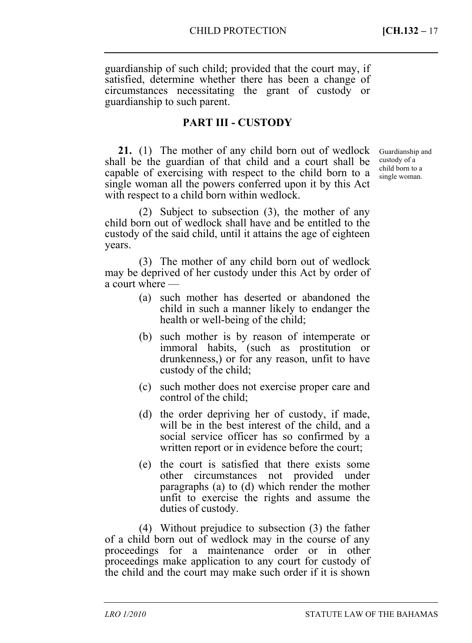guardianship of such child; provided that the court may, if satisfied, determine whether there has been a change of circumstances necessitating the grant of custody or guardianship to such parent.

## **PART III - CUSTODY**

**21.** (1) The mother of any child born out of wedlock shall be the guardian of that child and a court shall be capable of exercising with respect to the child born to a single woman all the powers conferred upon it by this Act with respect to a child born within wedlock.

Guardianship and custody of a child born to a single woman.

(2) Subject to subsection (3), the mother of any child born out of wedlock shall have and be entitled to the custody of the said child, until it attains the age of eighteen years.

(3) The mother of any child born out of wedlock may be deprived of her custody under this Act by order of a court where —

- (a) such mother has deserted or abandoned the child in such a manner likely to endanger the health or well-being of the child;
- (b) such mother is by reason of intemperate or immoral habits, (such as prostitution or drunkenness,) or for any reason, unfit to have custody of the child;
- (c) such mother does not exercise proper care and control of the child;
- (d) the order depriving her of custody, if made, will be in the best interest of the child, and a social service officer has so confirmed by a written report or in evidence before the court;
- (e) the court is satisfied that there exists some other circumstances not provided under paragraphs (a) to (d) which render the mother unfit to exercise the rights and assume the duties of custody.

(4) Without prejudice to subsection (3) the father of a child born out of wedlock may in the course of any proceedings for a maintenance order or in other proceedings make application to any court for custody of the child and the court may make such order if it is shown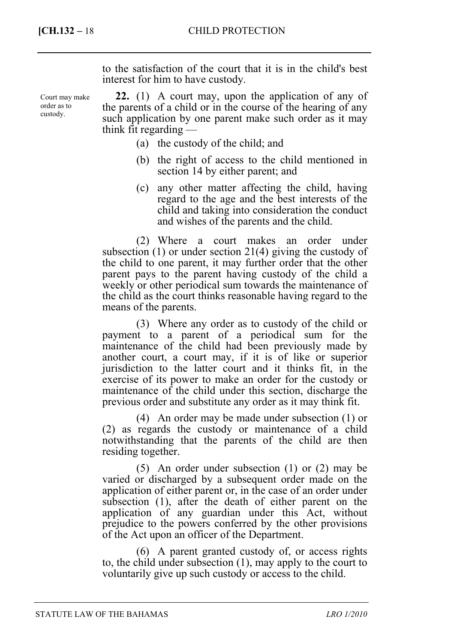Court may make order as to custody.

to the satisfaction of the court that it is in the child's best interest for him to have custody.

**22.** (1) A court may, upon the application of any of the parents of a child or in the course of the hearing of any such application by one parent make such order as it may think fit regarding —

- (a) the custody of the child; and
- (b) the right of access to the child mentioned in section 14 by either parent; and
- (c) any other matter affecting the child, having regard to the age and the best interests of the child and taking into consideration the conduct and wishes of the parents and the child.

(2) Where a court makes an order under subsection (1) or under section 21(4) giving the custody of the child to one parent, it may further order that the other parent pays to the parent having custody of the child a weekly or other periodical sum towards the maintenance of the child as the court thinks reasonable having regard to the means of the parents.

(3) Where any order as to custody of the child or payment to a parent of a periodical sum for the maintenance of the child had been previously made by another court, a court may, if it is of like or superior jurisdiction to the latter court and it thinks fit, in the exercise of its power to make an order for the custody or maintenance of the child under this section, discharge the previous order and substitute any order as it may think fit.

(4) An order may be made under subsection (1) or (2) as regards the custody or maintenance of a child notwithstanding that the parents of the child are then residing together.

(5) An order under subsection (1) or (2) may be varied or discharged by a subsequent order made on the application of either parent or, in the case of an order under subsection (1), after the death of either parent on the application of any guardian under this Act, without prejudice to the powers conferred by the other provisions of the Act upon an officer of the Department.

(6) A parent granted custody of, or access rights to, the child under subsection (1), may apply to the court to voluntarily give up such custody or access to the child.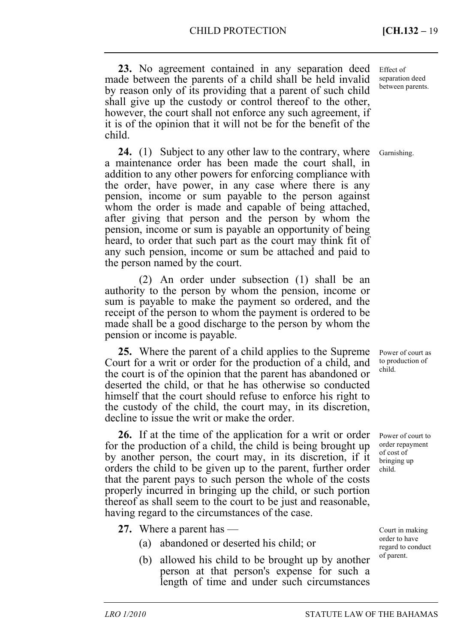**23.** No agreement contained in any separation deed made between the parents of a child shall be held invalid by reason only of its providing that a parent of such child shall give up the custody or control thereof to the other, however, the court shall not enforce any such agreement, if it is of the opinion that it will not be for the benefit of the child.

**24.** (1) Subject to any other law to the contrary, where a maintenance order has been made the court shall, in addition to any other powers for enforcing compliance with the order, have power, in any case where there is any pension, income or sum payable to the person against whom the order is made and capable of being attached, after giving that person and the person by whom the pension, income or sum is payable an opportunity of being heard, to order that such part as the court may think fit of any such pension, income or sum be attached and paid to the person named by the court.

(2) An order under subsection (1) shall be an authority to the person by whom the pension, income or sum is payable to make the payment so ordered, and the receipt of the person to whom the payment is ordered to be made shall be a good discharge to the person by whom the pension or income is payable.

**25.** Where the parent of a child applies to the Supreme Court for a writ or order for the production of a child, and the court is of the opinion that the parent has abandoned or deserted the child, or that he has otherwise so conducted himself that the court should refuse to enforce his right to the custody of the child, the court may, in its discretion, decline to issue the writ or make the order.

**26.** If at the time of the application for a writ or order for the production of a child, the child is being brought up by another person, the court may, in its discretion, if it orders the child to be given up to the parent, further order that the parent pays to such person the whole of the costs properly incurred in bringing up the child, or such portion thereof as shall seem to the court to be just and reasonable, having regard to the circumstances of the case.

- **27.** Where a parent has
	- (a) abandoned or deserted his child; or
	- (b) allowed his child to be brought up by another person at that person's expense for such a length of time and under such circumstances

Effect of separation deed between parents.

Garnishing.

Power of court as to production of child.

Power of court to order repayment of cost of bringing up child.

Court in making order to have regard to conduct of parent.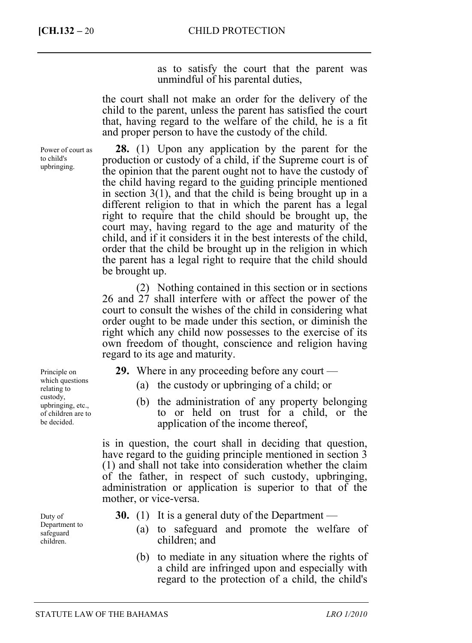**[CH.132 –** 20 CHILD PROTECTION

as to satisfy the court that the parent was unmindful of his parental duties,

the court shall not make an order for the delivery of the child to the parent, unless the parent has satisfied the court that, having regard to the welfare of the child, he is a fit and proper person to have the custody of the child.

Power of court as to child's upbringing.

**28.** (1) Upon any application by the parent for the production or custody of a child, if the Supreme court is of the opinion that the parent ought not to have the custody of the child having regard to the guiding principle mentioned in section 3(1), and that the child is being brought up in a different religion to that in which the parent has a legal right to require that the child should be brought up, the court may, having regard to the age and maturity of the child, and if it considers it in the best interests of the child, order that the child be brought up in the religion in which the parent has a legal right to require that the child should be brought up.

(2) Nothing contained in this section or in sections 26 and 27 shall interfere with or affect the power of the court to consult the wishes of the child in considering what order ought to be made under this section, or diminish the right which any child now possesses to the exercise of its own freedom of thought, conscience and religion having regard to its age and maturity.

- **29.** Where in any proceeding before any court
	- (a) the custody or upbringing of a child; or
	- (b) the administration of any property belonging to or held on trust for a child, or the application of the income thereof,

is in question, the court shall in deciding that question, have regard to the guiding principle mentioned in section 3 (1) and shall not take into consideration whether the claim of the father, in respect of such custody, upbringing, administration or application is superior to that of the mother, or vice-versa.

- **30.** (1) It is a general duty of the Department
	- (a) to safeguard and promote the welfare of children; and
	- (b) to mediate in any situation where the rights of a child are infringed upon and especially with regard to the protection of a child, the child's

Principle on which questions relating to custody, upbringing, etc., of children are to be decided.

Duty of Department to safeguard children.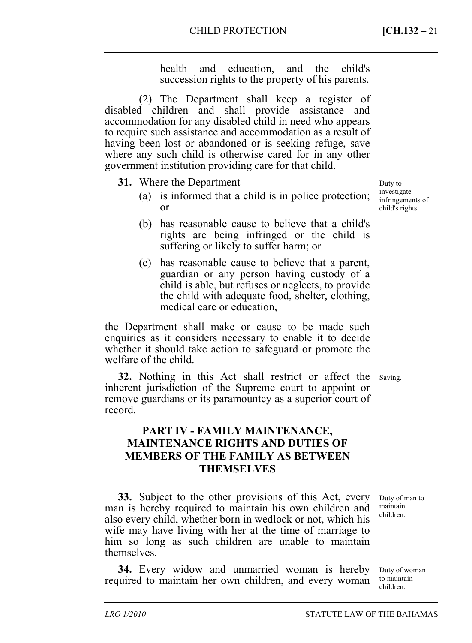health and education, and the child's succession rights to the property of his parents.

(2) The Department shall keep a register of disabled children and shall provide assistance and accommodation for any disabled child in need who appears to require such assistance and accommodation as a result of having been lost or abandoned or is seeking refuge, save where any such child is otherwise cared for in any other government institution providing care for that child.

- **31.** Where the Department
	- (a) is informed that a child is in police protection; or
	- (b) has reasonable cause to believe that a child's rights are being infringed or the child is suffering or likely to suffer harm; or
	- (c) has reasonable cause to believe that a parent, guardian or any person having custody of a child is able, but refuses or neglects, to provide the child with adequate food, shelter, clothing, medical care or education,

the Department shall make or cause to be made such enquiries as it considers necessary to enable it to decide whether it should take action to safeguard or promote the welfare of the child.

**32.** Nothing in this Act shall restrict or affect the Saving. inherent jurisdiction of the Supreme court to appoint or remove guardians or its paramountcy as a superior court of record.

# **PART IV - FAMILY MAINTENANCE, MAINTENANCE RIGHTS AND DUTIES OF MEMBERS OF THE FAMILY AS BETWEEN THEMSELVES**

**33.** Subject to the other provisions of this Act, every man is hereby required to maintain his own children and also every child, whether born in wedlock or not, which his wife may have living with her at the time of marriage to him so long as such children are unable to maintain themselves.

**34.** Every widow and unmarried woman is hereby required to maintain her own children, and every woman

Duty of man to maintain children.

Duty of woman to maintain children.

Duty to investigate infringements of child's rights.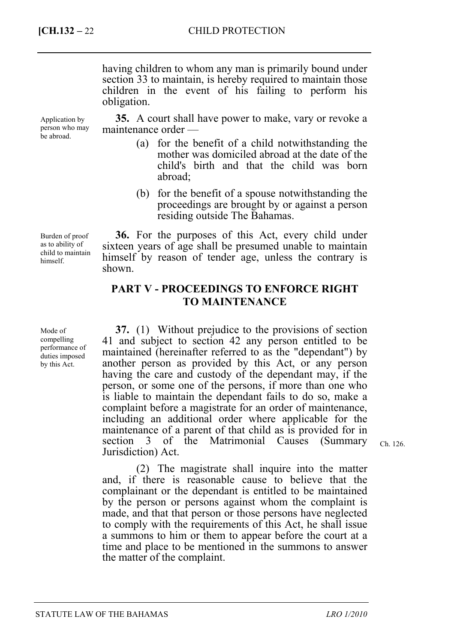having children to whom any man is primarily bound under section 33 to maintain, is hereby required to maintain those children in the event of his failing to perform his obligation.

**35.** A court shall have power to make, vary or revoke a maintenance order —

- (a) for the benefit of a child notwithstanding the mother was domiciled abroad at the date of the child's birth and that the child was born abroad;
- (b) for the benefit of a spouse notwithstanding the proceedings are brought by or against a person residing outside The Bahamas.

**36.** For the purposes of this Act, every child under sixteen years of age shall be presumed unable to maintain himself by reason of tender age, unless the contrary is shown.

# **PART V - PROCEEDINGS TO ENFORCE RIGHT TO MAINTENANCE**

**37.** (1) Without prejudice to the provisions of section 41 and subject to section 42 any person entitled to be maintained (hereinafter referred to as the "dependant") by another person as provided by this Act, or any person having the care and custody of the dependant may, if the person, or some one of the persons, if more than one who is liable to maintain the dependant fails to do so, make a complaint before a magistrate for an order of maintenance, including an additional order where applicable for the maintenance of a parent of that child as is provided for in section 3 of the Matrimonial Causes (Summary Jurisdiction) Act.

Ch. 126.

(2) The magistrate shall inquire into the matter and, if there is reasonable cause to believe that the complainant or the dependant is entitled to be maintained by the person or persons against whom the complaint is made, and that that person or those persons have neglected to comply with the requirements of this Act, he shall issue a summons to him or them to appear before the court at a time and place to be mentioned in the summons to answer the matter of the complaint.

Application by person who may be abroad.

Burden of proof as to ability of child to maintain himself.

Mode of compelling performance of duties imposed by this Act.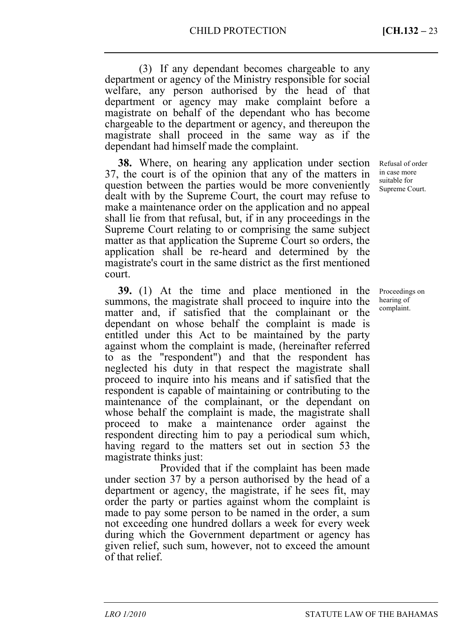(3) If any dependant becomes chargeable to any department or agency of the Ministry responsible for social welfare, any person authorised by the head of that department or agency may make complaint before a magistrate on behalf of the dependant who has become chargeable to the department or agency, and thereupon the magistrate shall proceed in the same way as if the dependant had himself made the complaint.

**38.** Where, on hearing any application under section 37, the court is of the opinion that any of the matters in question between the parties would be more conveniently dealt with by the Supreme Court, the court may refuse to make a maintenance order on the application and no appeal shall lie from that refusal, but, if in any proceedings in the Supreme Court relating to or comprising the same subject matter as that application the Supreme Court so orders, the application shall be re-heard and determined by the magistrate's court in the same district as the first mentioned court.

**39.** (1) At the time and place mentioned in the summons, the magistrate shall proceed to inquire into the matter and, if satisfied that the complainant or the dependant on whose behalf the complaint is made is entitled under this Act to be maintained by the party against whom the complaint is made, (hereinafter referred to as the "respondent") and that the respondent has neglected his duty in that respect the magistrate shall proceed to inquire into his means and if satisfied that the respondent is capable of maintaining or contributing to the maintenance of the complainant, or the dependant on whose behalf the complaint is made, the magistrate shall proceed to make a maintenance order against the respondent directing him to pay a periodical sum which, having regard to the matters set out in section 53 the magistrate thinks just:

Provided that if the complaint has been made under section 37 by a person authorised by the head of a department or agency, the magistrate, if he sees fit, may order the party or parties against whom the complaint is made to pay some person to be named in the order, a sum not exceeding one hundred dollars a week for every week during which the Government department or agency has given relief, such sum, however, not to exceed the amount of that relief.

Refusal of order in case more suitable for Supreme Court.

Proceedings on hearing of complaint.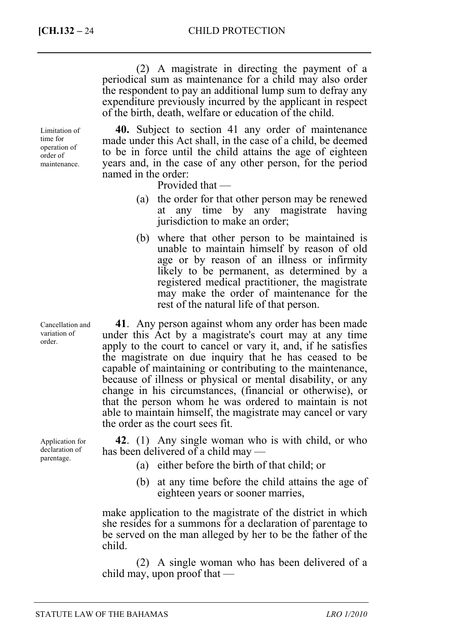(2) A magistrate in directing the payment of a periodical sum as maintenance for a child may also order the respondent to pay an additional lump sum to defray any expenditure previously incurred by the applicant in respect of the birth, death, welfare or education of the child.

**40.** Subject to section 41 any order of maintenance made under this Act shall, in the case of a child, be deemed to be in force until the child attains the age of eighteen years and, in the case of any other person, for the period named in the order:

Provided that —

- (a) the order for that other person may be renewed at any time by any magistrate having jurisdiction to make an order;
- (b) where that other person to be maintained is unable to maintain himself by reason of old age or by reason of an illness or infirmity likely to be permanent, as determined by a registered medical practitioner, the magistrate may make the order of maintenance for the rest of the natural life of that person.

**41**. Any person against whom any order has been made under this Act by a magistrate's court may at any time apply to the court to cancel or vary it, and, if he satisfies the magistrate on due inquiry that he has ceased to be capable of maintaining or contributing to the maintenance, because of illness or physical or mental disability, or any change in his circumstances, (financial or otherwise), or that the person whom he was ordered to maintain is not able to maintain himself, the magistrate may cancel or vary the order as the court sees fit.

**42**. (1) Any single woman who is with child, or who has been delivered of a child may —

- (a) either before the birth of that child; or
- (b) at any time before the child attains the age of eighteen years or sooner marries,

make application to the magistrate of the district in which she resides for a summons for a declaration of parentage to be served on the man alleged by her to be the father of the child.

(2) A single woman who has been delivered of a child may, upon proof that —

Limitation of time for operation of order of maintenance.

Cancellation and variation of order.

Application for declaration of parentage.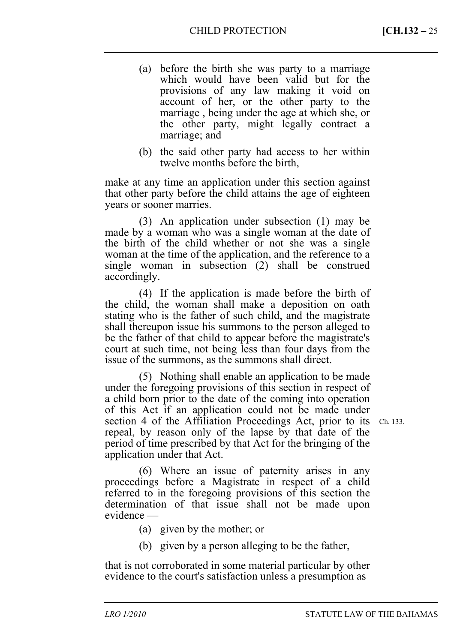- (a) before the birth she was party to a marriage which would have been valid but for the provisions of any law making it void on account of her, or the other party to the marriage , being under the age at which she, or the other party, might legally contract a marriage; and
- (b) the said other party had access to her within twelve months before the birth,

make at any time an application under this section against that other party before the child attains the age of eighteen years or sooner marries.

(3) An application under subsection (1) may be made by a woman who was a single woman at the date of the birth of the child whether or not she was a single woman at the time of the application, and the reference to a single woman in subsection (2) shall be construed accordingly.

(4) If the application is made before the birth of the child, the woman shall make a deposition on oath stating who is the father of such child, and the magistrate shall thereupon issue his summons to the person alleged to be the father of that child to appear before the magistrate's court at such time, not being less than four days from the issue of the summons, as the summons shall direct.

(5) Nothing shall enable an application to be made under the foregoing provisions of this section in respect of a child born prior to the date of the coming into operation of this Act if an application could not be made under section 4 of the Affiliation Proceedings Act, prior to its Ch. 133. repeal, by reason only of the lapse by that date of the period of time prescribed by that Act for the bringing of the application under that Act.

(6) Where an issue of paternity arises in any proceedings before a Magistrate in respect of a child referred to in the foregoing provisions of this section the determination of that issue shall not be made upon evidence —

- (a) given by the mother; or
- (b) given by a person alleging to be the father,

that is not corroborated in some material particular by other evidence to the court's satisfaction unless a presumption as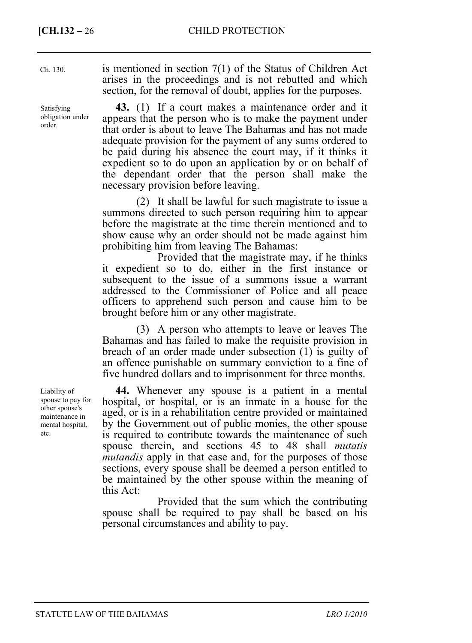| Ch. 130.                                 | is mentioned in section $7(1)$ of the Status of Children Act<br>arises in the proceedings and is not rebutted and which<br>section, for the removal of doubt, applies for the purposes.                                                                                                                                                                                                                                                                          |
|------------------------------------------|------------------------------------------------------------------------------------------------------------------------------------------------------------------------------------------------------------------------------------------------------------------------------------------------------------------------------------------------------------------------------------------------------------------------------------------------------------------|
| Satisfying<br>obligation under<br>order. | 43. (1) If a court makes a maintenance order and it<br>appears that the person who is to make the payment under<br>that order is about to leave The Bahamas and has not made<br>adequate provision for the payment of any sums ordered to<br>be paid during his absence the court may, if it thinks it<br>expedient so to do upon an application by or on behalf of<br>the dependant order that the person shall make the<br>necessary provision before leaving. |
|                                          | (2) It shall be lawful for such magistrate to issue a                                                                                                                                                                                                                                                                                                                                                                                                            |

summons directed to such person requiring him to appear before the magistrate at the time therein mentioned and to show cause why an order should not be made against him prohibiting him from leaving The Bahamas:

Provided that the magistrate may, if he thinks it expedient so to do, either in the first instance or subsequent to the issue of a summons issue a warrant addressed to the Commissioner of Police and all peace officers to apprehend such person and cause him to be brought before him or any other magistrate.

(3) A person who attempts to leave or leaves The Bahamas and has failed to make the requisite provision in breach of an order made under subsection (1) is guilty of an offence punishable on summary conviction to a fine of five hundred dollars and to imprisonment for three months.

**44.** Whenever any spouse is a patient in a mental hospital, or hospital, or is an inmate in a house for the aged, or is in a rehabilitation centre provided or maintained by the Government out of public monies, the other spouse is required to contribute towards the maintenance of such spouse therein, and sections 45 to 48 shall *mutatis mutandis* apply in that case and, for the purposes of those sections, every spouse shall be deemed a person entitled to be maintained by the other spouse within the meaning of this Act:

Provided that the sum which the contributing spouse shall be required to pay shall be based on his personal circumstances and ability to pay.

Liability of spouse to pay for other spouse's maintenance in mental hospital, etc.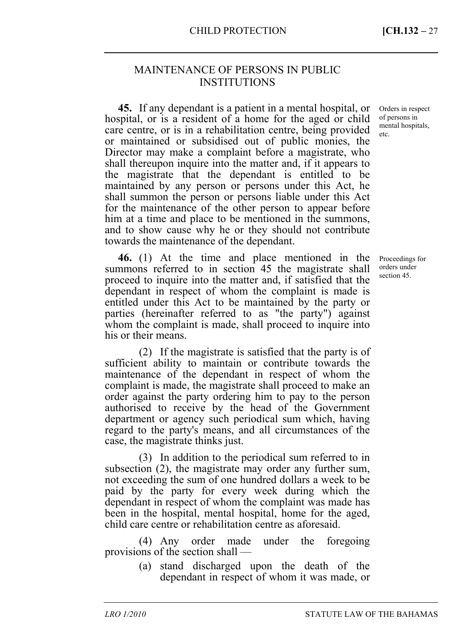## MAINTENANCE OF PERSONS IN PUBLIC INSTITUTIONS

**45.** If any dependant is a patient in a mental hospital, or hospital, or is a resident of a home for the aged or child care centre, or is in a rehabilitation centre, being provided or maintained or subsidised out of public monies, the Director may make a complaint before a magistrate, who shall thereupon inquire into the matter and, if it appears to the magistrate that the dependant is entitled to be maintained by any person or persons under this Act, he shall summon the person or persons liable under this Act for the maintenance of the other person to appear before him at a time and place to be mentioned in the summons, and to show cause why he or they should not contribute towards the maintenance of the dependant.

**46.** (1) At the time and place mentioned in the summons referred to in section 45 the magistrate shall proceed to inquire into the matter and, if satisfied that the dependant in respect of whom the complaint is made is entitled under this Act to be maintained by the party or parties (hereinafter referred to as "the party") against whom the complaint is made, shall proceed to inquire into his or their means.

(2) If the magistrate is satisfied that the party is of sufficient ability to maintain or contribute towards the maintenance of the dependant in respect of whom the complaint is made, the magistrate shall proceed to make an order against the party ordering him to pay to the person authorised to receive by the head of the Government department or agency such periodical sum which, having regard to the party's means, and all circumstances of the case, the magistrate thinks just.

(3) In addition to the periodical sum referred to in subsection (2), the magistrate may order any further sum, not exceeding the sum of one hundred dollars a week to be paid by the party for every week during which the dependant in respect of whom the complaint was made has been in the hospital, mental hospital, home for the aged, child care centre or rehabilitation centre as aforesaid.

(4) Any order made under the foregoing provisions of the section shall —

> (a) stand discharged upon the death of the dependant in respect of whom it was made, or

Orders in respect of persons in mental hospitals, etc.

Proceedings for orders under section 45.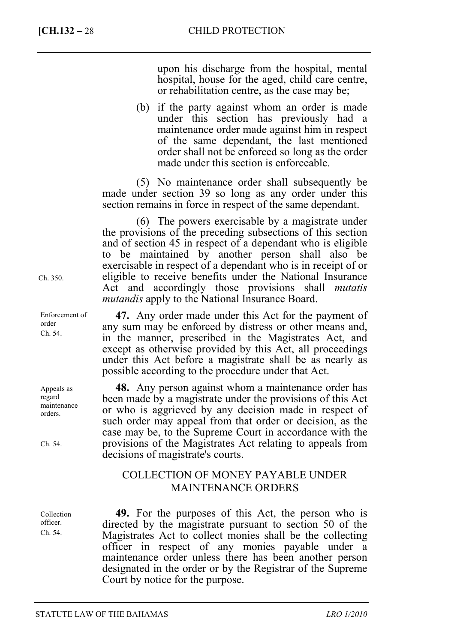upon his discharge from the hospital, mental hospital, house for the aged, child care centre, or rehabilitation centre, as the case may be;

(b) if the party against whom an order is made under this section has previously had a maintenance order made against him in respect of the same dependant, the last mentioned order shall not be enforced so long as the order made under this section is enforceable.

(5) No maintenance order shall subsequently be made under section 39 so long as any order under this section remains in force in respect of the same dependant.

(6) The powers exercisable by a magistrate under the provisions of the preceding subsections of this section and of section 45 in respect of a dependant who is eligible to be maintained by another person shall also be exercisable in respect of a dependant who is in receipt of or eligible to receive benefits under the National Insurance Act and accordingly those provisions shall *mutatis mutandis* apply to the National Insurance Board.

**47.** Any order made under this Act for the payment of any sum may be enforced by distress or other means and, in the manner, prescribed in the Magistrates Act, and except as otherwise provided by this Act, all proceedings under this Act before a magistrate shall be as nearly as possible according to the procedure under that Act.

**48.** Any person against whom a maintenance order has been made by a magistrate under the provisions of this Act or who is aggrieved by any decision made in respect of such order may appeal from that order or decision, as the case may be, to the Supreme Court in accordance with the provisions of the Magistrates Act relating to appeals from decisions of magistrate's courts.

# COLLECTION OF MONEY PAYABLE UNDER MAINTENANCE ORDERS

**49.** For the purposes of this Act, the person who is directed by the magistrate pursuant to section 50 of the Magistrates Act to collect monies shall be the collecting officer in respect of any monies payable under a maintenance order unless there has been another person designated in the order or by the Registrar of the Supreme Court by notice for the purpose.

Ch. 350.

Enforcement of order Ch. 54.

Appeals as regard maintenance orders.

Ch. 54.

Collection officer. Ch. 54.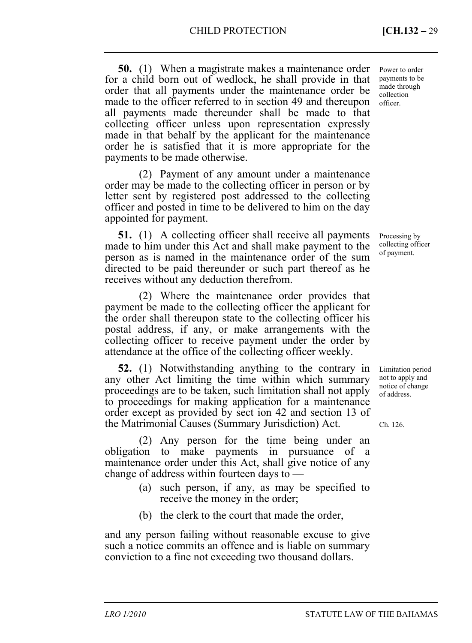**50.** (1) When a magistrate makes a maintenance order for a child born out of wedlock, he shall provide in that order that all payments under the maintenance order be made to the officer referred to in section 49 and thereupon all payments made thereunder shall be made to that collecting officer unless upon representation expressly made in that behalf by the applicant for the maintenance order he is satisfied that it is more appropriate for the payments to be made otherwise.

(2) Payment of any amount under a maintenance order may be made to the collecting officer in person or by letter sent by registered post addressed to the collecting officer and posted in time to be delivered to him on the day appointed for payment.

**51.** (1) A collecting officer shall receive all payments made to him under this Act and shall make payment to the person as is named in the maintenance order of the sum directed to be paid thereunder or such part thereof as he receives without any deduction therefrom.

(2) Where the maintenance order provides that payment be made to the collecting officer the applicant for the order shall thereupon state to the collecting officer his postal address, if any, or make arrangements with the collecting officer to receive payment under the order by attendance at the office of the collecting officer weekly.

**52.** (1) Notwithstanding anything to the contrary in any other Act limiting the time within which summary proceedings are to be taken, such limitation shall not apply to proceedings for making application for a maintenance order except as provided by sect ion 42 and section 13 of the Matrimonial Causes (Summary Jurisdiction) Act.

(2) Any person for the time being under an obligation to make payments in pursuance of a maintenance order under this Act, shall give notice of any change of address within fourteen days to —

- (a) such person, if any, as may be specified to receive the money in the order;
- (b) the clerk to the court that made the order,

and any person failing without reasonable excuse to give such a notice commits an offence and is liable on summary conviction to a fine not exceeding two thousand dollars.

Power to order payments to be made through collection officer.

Processing by collecting officer of payment.

Limitation period not to apply and notice of change of address.

Ch. 126.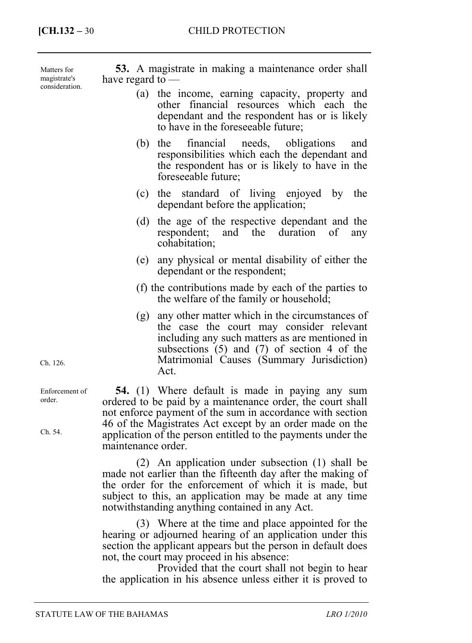Matters for magistrate's consideration.

**53.** A magistrate in making a maintenance order shall have regard to —

- (a) the income, earning capacity, property and other financial resources which each the dependant and the respondent has or is likely to have in the foreseeable future;
- (b) the financial needs, obligations and responsibilities which each the dependant and the respondent has or is likely to have in the foreseeable future;
- (c) the standard of living enjoyed by the dependant before the application;
- (d) the age of the respective dependant and the respondent; and the duration of any cohabitation;
- (e) any physical or mental disability of either the dependant or the respondent;
- (f) the contributions made by each of the parties to the welfare of the family or household;
- (g) any other matter which in the circumstances of the case the court may consider relevant including any such matters as are mentioned in subsections (5) and (7) of section 4 of the Matrimonial Causes (Summary Jurisdiction) Act.

**54.** (1) Where default is made in paying any sum ordered to be paid by a maintenance order, the court shall not enforce payment of the sum in accordance with section 46 of the Magistrates Act except by an order made on the application of the person entitled to the payments under the maintenance order.

(2) An application under subsection (1) shall be made not earlier than the fifteenth day after the making of the order for the enforcement of which it is made, but subject to this, an application may be made at any time notwithstanding anything contained in any Act.

(3) Where at the time and place appointed for the hearing or adjourned hearing of an application under this section the applicant appears but the person in default does not, the court may proceed in his absence:

Provided that the court shall not begin to hear the application in his absence unless either it is proved to

Ch. 126.

Enforcement of order.

Ch. 54.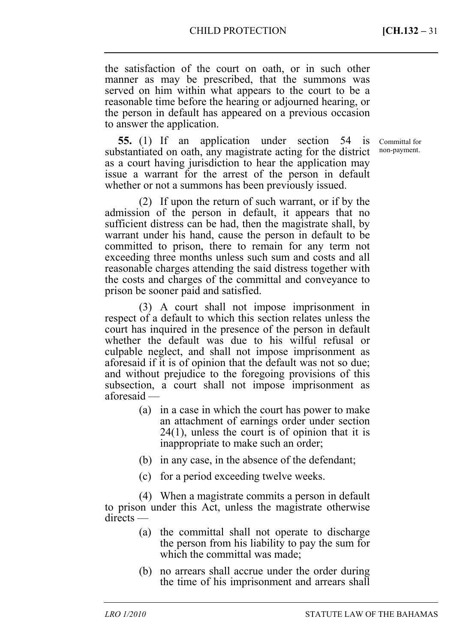the satisfaction of the court on oath, or in such other manner as may be prescribed, that the summons was served on him within what appears to the court to be a reasonable time before the hearing or adjourned hearing, or the person in default has appeared on a previous occasion to answer the application.

**55.** (1) If an application under section 54 is substantiated on oath, any magistrate acting for the district as a court having jurisdiction to hear the application may issue a warrant for the arrest of the person in default whether or not a summons has been previously issued.

(2) If upon the return of such warrant, or if by the admission of the person in default, it appears that no sufficient distress can be had, then the magistrate shall, by warrant under his hand, cause the person in default to be committed to prison, there to remain for any term not exceeding three months unless such sum and costs and all reasonable charges attending the said distress together with the costs and charges of the committal and conveyance to prison be sooner paid and satisfied.

(3) A court shall not impose imprisonment in respect of a default to which this section relates unless the court has inquired in the presence of the person in default whether the default was due to his wilful refusal or culpable neglect, and shall not impose imprisonment as aforesaid if it is of opinion that the default was not so due; and without prejudice to the foregoing provisions of this subsection, a court shall not impose imprisonment as aforesaid —

- (a) in a case in which the court has power to make an attachment of earnings order under section 24(1), unless the court is of opinion that it is inappropriate to make such an order;
- (b) in any case, in the absence of the defendant;
- (c) for a period exceeding twelve weeks.

(4) When a magistrate commits a person in default to prison under this Act, unless the magistrate otherwise directs —

- (a) the committal shall not operate to discharge the person from his liability to pay the sum for which the committal was made;
- (b) no arrears shall accrue under the order during the time of his imprisonment and arrears shall

Committal for non-payment.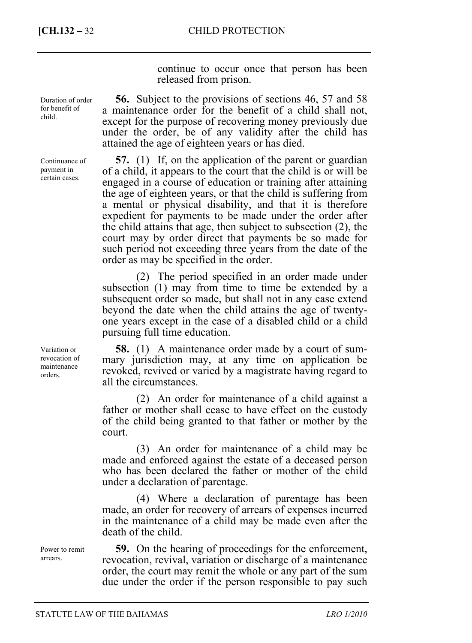continue to occur once that person has been released from prison.

**56.** Subject to the provisions of sections 46, 57 and 58 a maintenance order for the benefit of a child shall not, except for the purpose of recovering money previously due under the order, be of any validity after the child has attained the age of eighteen years or has died.

**57.** (1) If, on the application of the parent or guardian of a child, it appears to the court that the child is or will be engaged in a course of education or training after attaining the age of eighteen years, or that the child is suffering from a mental or physical disability, and that it is therefore expedient for payments to be made under the order after the child attains that age, then subject to subsection (2), the court may by order direct that payments be so made for such period not exceeding three years from the date of the order as may be specified in the order.

(2) The period specified in an order made under subsection (1) may from time to time be extended by a subsequent order so made, but shall not in any case extend beyond the date when the child attains the age of twentyone years except in the case of a disabled child or a child pursuing full time education.

**58.** (1) A maintenance order made by a court of summary jurisdiction may, at any time on application be revoked, revived or varied by a magistrate having regard to all the circumstances.

(2) An order for maintenance of a child against a father or mother shall cease to have effect on the custody of the child being granted to that father or mother by the court.

(3) An order for maintenance of a child may be made and enforced against the estate of a deceased person who has been declared the father or mother of the child under a declaration of parentage.

(4) Where a declaration of parentage has been made, an order for recovery of arrears of expenses incurred in the maintenance of a child may be made even after the death of the child.

**59.** On the hearing of proceedings for the enforcement, revocation, revival, variation or discharge of a maintenance order, the court may remit the whole or any part of the sum due under the order if the person responsible to pay such

Duration of order for benefit of child.

Continuance of payment in certain cases.

Variation or revocation of maintenance orders.

Power to remit arrears.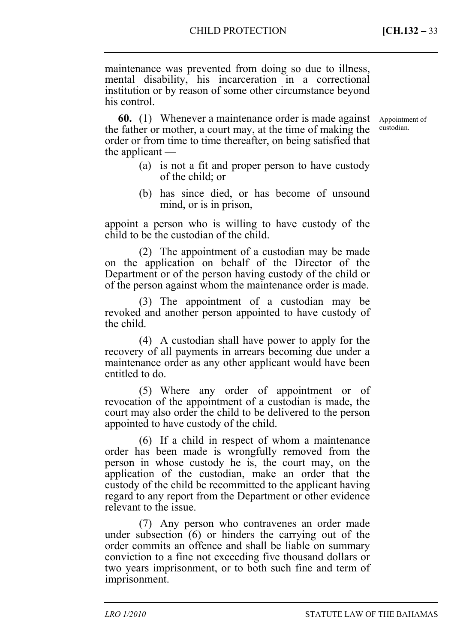maintenance was prevented from doing so due to illness, mental disability, his incarceration in a correctional institution or by reason of some other circumstance beyond his control.

**60.** (1) Whenever a maintenance order is made against the father or mother, a court may, at the time of making the order or from time to time thereafter, on being satisfied that the applicant —

Appointment of custodian.

- (a) is not a fit and proper person to have custody of the child; or
- (b) has since died, or has become of unsound mind, or is in prison,

appoint a person who is willing to have custody of the child to be the custodian of the child.

(2) The appointment of a custodian may be made on the application on behalf of the Director of the Department or of the person having custody of the child or of the person against whom the maintenance order is made.

(3) The appointment of a custodian may be revoked and another person appointed to have custody of the child.

(4) A custodian shall have power to apply for the recovery of all payments in arrears becoming due under a maintenance order as any other applicant would have been entitled to do.

(5) Where any order of appointment or of revocation of the appointment of a custodian is made, the court may also order the child to be delivered to the person appointed to have custody of the child.

(6) If a child in respect of whom a maintenance order has been made is wrongfully removed from the person in whose custody he is, the court may, on the application of the custodian, make an order that the custody of the child be recommitted to the applicant having regard to any report from the Department or other evidence relevant to the issue.

(7) Any person who contravenes an order made under subsection (6) or hinders the carrying out of the order commits an offence and shall be liable on summary conviction to a fine not exceeding five thousand dollars or two years imprisonment, or to both such fine and term of imprisonment.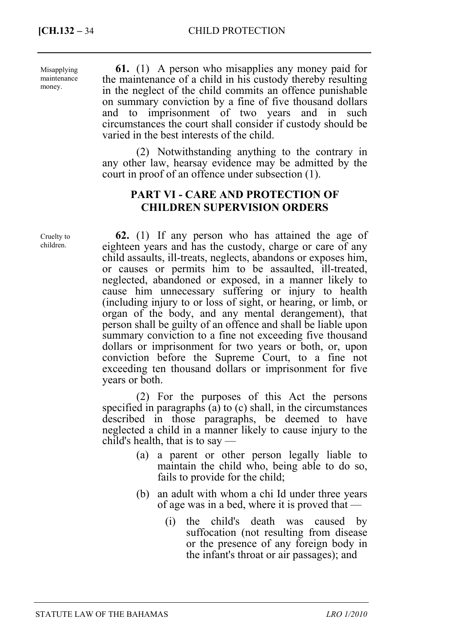**[CH.132 – 34 CHILD PROTECTION** 

Misapplying maintenance money.

**61.** (1) A person who misapplies any money paid for the maintenance of a child in his custody thereby resulting in the neglect of the child commits an offence punishable on summary conviction by a fine of five thousand dollars and to imprisonment of two years and in such circumstances the court shall consider if custody should be varied in the best interests of the child.

(2) Notwithstanding anything to the contrary in any other law, hearsay evidence may be admitted by the court in proof of an offence under subsection (1).

## **PART VI - CARE AND PROTECTION OF CHILDREN SUPERVISION ORDERS**

**62.** (1) If any person who has attained the age of eighteen years and has the custody, charge or care of any child assaults, ill-treats, neglects, abandons or exposes him, or causes or permits him to be assaulted, ill-treated, neglected, abandoned or exposed, in a manner likely to cause him unnecessary suffering or injury to health (including injury to or loss of sight, or hearing, or limb, or organ of the body, and any mental derangement), that person shall be guilty of an offence and shall be liable upon summary conviction to a fine not exceeding five thousand dollars or imprisonment for two years or both, or, upon conviction before the Supreme Court, to a fine not exceeding ten thousand dollars or imprisonment for five years or both.

(2) For the purposes of this Act the persons specified in paragraphs (a) to (c) shall, in the circumstances described in those paragraphs, be deemed to have neglected a child in a manner likely to cause injury to the child's health, that is to say —

- (a) a parent or other person legally liable to maintain the child who, being able to do so, fails to provide for the child;
- (b) an adult with whom a chi Id under three years of age was in a bed, where it is proved that —
	- (i) the child's death was caused by suffocation (not resulting from disease or the presence of any foreign body in the infant's throat or air passages); and

Cruelty to children.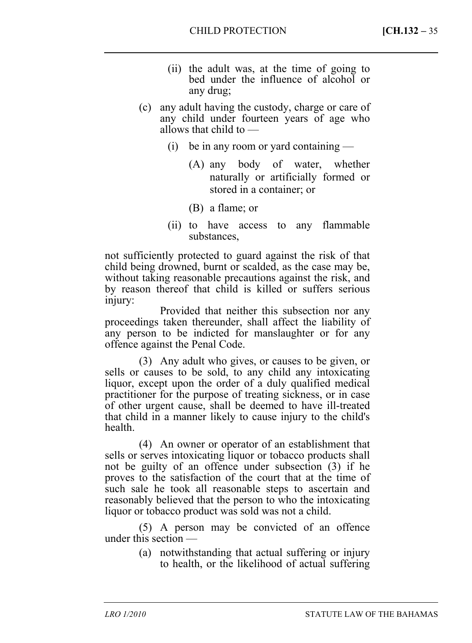- (ii) the adult was, at the time of going to bed under the influence of alcohol or any drug;
- (c) any adult having the custody, charge or care of any child under fourteen years of age who allows that child to —
	- (i) be in any room or yard containing
		- (A) any body of water, whether naturally or artificially formed or stored in a container; or
		- (B) a flame; or
	- (ii) to have access to any flammable substances,

not sufficiently protected to guard against the risk of that child being drowned, burnt or scalded, as the case may be, without taking reasonable precautions against the risk, and by reason thereof that child is killed or suffers serious injury:

Provided that neither this subsection nor any proceedings taken thereunder, shall affect the liability of any person to be indicted for manslaughter or for any offence against the Penal Code.

(3) Any adult who gives, or causes to be given, or sells or causes to be sold, to any child any intoxicating liquor, except upon the order of a duly qualified medical practitioner for the purpose of treating sickness, or in case of other urgent cause, shall be deemed to have ill-treated that child in a manner likely to cause injury to the child's health.

(4) An owner or operator of an establishment that sells or serves intoxicating liquor or tobacco products shall not be guilty of an offence under subsection (3) if he proves to the satisfaction of the court that at the time of such sale he took all reasonable steps to ascertain and reasonably believed that the person to who the intoxicating liquor or tobacco product was sold was not a child.

(5) A person may be convicted of an offence under this section —

> (a) notwithstanding that actual suffering or injury to health, or the likelihood of actual suffering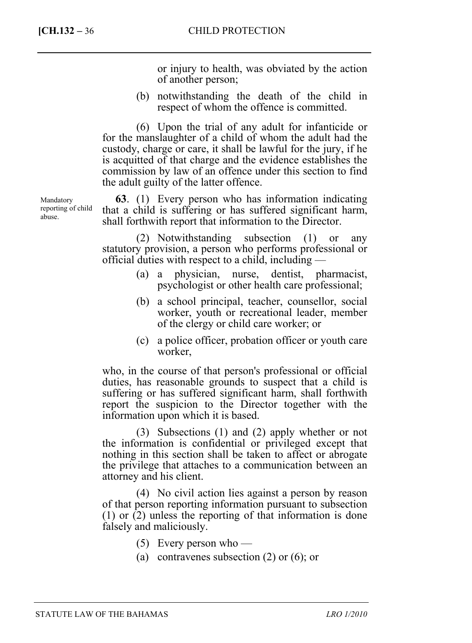or injury to health, was obviated by the action of another person;

(b) notwithstanding the death of the child in respect of whom the offence is committed.

(6) Upon the trial of any adult for infanticide or for the manslaughter of a child of whom the adult had the custody, charge or care, it shall be lawful for the jury, if he is acquitted of that charge and the evidence establishes the commission by law of an offence under this section to find the adult guilty of the latter offence.

**63**. (1) Every person who has information indicating that a child is suffering or has suffered significant harm, shall forthwith report that information to the Director.

(2) Notwithstanding subsection (1) or any statutory provision, a person who performs professional or official duties with respect to a child, including —

- (a) a physician, nurse, dentist, pharmacist, psychologist or other health care professional;
- (b) a school principal, teacher, counsellor, social worker, youth or recreational leader, member of the clergy or child care worker; or
- (c) a police officer, probation officer or youth care worker,

who, in the course of that person's professional or official duties, has reasonable grounds to suspect that a child is suffering or has suffered significant harm, shall forthwith report the suspicion to the Director together with the information upon which it is based.

(3) Subsections (1) and (2) apply whether or not the information is confidential or privileged except that nothing in this section shall be taken to affect or abrogate the privilege that attaches to a communication between an attorney and his client.

(4) No civil action lies against a person by reason of that person reporting information pursuant to subsection (1) or (2) unless the reporting of that information is done falsely and maliciously.

- (5) Every person who —
- (a) contravenes subsection (2) or (6); or

Mandatory reporting of child abuse.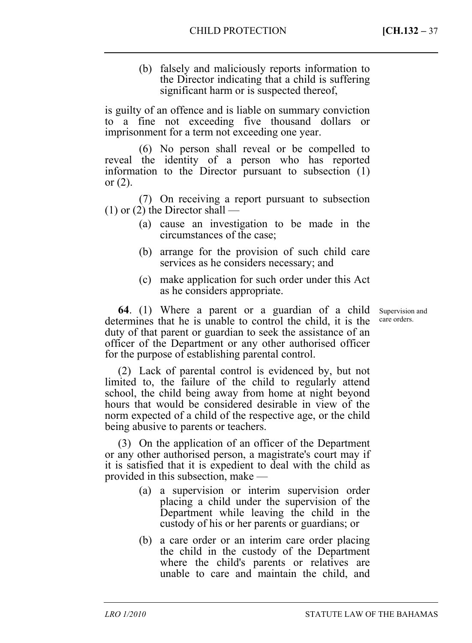(b) falsely and maliciously reports information to the Director indicating that a child is suffering significant harm or is suspected thereof,

is guilty of an offence and is liable on summary conviction to a fine not exceeding five thousand dollars or imprisonment for a term not exceeding one year.

(6) No person shall reveal or be compelled to reveal the identity of a person who has reported information to the Director pursuant to subsection (1) or  $(2)$ .

(7) On receiving a report pursuant to subsection  $(1)$  or  $(2)$  the Director shall —

- (a) cause an investigation to be made in the circumstances of the case;
- (b) arrange for the provision of such child care services as he considers necessary; and
- (c) make application for such order under this Act as he considers appropriate.

**64**. (1) Where a parent or a guardian of a child determines that he is unable to control the child, it is the duty of that parent or guardian to seek the assistance of an officer of the Department or any other authorised officer for the purpose of establishing parental control.

(2) Lack of parental control is evidenced by, but not limited to, the failure of the child to regularly attend school, the child being away from home at night beyond hours that would be considered desirable in view of the norm expected of a child of the respective age, or the child being abusive to parents or teachers.

(3) On the application of an officer of the Department or any other authorised person, a magistrate's court may if it is satisfied that it is expedient to deal with the child as provided in this subsection, make —

- (a) a supervision or interim supervision order placing a child under the supervision of the Department while leaving the child in the custody of his or her parents or guardians; or
- (b) a care order or an interim care order placing the child in the custody of the Department where the child's parents or relatives are unable to care and maintain the child, and

Supervision and care orders.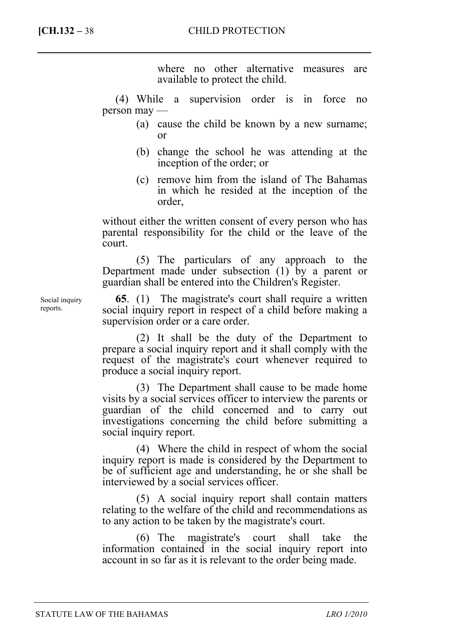where no other alternative measures are available to protect the child.

(4) While a supervision order is in force no person may —

- (a) cause the child be known by a new surname; or
- (b) change the school he was attending at the inception of the order; or
- (c) remove him from the island of The Bahamas in which he resided at the inception of the order,

without either the written consent of every person who has parental responsibility for the child or the leave of the court.

(5) The particulars of any approach to the Department made under subsection (1) by a parent or guardian shall be entered into the Children's Register.

**65**. (1) The magistrate's court shall require a written social inquiry report in respect of a child before making a supervision order or a care order.

(2) It shall be the duty of the Department to prepare a social inquiry report and it shall comply with the request of the magistrate's court whenever required to produce a social inquiry report.

(3) The Department shall cause to be made home visits by a social services officer to interview the parents or guardian of the child concerned and to carry out investigations concerning the child before submitting a social inquiry report.

(4) Where the child in respect of whom the social inquiry report is made is considered by the Department to be of sufficient age and understanding, he or she shall be interviewed by a social services officer.

(5) A social inquiry report shall contain matters relating to the welfare of the child and recommendations as to any action to be taken by the magistrate's court.

(6) The magistrate's court shall take the information contained in the social inquiry report into account in so far as it is relevant to the order being made.

Social inquiry reports.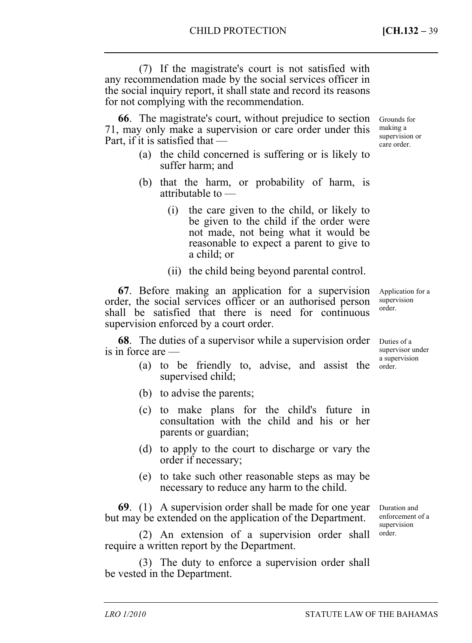making a supervision or care order.

(7) If the magistrate's court is not satisfied with any recommendation made by the social services officer in the social inquiry report, it shall state and record its reasons for not complying with the recommendation.

**66**. The magistrate's court, without prejudice to section 71, may only make a supervision or care order under this Part, if it is satisfied that — Grounds for

- (a) the child concerned is suffering or is likely to suffer harm; and
- (b) that the harm, or probability of harm, is attributable to —
	- (i) the care given to the child, or likely to be given to the child if the order were not made, not being what it would be reasonable to expect a parent to give to a child; or
	- (ii) the child being beyond parental control.

**67**. Before making an application for a supervision order, the social services officer or an authorised person shall be satisfied that there is need for continuous supervision enforced by a court order.

**68**. The duties of a supervisor while a supervision order is in force are —

- (a) to be friendly to, advise, and assist the supervised child;
- (b) to advise the parents;
- (c) to make plans for the child's future in consultation with the child and his or her parents or guardian;
- (d) to apply to the court to discharge or vary the order if necessary;
- (e) to take such other reasonable steps as may be necessary to reduce any harm to the child.

**69**. (1) A supervision order shall be made for one year but may be extended on the application of the Department.

(2) An extension of a supervision order shall require a written report by the Department.

(3) The duty to enforce a supervision order shall be vested in the Department.

Application for a supervision order.

Duties of a supervisor under a supervision order.

Duration and enforcement of a supervision order.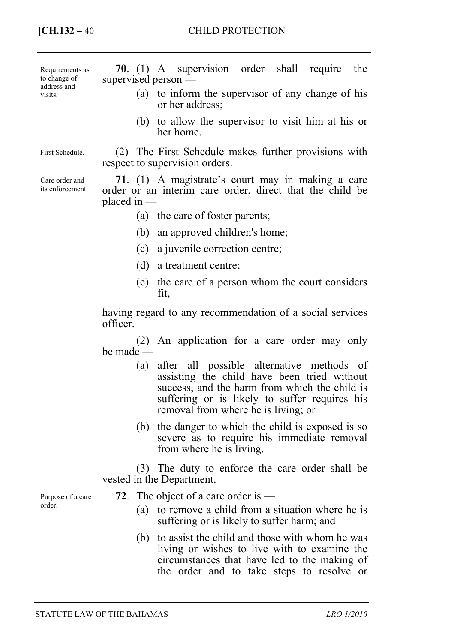**70**. (1) A supervision order shall require the supervised person — (a) to inform the supervisor of any change of his or her address; (b) to allow the supervisor to visit him at his or her home. (2) The First Schedule makes further provisions with respect to supervision orders. **71**. (1) A magistrate's court may in making a care order or an interim care order, direct that the child be placed in — (a) the care of foster parents; (b) an approved children's home; (c) a juvenile correction centre; (d) a treatment centre; (e) the care of a person whom the court considers fit, Requirements as to change of address and visits. First Schedule. Care order and its enforcement.

> having regard to any recommendation of a social services officer.

> (2) An application for a care order may only be made —

- (a) after all possible alternative methods of assisting the child have been tried without success, and the harm from which the child is suffering or is likely to suffer requires his removal from where he is living; or
- (b) the danger to which the child is exposed is so severe as to require his immediate removal from where he is living.

(3) The duty to enforce the care order shall be vested in the Department.

Purpose of a care order.

- **72**. The object of a care order is
	- (a) to remove a child from a situation where he is suffering or is likely to suffer harm; and
	- (b) to assist the child and those with whom he was living or wishes to live with to examine the circumstances that have led to the making of the order and to take steps to resolve or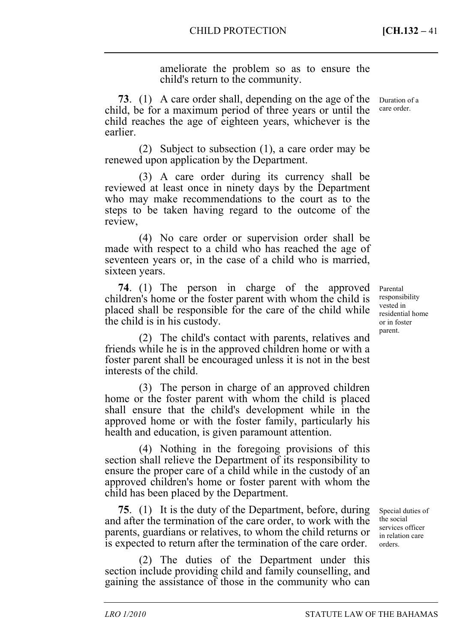ameliorate the problem so as to ensure the child's return to the community.

**73**. (1) A care order shall, depending on the age of the child, be for a maximum period of three years or until the child reaches the age of eighteen years, whichever is the earlier.

(2) Subject to subsection (1), a care order may be renewed upon application by the Department.

(3) A care order during its currency shall be reviewed at least once in ninety days by the Department who may make recommendations to the court as to the steps to be taken having regard to the outcome of the review,

(4) No care order or supervision order shall be made with respect to a child who has reached the age of seventeen years or, in the case of a child who is married, sixteen years.

**74**. (1) The person in charge of the approved children's home or the foster parent with whom the child is placed shall be responsible for the care of the child while the child is in his custody.

(2) The child's contact with parents, relatives and friends while he is in the approved children home or with a foster parent shall be encouraged unless it is not in the best interests of the child.

(3) The person in charge of an approved children home or the foster parent with whom the child is placed shall ensure that the child's development while in the approved home or with the foster family, particularly his health and education, is given paramount attention.

(4) Nothing in the foregoing provisions of this section shall relieve the Department of its responsibility to ensure the proper care of a child while in the custody of an approved children's home or foster parent with whom the child has been placed by the Department.

**75**. (1) It is the duty of the Department, before, during and after the termination of the care order, to work with the parents, guardians or relatives, to whom the child returns or is expected to return after the termination of the care order.

(2) The duties of the Department under this section include providing child and family counselling, and gaining the assistance of those in the community who can

Duration of a care order.

Parental responsibility vested in residential home or in foster parent.

Special duties of the social services officer in relation care orders.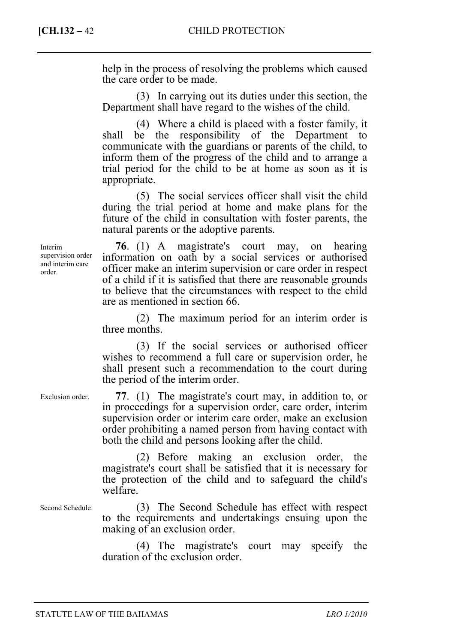help in the process of resolving the problems which caused the care order to be made.

(3) In carrying out its duties under this section, the Department shall have regard to the wishes of the child.

(4) Where a child is placed with a foster family, it shall be the responsibility of the Department to communicate with the guardians or parents of the child, to inform them of the progress of the child and to arrange a trial period for the child to be at home as soon as it is appropriate.

(5) The social services officer shall visit the child during the trial period at home and make plans for the future of the child in consultation with foster parents, the natural parents or the adoptive parents.

**76**. (1) A magistrate's court may, on hearing information on oath by a social services or authorised officer make an interim supervision or care order in respect of a child if it is satisfied that there are reasonable grounds to believe that the circumstances with respect to the child are as mentioned in section 66.

(2) The maximum period for an interim order is three months.

(3) If the social services or authorised officer wishes to recommend a full care or supervision order, he shall present such a recommendation to the court during the period of the interim order.

**77**. (1) The magistrate's court may, in addition to, or in proceedings for a supervision order, care order, interim supervision order or interim care order, make an exclusion order prohibiting a named person from having contact with both the child and persons looking after the child.

(2) Before making an exclusion order, the magistrate's court shall be satisfied that it is necessary for the protection of the child and to safeguard the child's welfare.

Second Schedule.

Exclusion order.

(3) The Second Schedule has effect with respect to the requirements and undertakings ensuing upon the making of an exclusion order.

(4) The magistrate's court may specify the duration of the exclusion order.

Interim supervision order and interim care order.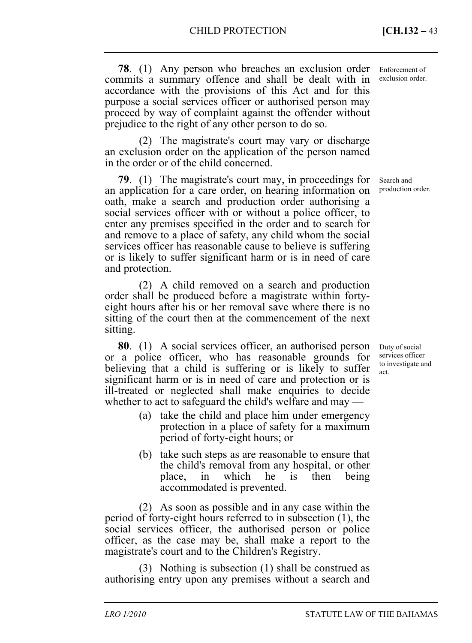**78**. (1) Any person who breaches an exclusion order commits a summary offence and shall be dealt with in accordance with the provisions of this Act and for this purpose a social services officer or authorised person may proceed by way of complaint against the offender without prejudice to the right of any other person to do so.

(2) The magistrate's court may vary or discharge an exclusion order on the application of the person named in the order or of the child concerned.

**79**. (1) The magistrate's court may, in proceedings for an application for a care order, on hearing information on oath, make a search and production order authorising a social services officer with or without a police officer, to enter any premises specified in the order and to search for and remove to a place of safety, any child whom the social services officer has reasonable cause to believe is suffering or is likely to suffer significant harm or is in need of care and protection.

(2) A child removed on a search and production order shall be produced before a magistrate within fortyeight hours after his or her removal save where there is no sitting of the court then at the commencement of the next sitting.

**80**. (1) A social services officer, an authorised person or a police officer, who has reasonable grounds for believing that a child is suffering or is likely to suffer significant harm or is in need of care and protection or is ill-treated or neglected shall make enquiries to decide whether to act to safeguard the child's welfare and may —

- (a) take the child and place him under emergency protection in a place of safety for a maximum period of forty-eight hours; or
- (b) take such steps as are reasonable to ensure that the child's removal from any hospital, or other place, in which he is then being accommodated is prevented.

(2) As soon as possible and in any case within the period of forty-eight hours referred to in subsection (1), the social services officer, the authorised person or police officer, as the case may be, shall make a report to the magistrate's court and to the Children's Registry.

(3) Nothing is subsection (1) shall be construed as authorising entry upon any premises without a search and Enforcement of exclusion order.

Search and production order.

Duty of social services officer to investigate and act.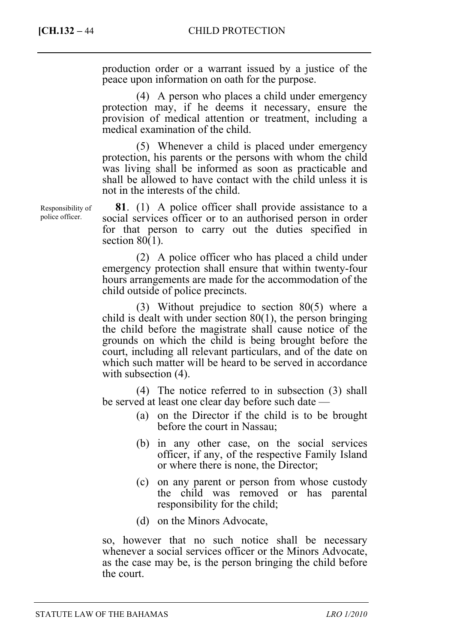production order or a warrant issued by a justice of the peace upon information on oath for the purpose.

(4) A person who places a child under emergency protection may, if he deems it necessary, ensure the provision of medical attention or treatment, including a medical examination of the child.

(5) Whenever a child is placed under emergency protection, his parents or the persons with whom the child was living shall be informed as soon as practicable and shall be allowed to have contact with the child unless it is not in the interests of the child.

**81**. (1) A police officer shall provide assistance to a social services officer or to an authorised person in order for that person to carry out the duties specified in section  $80(1)$ .

(2) A police officer who has placed a child under emergency protection shall ensure that within twenty-four hours arrangements are made for the accommodation of the child outside of police precincts.

(3) Without prejudice to section 80(5) where a child is dealt with under section 80(1), the person bringing the child before the magistrate shall cause notice of the grounds on which the child is being brought before the court, including all relevant particulars, and of the date on which such matter will be heard to be served in accordance with subsection (4).

(4) The notice referred to in subsection (3) shall be served at least one clear day before such date —

- (a) on the Director if the child is to be brought before the court in Nassau;
- (b) in any other case, on the social services officer, if any, of the respective Family Island or where there is none, the Director;
- (c) on any parent or person from whose custody the child was removed or has parental responsibility for the child;
- (d) on the Minors Advocate,

so, however that no such notice shall be necessary whenever a social services officer or the Minors Advocate, as the case may be, is the person bringing the child before the court.

Responsibility of police officer.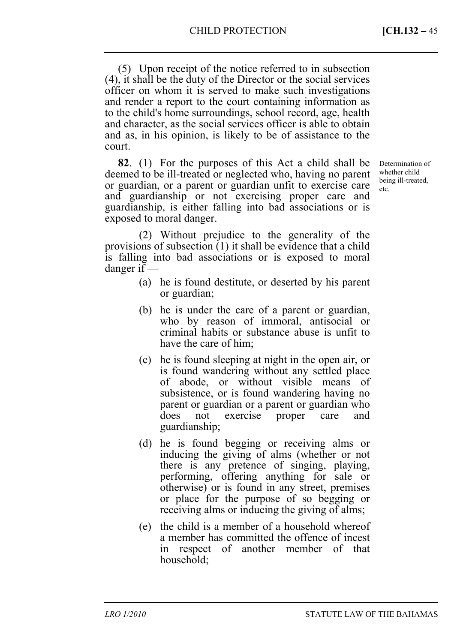(5) Upon receipt of the notice referred to in subsection (4), it shall be the duty of the Director or the social services officer on whom it is served to make such investigations and render a report to the court containing information as to the child's home surroundings, school record, age, health and character, as the social services officer is able to obtain and as, in his opinion, is likely to be of assistance to the court.

**82**. (1) For the purposes of this Act a child shall be deemed to be ill-treated or neglected who, having no parent or guardian, or a parent or guardian unfit to exercise care and guardianship or not exercising proper care and guardianship, is either falling into bad associations or is exposed to moral danger.

Determination of whether child being ill-treated, etc.

(2) Without prejudice to the generality of the provisions of subsection (1) it shall be evidence that a child is falling into bad associations or is exposed to moral danger if —

- (a) he is found destitute, or deserted by his parent or guardian;
- (b) he is under the care of a parent or guardian, who by reason of immoral, antisocial or criminal habits or substance abuse is unfit to have the care of him;
- (c) he is found sleeping at night in the open air, or is found wandering without any settled place of abode, or without visible means of subsistence, or is found wandering having no parent or guardian or a parent or guardian who does not exercise proper care and guardianship;
- (d) he is found begging or receiving alms or inducing the giving of alms (whether or not there is any pretence of singing, playing, performing, offering anything for sale or otherwise) or is found in any street, premises or place for the purpose of so begging or receiving alms or inducing the giving of alms;
- (e) the child is a member of a household whereof a member has committed the offence of incest in respect of another member of that household;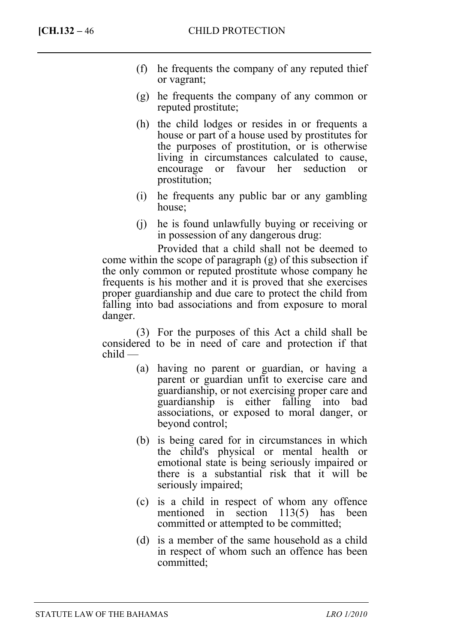- (f) he frequents the company of any reputed thief or vagrant;
- (g) he frequents the company of any common or reputed prostitute;
- (h) the child lodges or resides in or frequents a house or part of a house used by prostitutes for the purposes of prostitution, or is otherwise living in circumstances calculated to cause, encourage or favour her seduction or prostitution;
- (i) he frequents any public bar or any gambling house;
- (j) he is found unlawfully buying or receiving or in possession of any dangerous drug:

Provided that a child shall not be deemed to come within the scope of paragraph (g) of this subsection if the only common or reputed prostitute whose company he frequents is his mother and it is proved that she exercises proper guardianship and due care to protect the child from falling into bad associations and from exposure to moral danger.

(3) For the purposes of this Act a child shall be considered to be in need of care and protection if that child —

- (a) having no parent or guardian, or having a parent or guardian unfit to exercise care and guardianship, or not exercising proper care and guardianship is either falling into bad associations, or exposed to moral danger, or beyond control;
- (b) is being cared for in circumstances in which the child's physical or mental health or emotional state is being seriously impaired or there is a substantial risk that it will be seriously impaired;
- (c) is a child in respect of whom any offence mentioned in section 113(5) has been committed or attempted to be committed;
- (d) is a member of the same household as a child in respect of whom such an offence has been committed;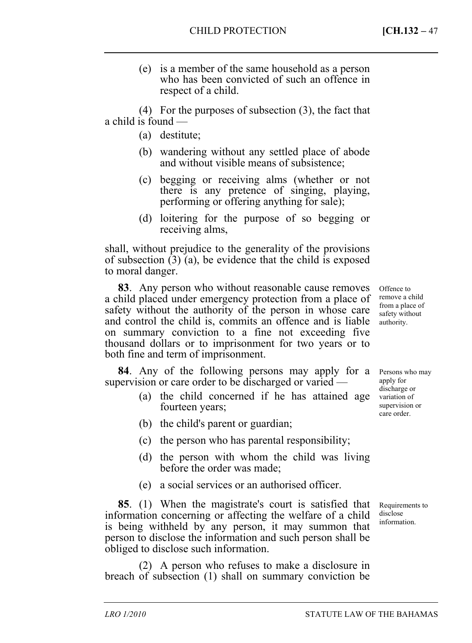(e) is a member of the same household as a person who has been convicted of such an offence in respect of a child.

(4) For the purposes of subsection (3), the fact that a child is found —

- (a) destitute;
- (b) wandering without any settled place of abode and without visible means of subsistence;
- (c) begging or receiving alms (whether or not there is any pretence of singing, playing, performing or offering anything for sale);
- (d) loitering for the purpose of so begging or receiving alms,

shall, without prejudice to the generality of the provisions of subsection (3) (a), be evidence that the child is exposed to moral danger.

**83**. Any person who without reasonable cause removes a child placed under emergency protection from a place of safety without the authority of the person in whose care and control the child is, commits an offence and is liable on summary conviction to a fine not exceeding five thousand dollars or to imprisonment for two years or to both fine and term of imprisonment.

**84**. Any of the following persons may apply for a supervision or care order to be discharged or varied —

- (a) the child concerned if he has attained age fourteen years;
- (b) the child's parent or guardian;
- (c) the person who has parental responsibility;
- (d) the person with whom the child was living before the order was made;
- (e) a social services or an authorised officer.

**85**. (1) When the magistrate's court is satisfied that information concerning or affecting the welfare of a child is being withheld by any person, it may summon that person to disclose the information and such person shall be obliged to disclose such information.

(2) A person who refuses to make a disclosure in breach of subsection (1) shall on summary conviction be

Offence to remove a child from a place of safety without authority.

Persons who may apply for discharge or variation of supervision or care order.

Requirements to disclose information.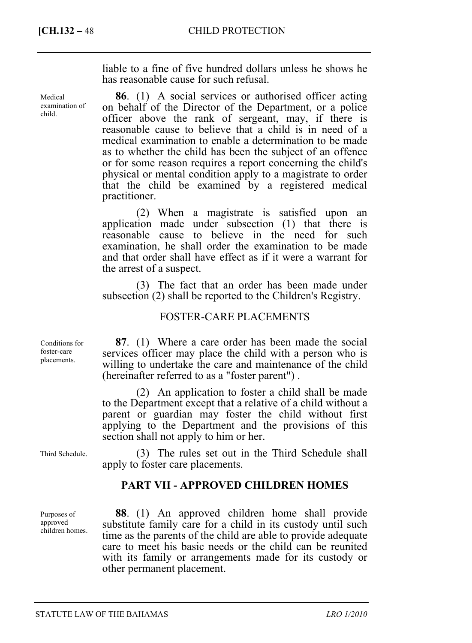Medical examination of child.

liable to a fine of five hundred dollars unless he shows he has reasonable cause for such refusal.

**86**. (1) A social services or authorised officer acting on behalf of the Director of the Department, or a police officer above the rank of sergeant, may, if there is reasonable cause to believe that a child is in need of a medical examination to enable a determination to be made as to whether the child has been the subject of an offence or for some reason requires a report concerning the child's physical or mental condition apply to a magistrate to order that the child be examined by a registered medical practitioner.

(2) When a magistrate is satisfied upon an application made under subsection (1) that there is reasonable cause to believe in the need for such examination, he shall order the examination to be made and that order shall have effect as if it were a warrant for the arrest of a suspect.

(3) The fact that an order has been made under subsection (2) shall be reported to the Children's Registry.

### FOSTER-CARE PLACEMENTS

Conditions for foster-care placements.

Third Schedule.

Purposes of approved children homes.

**87**. (1) Where a care order has been made the social services officer may place the child with a person who is willing to undertake the care and maintenance of the child (hereinafter referred to as a "foster parent") .

(2) An application to foster a child shall be made to the Department except that a relative of a child without a parent or guardian may foster the child without first applying to the Department and the provisions of this section shall not apply to him or her.

(3) The rules set out in the Third Schedule shall apply to foster care placements.

## **PART VII - APPROVED CHILDREN HOMES**

**88**. (1) An approved children home shall provide substitute family care for a child in its custody until such time as the parents of the child are able to provide adequate care to meet his basic needs or the child can be reunited with its family or arrangements made for its custody or other permanent placement.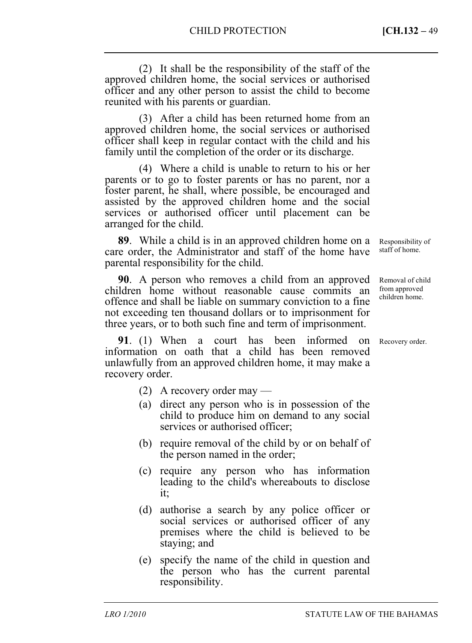(2) It shall be the responsibility of the staff of the approved children home, the social services or authorised officer and any other person to assist the child to become reunited with his parents or guardian.

(3) After a child has been returned home from an approved children home, the social services or authorised officer shall keep in regular contact with the child and his family until the completion of the order or its discharge.

(4) Where a child is unable to return to his or her parents or to go to foster parents or has no parent, nor a foster parent, he shall, where possible, be encouraged and assisted by the approved children home and the social services or authorised officer until placement can be arranged for the child.

**89**. While a child is in an approved children home on a care order, the Administrator and staff of the home have parental responsibility for the child.

**90**. A person who removes a child from an approved children home without reasonable cause commits an offence and shall be liable on summary conviction to a fine not exceeding ten thousand dollars or to imprisonment for three years, or to both such fine and term of imprisonment.

**91**. (1) When a court has been informed on information on oath that a child has been removed unlawfully from an approved children home, it may make a recovery order.

- (2) A recovery order may —
- (a) direct any person who is in possession of the child to produce him on demand to any social services or authorised officer;
- (b) require removal of the child by or on behalf of the person named in the order;
- (c) require any person who has information leading to the child's whereabouts to disclose it;
- (d) authorise a search by any police officer or social services or authorised officer of any premises where the child is believed to be staying; and
- (e) specify the name of the child in question and the person who has the current parental responsibility.

Responsibility of staff of home.

Removal of child from approved children home.

Recovery order.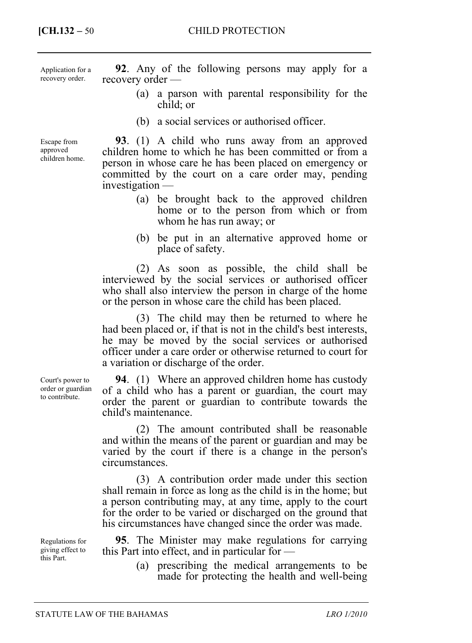Application for a recovery order.

Escape from approved children home.

**92**. Any of the following persons may apply for a recovery order —

- (a) a parson with parental responsibility for the child; or
- (b) a social services or authorised officer.

**93**. (1) A child who runs away from an approved children home to which he has been committed or from a person in whose care he has been placed on emergency or committed by the court on a care order may, pending investigation —

- (a) be brought back to the approved children home or to the person from which or from whom he has run away; or
- (b) be put in an alternative approved home or place of safety.

(2) As soon as possible, the child shall be interviewed by the social services or authorised officer who shall also interview the person in charge of the home or the person in whose care the child has been placed.

(3) The child may then be returned to where he had been placed or, if that is not in the child's best interests, he may be moved by the social services or authorised officer under a care order or otherwise returned to court for a variation or discharge of the order.

**94**. (1) Where an approved children home has custody of a child who has a parent or guardian, the court may order the parent or guardian to contribute towards the child's maintenance.

(2) The amount contributed shall be reasonable and within the means of the parent or guardian and may be varied by the court if there is a change in the person's circumstances.

(3) A contribution order made under this section shall remain in force as long as the child is in the home; but a person contributing may, at any time, apply to the court for the order to be varied or discharged on the ground that his circumstances have changed since the order was made.

**95**. The Minister may make regulations for carrying this Part into effect, and in particular for —

> (a) prescribing the medical arrangements to be made for protecting the health and well-being

Court's power to order or guardian to contribute.

Regulations for giving effect to this Part.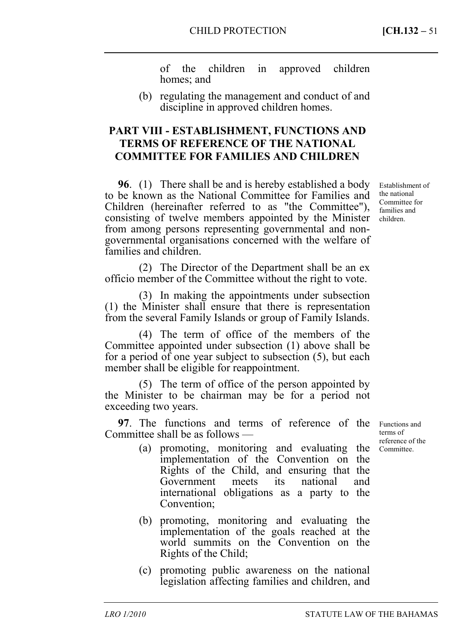of the children in approved children homes; and

(b) regulating the management and conduct of and discipline in approved children homes.

## **PART VIII - ESTABLISHMENT, FUNCTIONS AND TERMS OF REFERENCE OF THE NATIONAL COMMITTEE FOR FAMILIES AND CHILDREN**

**96**. (1) There shall be and is hereby established a body to be known as the National Committee for Families and Children (hereinafter referred to as "the Committee"), consisting of twelve members appointed by the Minister from among persons representing governmental and nongovernmental organisations concerned with the welfare of families and children.

(2) The Director of the Department shall be an ex officio member of the Committee without the right to vote.

(3) In making the appointments under subsection (1) the Minister shall ensure that there is representation from the several Family Islands or group of Family Islands.

(4) The term of office of the members of the Committee appointed under subsection (1) above shall be for a period of one year subject to subsection (5), but each member shall be eligible for reappointment.

(5) The term of office of the person appointed by the Minister to be chairman may be for a period not exceeding two years.

**97**. The functions and terms of reference of the Functions and Committee shall be as follows —

- (a) promoting, monitoring and evaluating the Committee. implementation of the Convention on the Rights of the Child, and ensuring that the Government meets its national and international obligations as a party to the Convention;
- (b) promoting, monitoring and evaluating the implementation of the goals reached at the world summits on the Convention on the Rights of the Child;
- (c) promoting public awareness on the national legislation affecting families and children, and

Establishment of the national Committee for families and children.

terms of reference of the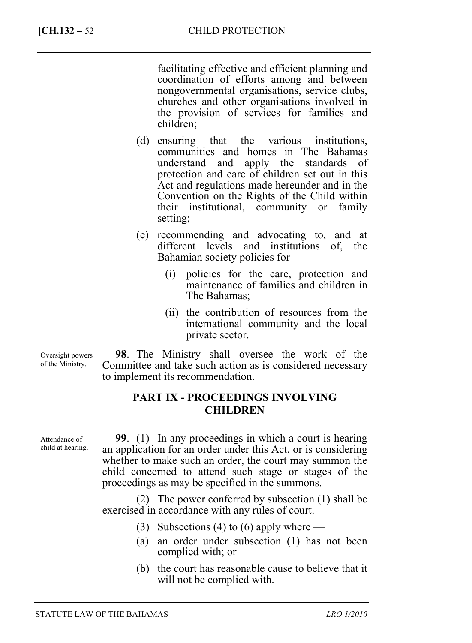facilitating effective and efficient planning and coordination of efforts among and between nongovernmental organisations, service clubs, churches and other organisations involved in the provision of services for families and children;

- (d) ensuring that the various institutions, communities and homes in The Bahamas understand and apply the standards of protection and care of children set out in this Act and regulations made hereunder and in the Convention on the Rights of the Child within their institutional, community or family setting;
- (e) recommending and advocating to, and at different levels and institutions of, the Bahamian society policies for —
	- (i) policies for the care, protection and maintenance of families and children in The Bahamas;
	- (ii) the contribution of resources from the international community and the local private sector.

**98**. The Ministry shall oversee the work of the Committee and take such action as is considered necessary to implement its recommendation. Oversight powers

# **PART IX - PROCEEDINGS INVOLVING CHILDREN**

Attendance of child at hearing.

of the Ministry.

**99**. (1) In any proceedings in which a court is hearing an application for an order under this Act, or is considering whether to make such an order, the court may summon the child concerned to attend such stage or stages of the proceedings as may be specified in the summons.

(2) The power conferred by subsection (1) shall be exercised in accordance with any rules of court.

- (3) Subsections (4) to (6) apply where —
- (a) an order under subsection (1) has not been complied with; or
- (b) the court has reasonable cause to believe that it will not be complied with.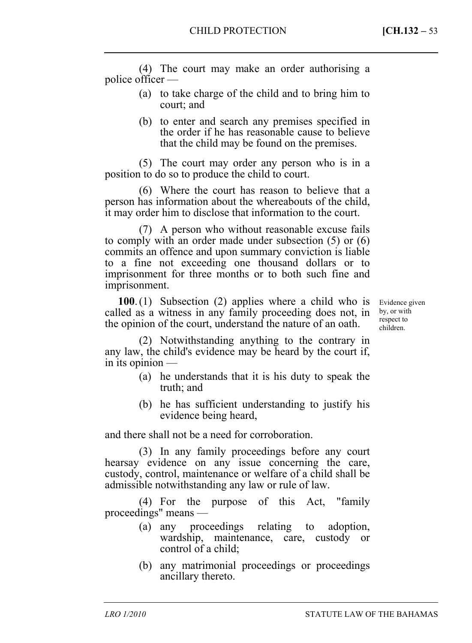(4) The court may make an order authorising a police officer —

- (a) to take charge of the child and to bring him to court; and
- (b) to enter and search any premises specified in the order if he has reasonable cause to believe that the child may be found on the premises.

(5) The court may order any person who is in a position to do so to produce the child to court.

(6) Where the court has reason to believe that a person has information about the whereabouts of the child, it may order him to disclose that information to the court.

(7) A person who without reasonable excuse fails to comply with an order made under subsection (5) or (6) commits an offence and upon summary conviction is liable to a fine not exceeding one thousand dollars or to imprisonment for three months or to both such fine and imprisonment.

**100**. (1) Subsection (2) applies where a child who is called as a witness in any family proceeding does not, in the opinion of the court, understand the nature of an oath.

Evidence given by, or with respect to children.

(2) Notwithstanding anything to the contrary in any law, the child's evidence may be heard by the court if, in its opinion —

- (a) he understands that it is his duty to speak the truth; and
- (b) he has sufficient understanding to justify his evidence being heard,

and there shall not be a need for corroboration.

(3) In any family proceedings before any court hearsay evidence on any issue concerning the care, custody, control, maintenance or welfare of a child shall be admissible notwithstanding any law or rule of law.

(4) For the purpose of this Act, "family proceedings" means —

- (a) any proceedings relating to adoption, wardship, maintenance, care, custody or control of a child;
- (b) any matrimonial proceedings or proceedings ancillary thereto.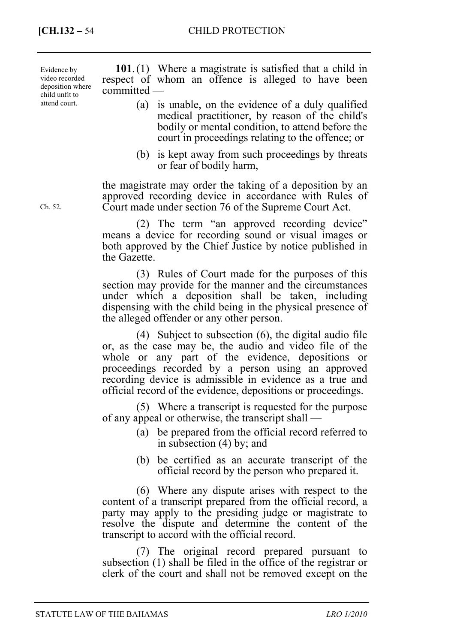Evidence by video recorded deposition where child unfit to attend court.

**101**. (1) Where a magistrate is satisfied that a child in respect of whom an offence is alleged to have been committed —

- (a) is unable, on the evidence of a duly qualified medical practitioner, by reason of the child's bodily or mental condition, to attend before the court in proceedings relating to the offence; or
- (b) is kept away from such proceedings by threats or fear of bodily harm,

the magistrate may order the taking of a deposition by an approved recording device in accordance with Rules of Court made under section 76 of the Supreme Court Act.

(2) The term "an approved recording device" means a device for recording sound or visual images or both approved by the Chief Justice by notice published in the Gazette.

(3) Rules of Court made for the purposes of this section may provide for the manner and the circumstances under which a deposition shall be taken, including dispensing with the child being in the physical presence of the alleged offender or any other person.

(4) Subject to subsection (6), the digital audio file or, as the case may be, the audio and video file of the whole or any part of the evidence, depositions or proceedings recorded by a person using an approved recording device is admissible in evidence as a true and official record of the evidence, depositions or proceedings.

(5) Where a transcript is requested for the purpose of any appeal or otherwise, the transcript shall —

- (a) be prepared from the official record referred to in subsection (4) by; and
- (b) be certified as an accurate transcript of the official record by the person who prepared it.

(6) Where any dispute arises with respect to the content of a transcript prepared from the official record, a party may apply to the presiding judge or magistrate to resolve the dispute and determine the content of the transcript to accord with the official record.

(7) The original record prepared pursuant to subsection (1) shall be filed in the office of the registrar or clerk of the court and shall not be removed except on the

Ch. 52.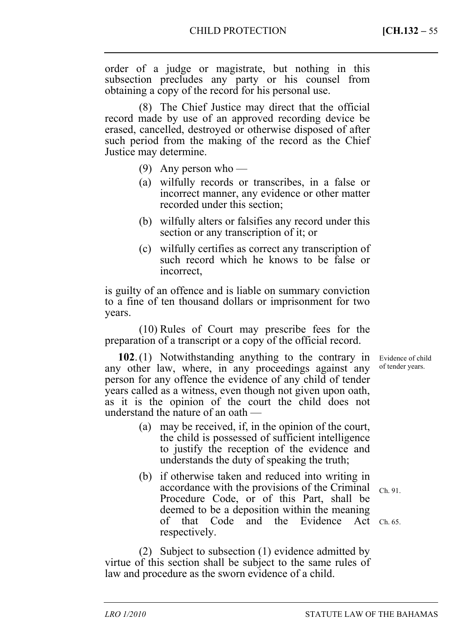order of a judge or magistrate, but nothing in this subsection precludes any party or his counsel from obtaining a copy of the record for his personal use.

(8) The Chief Justice may direct that the official record made by use of an approved recording device be erased, cancelled, destroyed or otherwise disposed of after such period from the making of the record as the Chief Justice may determine.

- (9) Any person who —
- (a) wilfully records or transcribes, in a false or incorrect manner, any evidence or other matter recorded under this section;
- (b) wilfully alters or falsifies any record under this section or any transcription of it; or
- (c) wilfully certifies as correct any transcription of such record which he knows to be false or incorrect,

is guilty of an offence and is liable on summary conviction to a fine of ten thousand dollars or imprisonment for two years.

(10) Rules of Court may prescribe fees for the preparation of a transcript or a copy of the official record.

**102**. (1) Notwithstanding anything to the contrary in any other law, where, in any proceedings against any person for any offence the evidence of any child of tender years called as a witness, even though not given upon oath, as it is the opinion of the court the child does not understand the nature of an oath —

- (a) may be received, if, in the opinion of the court, the child is possessed of sufficient intelligence to justify the reception of the evidence and understands the duty of speaking the truth;
- (b) if otherwise taken and reduced into writing in accordance with the provisions of the Criminal Procedure Code, or of this Part, shall be deemed to be a deposition within the meaning of that Code and the Evidence Act Ch. 65. respectively. Ch. 91.

(2) Subject to subsection (1) evidence admitted by virtue of this section shall be subject to the same rules of law and procedure as the sworn evidence of a child.

Evidence of child of tender years.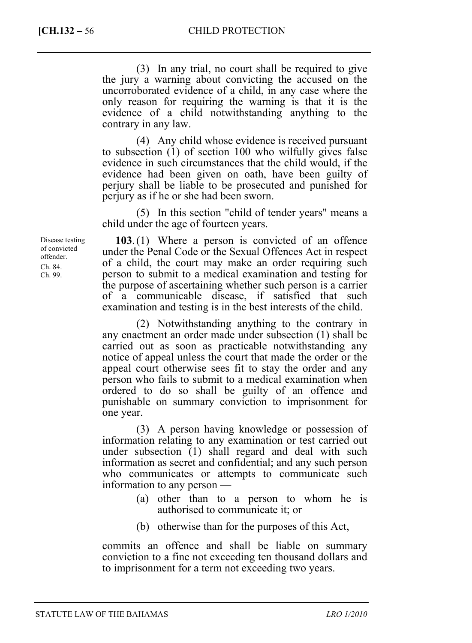(3) In any trial, no court shall be required to give the jury a warning about convicting the accused on the uncorroborated evidence of a child, in any case where the only reason for requiring the warning is that it is the evidence of a child notwithstanding anything to the contrary in any law.

(4) Any child whose evidence is received pursuant to subsection (1) of section 100 who wilfully gives false evidence in such circumstances that the child would, if the evidence had been given on oath, have been guilty of perjury shall be liable to be prosecuted and punished for perjury as if he or she had been sworn.

(5) In this section "child of tender years" means a child under the age of fourteen years.

**103**. (1) Where a person is convicted of an offence under the Penal Code or the Sexual Offences Act in respect of a child, the court may make an order requiring such person to submit to a medical examination and testing for the purpose of ascertaining whether such person is a carrier of a communicable disease, if satisfied that such examination and testing is in the best interests of the child.

(2) Notwithstanding anything to the contrary in any enactment an order made under subsection (1) shall be carried out as soon as practicable notwithstanding any notice of appeal unless the court that made the order or the appeal court otherwise sees fit to stay the order and any person who fails to submit to a medical examination when ordered to do so shall be guilty of an offence and punishable on summary conviction to imprisonment for one year.

(3) A person having knowledge or possession of information relating to any examination or test carried out under subsection (1) shall regard and deal with such information as secret and confidential; and any such person who communicates or attempts to communicate such information to any person —

- (a) other than to a person to whom he is authorised to communicate it; or
- (b) otherwise than for the purposes of this Act,

commits an offence and shall be liable on summary conviction to a fine not exceeding ten thousand dollars and to imprisonment for a term not exceeding two years.

Disease testing of convicted offender. Ch. 84. Ch. 99.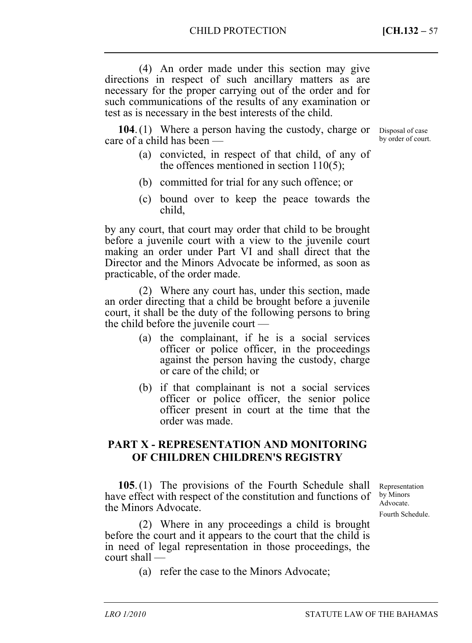(4) An order made under this section may give directions in respect of such ancillary matters as are necessary for the proper carrying out of the order and for such communications of the results of any examination or test as is necessary in the best interests of the child.

104. (1) Where a person having the custody, charge or Disposal of case care of a child has been —

- (a) convicted, in respect of that child, of any of the offences mentioned in section 110(5);
- (b) committed for trial for any such offence; or
- (c) bound over to keep the peace towards the child,

by any court, that court may order that child to be brought before a juvenile court with a view to the juvenile court making an order under Part VI and shall direct that the Director and the Minors Advocate be informed, as soon as practicable, of the order made.

(2) Where any court has, under this section, made an order directing that a child be brought before a juvenile court, it shall be the duty of the following persons to bring the child before the juvenile court —

- (a) the complainant, if he is a social services officer or police officer, in the proceedings against the person having the custody, charge or care of the child; or
- (b) if that complainant is not a social services officer or police officer, the senior police officer present in court at the time that the order was made.

## **PART X - REPRESENTATION AND MONITORING OF CHILDREN CHILDREN'S REGISTRY**

**105**. (1) The provisions of the Fourth Schedule shall have effect with respect of the constitution and functions of the Minors Advocate.

Representation by Minors Advocate. Fourth Schedule.

(2) Where in any proceedings a child is brought before the court and it appears to the court that the child is in need of legal representation in those proceedings, the court shall —

(a) refer the case to the Minors Advocate;

by order of court.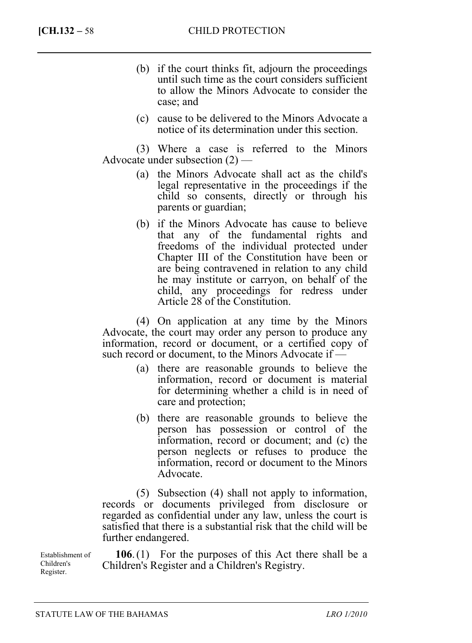- (b) if the court thinks fit, adjourn the proceedings until such time as the court considers sufficient to allow the Minors Advocate to consider the case; and
- (c) cause to be delivered to the Minors Advocate a notice of its determination under this section.

(3) Where a case is referred to the Minors Advocate under subsection (2) —

- (a) the Minors Advocate shall act as the child's legal representative in the proceedings if the child so consents, directly or through his parents or guardian;
- (b) if the Minors Advocate has cause to believe that any of the fundamental rights and freedoms of the individual protected under Chapter III of the Constitution have been or are being contravened in relation to any child he may institute or carryon, on behalf of the child, any proceedings for redress under Article 28 of the Constitution.

(4) On application at any time by the Minors Advocate, the court may order any person to produce any information, record or document, or a certified copy of such record or document, to the Minors Advocate if —

- (a) there are reasonable grounds to believe the information, record or document is material for determining whether a child is in need of care and protection;
- (b) there are reasonable grounds to believe the person has possession or control of the information, record or document; and (c) the person neglects or refuses to produce the information, record or document to the Minors Advocate.

(5) Subsection (4) shall not apply to information, records or documents privileged from disclosure or regarded as confidential under any law, unless the court is satisfied that there is a substantial risk that the child will be further endangered.

Establishment of Children's Register.

**106**. (1) For the purposes of this Act there shall be a Children's Register and a Children's Registry.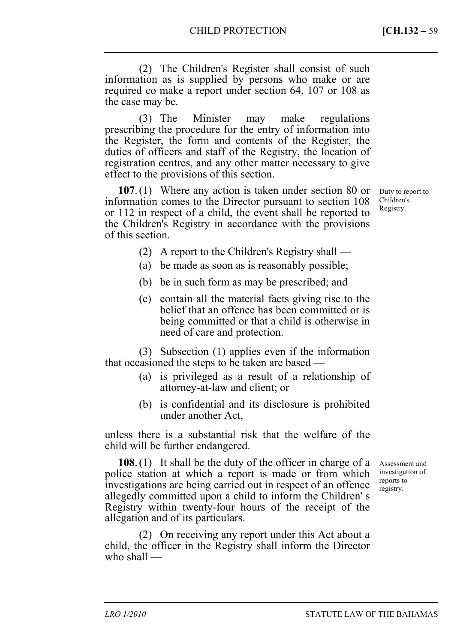(2) The Children's Register shall consist of such information as is supplied by persons who make or are required co make a report under section 64, 107 or 108 as the case may be.

(3) The Minister may make regulations prescribing the procedure for the entry of information into the Register, the form and contents of the Register, the duties of officers and staff of the Registry, the location of registration centres, and any other matter necessary to give effect to the provisions of this section.

**107**. (1) Where any action is taken under section 80 or information comes to the Director pursuant to section 108 or 112 in respect of a child, the event shall be reported to the Children's Registry in accordance with the provisions of this section.

Duty to report to Children's Registry.

- (2) A report to the Children's Registry shall —
- (a) be made as soon as is reasonably possible;
- (b) be in such form as may be prescribed; and
- (c) contain all the material facts giving rise to the belief that an offence has been committed or is being committed or that a child is otherwise in need of care and protection.

(3) Subsection (1) applies even if the information that occasioned the steps to be taken are based —

- (a) is privileged as a result of a relationship of attorney-at-law and client; or
- (b) is confidential and its disclosure is prohibited under another Act,

unless there is a substantial risk that the welfare of the child will be further endangered.

**108**. (1) It shall be the duty of the officer in charge of a police station at which a report is made or from which investigations are being carried out in respect of an offence allegedly committed upon a child to inform the Children' s Registry within twenty-four hours of the receipt of the allegation and of its particulars.

(2) On receiving any report under this Act about a child, the officer in the Registry shall inform the Director who shall —

Assessment and investigation of reports to registry.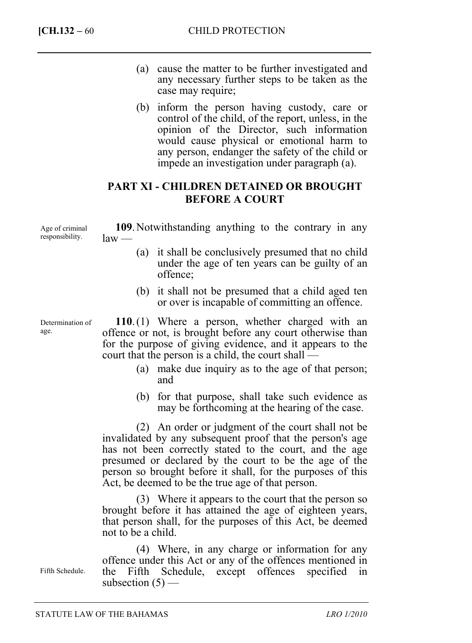- (a) cause the matter to be further investigated and any necessary further steps to be taken as the case may require;
- (b) inform the person having custody, care or control of the child, of the report, unless, in the opinion of the Director, such information would cause physical or emotional harm to any person, endanger the safety of the child or impede an investigation under paragraph (a).

## **PART XI - CHILDREN DETAINED OR BROUGHT BEFORE A COURT**

Age of criminal responsibility.

**109**. Notwithstanding anything to the contrary in any law —

- (a) it shall be conclusively presumed that no child under the age of ten years can be guilty of an offence;
- (b) it shall not be presumed that a child aged ten or over is incapable of committing an offence.

**110**. (1) Where a person, whether charged with an offence or not, is brought before any court otherwise than for the purpose of giving evidence, and it appears to the court that the person is a child, the court shall —

- (a) make due inquiry as to the age of that person; and
- (b) for that purpose, shall take such evidence as may be forthcoming at the hearing of the case.

(2) An order or judgment of the court shall not be invalidated by any subsequent proof that the person's age has not been correctly stated to the court, and the age presumed or declared by the court to be the age of the person so brought before it shall, for the purposes of this Act, be deemed to be the true age of that person.

(3) Where it appears to the court that the person so brought before it has attained the age of eighteen years, that person shall, for the purposes of this Act, be deemed not to be a child.

(4) Where, in any charge or information for any offence under this Act or any of the offences mentioned in the Fifth Schedule, except offences specified in subsection  $(5)$  —

Determination of

age.

Fifth Schedule.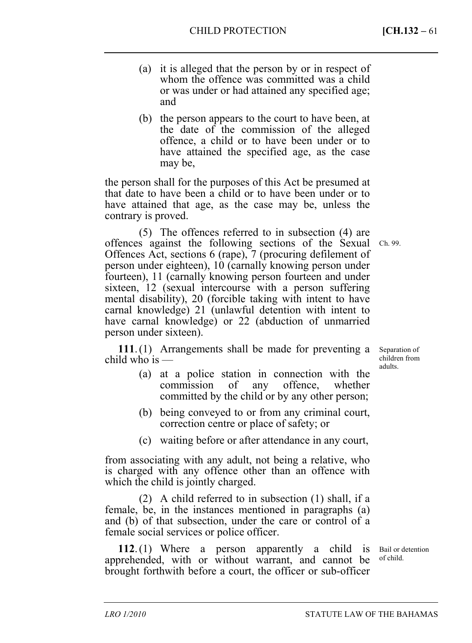- (a) it is alleged that the person by or in respect of whom the offence was committed was a child or was under or had attained any specified age; and
- (b) the person appears to the court to have been, at the date of the commission of the alleged offence, a child or to have been under or to have attained the specified age, as the case may be,

the person shall for the purposes of this Act be presumed at that date to have been a child or to have been under or to have attained that age, as the case may be, unless the contrary is proved.

(5) The offences referred to in subsection (4) are offences against the following sections of the Sexual Ch. 99. Offences Act, sections 6 (rape), 7 (procuring defilement of person under eighteen), 10 (carnally knowing person under fourteen), 11 (carnally knowing person fourteen and under sixteen, 12 (sexual intercourse with a person suffering mental disability), 20 (forcible taking with intent to have carnal knowledge) 21 (unlawful detention with intent to have carnal knowledge) or 22 (abduction of unmarried person under sixteen).

**111**. (1) Arrangements shall be made for preventing a child who is —

Separation of children from adults.

- (a) at a police station in connection with the commission of any offence, whether committed by the child or by any other person;
- (b) being conveyed to or from any criminal court, correction centre or place of safety; or
- (c) waiting before or after attendance in any court,

from associating with any adult, not being a relative, who is charged with any offence other than an offence with which the child is jointly charged.

(2) A child referred to in subsection (1) shall, if a female, be, in the instances mentioned in paragraphs (a) and (b) of that subsection, under the care or control of a female social services or police officer.

**112**. (1) Where a person apparently a child is apprehended, with or without warrant, and cannot be brought forthwith before a court, the officer or sub-officer

Bail or detention of child.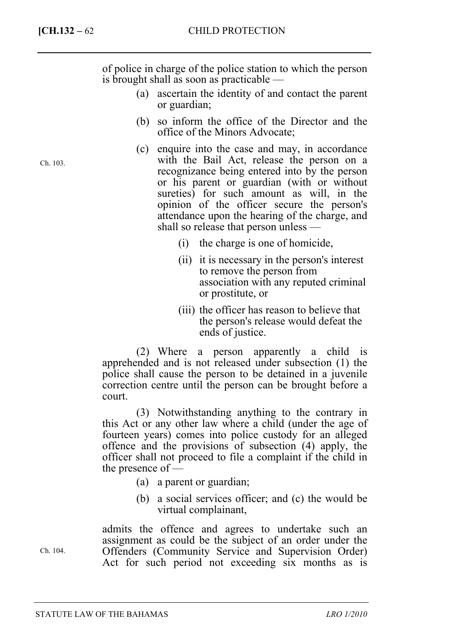Ch. 103.

of police in charge of the police station to which the person is brought shall as soon as practicable —

- (a) ascertain the identity of and contact the parent or guardian;
- (b) so inform the office of the Director and the office of the Minors Advocate;
- (c) enquire into the case and may, in accordance with the Bail Act, release the person on a recognizance being entered into by the person or his parent or guardian (with or without sureties) for such amount as will, in the opinion of the officer secure the person's attendance upon the hearing of the charge, and shall so release that person unless —
	- (i) the charge is one of homicide,
	- (ii) it is necessary in the person's interest to remove the person from association with any reputed criminal or prostitute, or
	- (iii) the officer has reason to believe that the person's release would defeat the ends of justice.

(2) Where a person apparently a child is apprehended and is not released under subsection (1) the police shall cause the person to be detained in a juvenile correction centre until the person can be brought before a court.

(3) Notwithstanding anything to the contrary in this Act or any other law where a child (under the age of fourteen years) comes into police custody for an alleged offence and the provisions of subsection (4) apply, the officer shall not proceed to file a complaint if the child in the presence of —

- (a) a parent or guardian;
- (b) a social services officer; and (c) the would be virtual complainant,

admits the offence and agrees to undertake such an assignment as could be the subject of an order under the Offenders (Community Service and Supervision Order) Act for such period not exceeding six months as is

Ch. 104.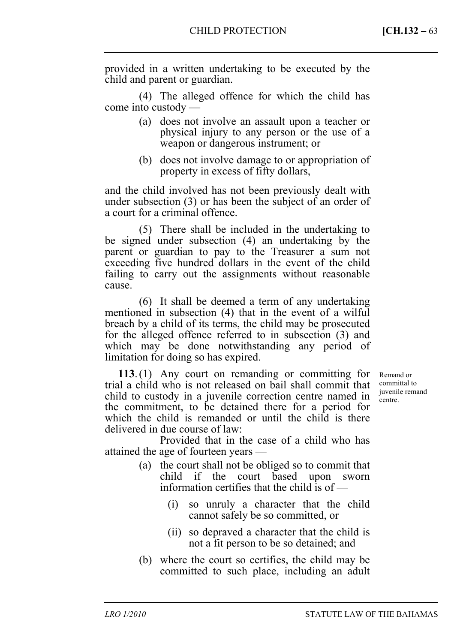provided in a written undertaking to be executed by the child and parent or guardian.

(4) The alleged offence for which the child has come into custody —

- (a) does not involve an assault upon a teacher or physical injury to any person or the use of a weapon or dangerous instrument; or
- (b) does not involve damage to or appropriation of property in excess of fifty dollars,

and the child involved has not been previously dealt with under subsection (3) or has been the subject of an order of a court for a criminal offence.

(5) There shall be included in the undertaking to be signed under subsection (4) an undertaking by the parent or guardian to pay to the Treasurer a sum not exceeding five hundred dollars in the event of the child failing to carry out the assignments without reasonable cause.

(6) It shall be deemed a term of any undertaking mentioned in subsection (4) that in the event of a wilful breach by a child of its terms, the child may be prosecuted for the alleged offence referred to in subsection (3) and which may be done notwithstanding any period of limitation for doing so has expired.

**113**. (1) Any court on remanding or committing for trial a child who is not released on bail shall commit that child to custody in a juvenile correction centre named in the commitment, to be detained there for a period for which the child is remanded or until the child is there delivered in due course of law:

Provided that in the case of a child who has attained the age of fourteen years —

- (a) the court shall not be obliged so to commit that child if the court based upon sworn information certifies that the child is of —
	- (i) so unruly a character that the child cannot safely be so committed, or
	- (ii) so depraved a character that the child is not a fit person to be so detained; and
- (b) where the court so certifies, the child may be committed to such place, including an adult

Remand or committal to juvenile remand centre.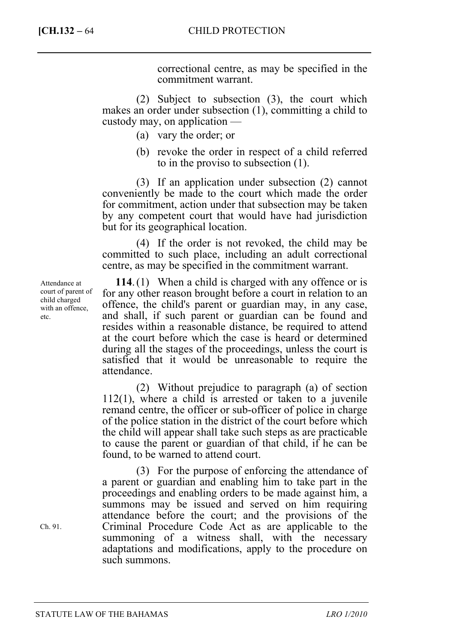correctional centre, as may be specified in the commitment warrant.

(2) Subject to subsection (3), the court which makes an order under subsection (1), committing a child to custody may, on application —

- (a) vary the order; or
- (b) revoke the order in respect of a child referred to in the proviso to subsection (1).

(3) If an application under subsection (2) cannot conveniently be made to the court which made the order for commitment, action under that subsection may be taken by any competent court that would have had jurisdiction but for its geographical location.

(4) If the order is not revoked, the child may be committed to such place, including an adult correctional centre, as may be specified in the commitment warrant.

**114**. (1) When a child is charged with any offence or is for any other reason brought before a court in relation to an offence, the child's parent or guardian may, in any case, and shall, if such parent or guardian can be found and resides within a reasonable distance, be required to attend at the court before which the case is heard or determined during all the stages of the proceedings, unless the court is satisfied that it would be unreasonable to require the attendance.

(2) Without prejudice to paragraph (a) of section 112(1), where a child is arrested or taken to a juvenile remand centre, the officer or sub-officer of police in charge of the police station in the district of the court before which the child will appear shall take such steps as are practicable to cause the parent or guardian of that child, if he can be found, to be warned to attend court.

(3) For the purpose of enforcing the attendance of a parent or guardian and enabling him to take part in the proceedings and enabling orders to be made against him, a summons may be issued and served on him requiring attendance before the court; and the provisions of the Criminal Procedure Code Act as are applicable to the summoning of a witness shall, with the necessary adaptations and modifications, apply to the procedure on such summons.

Attendance at court of parent of child charged with an offence, etc.

Ch. 91.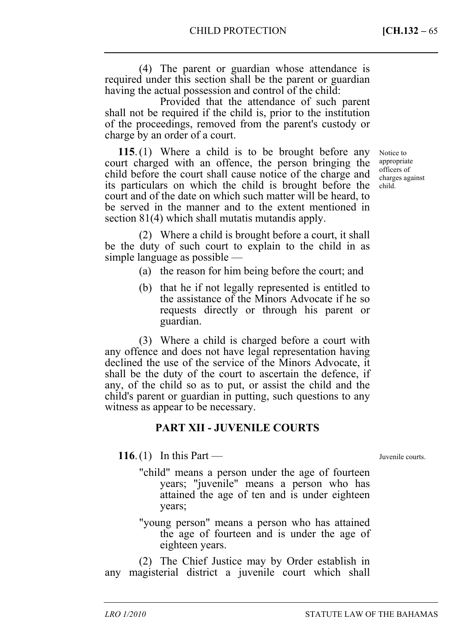(4) The parent or guardian whose attendance is required under this section shall be the parent or guardian having the actual possession and control of the child:

Provided that the attendance of such parent shall not be required if the child is, prior to the institution of the proceedings, removed from the parent's custody or charge by an order of a court.

**115**. (1) Where a child is to be brought before any court charged with an offence, the person bringing the child before the court shall cause notice of the charge and its particulars on which the child is brought before the court and of the date on which such matter will be heard, to be served in the manner and to the extent mentioned in section 81(4) which shall mutatis mutandis apply.

Notice to appropriate officers of charges against child.

(2) Where a child is brought before a court, it shall be the duty of such court to explain to the child in as simple language as possible —

- (a) the reason for him being before the court; and
- (b) that he if not legally represented is entitled to the assistance of the Minors Advocate if he so requests directly or through his parent or guardian.

(3) Where a child is charged before a court with any offence and does not have legal representation having declined the use of the service of the Minors Advocate, it shall be the duty of the court to ascertain the defence, if any, of the child so as to put, or assist the child and the child's parent or guardian in putting, such questions to any witness as appear to be necessary.

#### **PART XII - JUVENILE COURTS**

**116**. (1) In this Part —

"child" means a person under the age of fourteen years; "juvenile" means a person who has attained the age of ten and is under eighteen years;

"young person" means a person who has attained the age of fourteen and is under the age of eighteen years.

(2) The Chief Justice may by Order establish in any magisterial district a juvenile court which shall

Juvenile courts.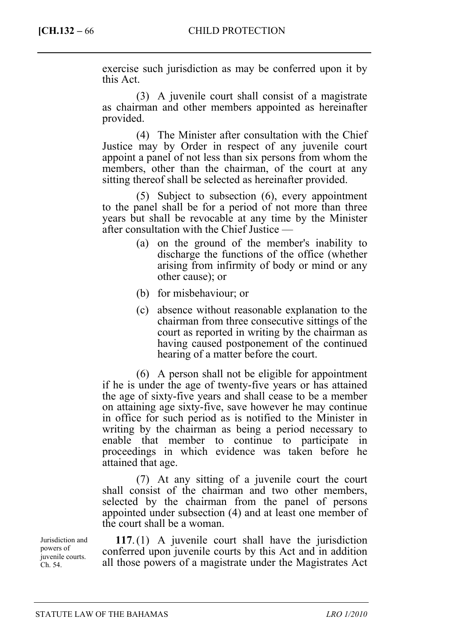exercise such jurisdiction as may be conferred upon it by this Act.

(3) A juvenile court shall consist of a magistrate as chairman and other members appointed as hereinafter provided.

(4) The Minister after consultation with the Chief Justice may by Order in respect of any juvenile court appoint a panel of not less than six persons from whom the members, other than the chairman, of the court at any sitting thereof shall be selected as hereinafter provided.

(5) Subject to subsection (6), every appointment to the panel shall be for a period of not more than three years but shall be revocable at any time by the Minister after consultation with the Chief Justice —

- (a) on the ground of the member's inability to discharge the functions of the office (whether arising from infirmity of body or mind or any other cause); or
- (b) for misbehaviour; or
- (c) absence without reasonable explanation to the chairman from three consecutive sittings of the court as reported in writing by the chairman as having caused postponement of the continued hearing of a matter before the court.

(6) A person shall not be eligible for appointment if he is under the age of twenty-five years or has attained the age of sixty-five years and shall cease to be a member on attaining age sixty-five, save however he may continue in office for such period as is notified to the Minister in writing by the chairman as being a period necessary to enable that member to continue to participate in proceedings in which evidence was taken before he attained that age.

(7) At any sitting of a juvenile court the court shall consist of the chairman and two other members, selected by the chairman from the panel of persons appointed under subsection (4) and at least one member of the court shall be a woman.

**117**. (1) A juvenile court shall have the jurisdiction conferred upon juvenile courts by this Act and in addition all those powers of a magistrate under the Magistrates Act

Jurisdiction and powers of juvenile courts. Ch. 54.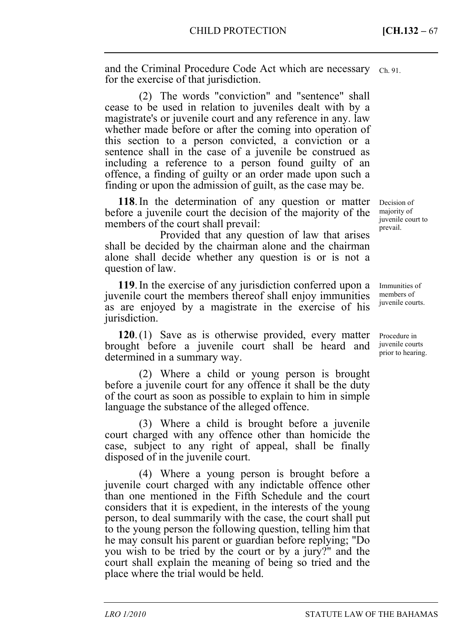and the Criminal Procedure Code Act which are necessary Ch. 91. for the exercise of that jurisdiction.

(2) The words "conviction" and "sentence" shall cease to be used in relation to juveniles dealt with by a magistrate's or juvenile court and any reference in any. law whether made before or after the coming into operation of this section to a person convicted, a conviction or a sentence shall in the case of a juvenile be construed as including a reference to a person found guilty of an offence, a finding of guilty or an order made upon such a finding or upon the admission of guilt, as the case may be.

**118**. In the determination of any question or matter before a juvenile court the decision of the majority of the members of the court shall prevail:

Provided that any question of law that arises shall be decided by the chairman alone and the chairman alone shall decide whether any question is or is not a question of law.

**119**. In the exercise of any jurisdiction conferred upon a juvenile court the members thereof shall enjoy immunities as are enjoyed by a magistrate in the exercise of his jurisdiction.

**120**. (1) Save as is otherwise provided, every matter brought before a juvenile court shall be heard and determined in a summary way.

(2) Where a child or young person is brought before a juvenile court for any offence it shall be the duty of the court as soon as possible to explain to him in simple language the substance of the alleged offence.

(3) Where a child is brought before a juvenile court charged with any offence other than homicide the case, subject to any right of appeal, shall be finally disposed of in the juvenile court.

(4) Where a young person is brought before a juvenile court charged with any indictable offence other than one mentioned in the Fifth Schedule and the court considers that it is expedient, in the interests of the young person, to deal summarily with the case, the court shall put to the young person the following question, telling him that he may consult his parent or guardian before replying; "Do you wish to be tried by the court or by a jury?" and the court shall explain the meaning of being so tried and the place where the trial would be held.

Decision of majority of juvenile court to prevail.

Immunities of members of juvenile courts.

Procedure in juvenile courts prior to hearing.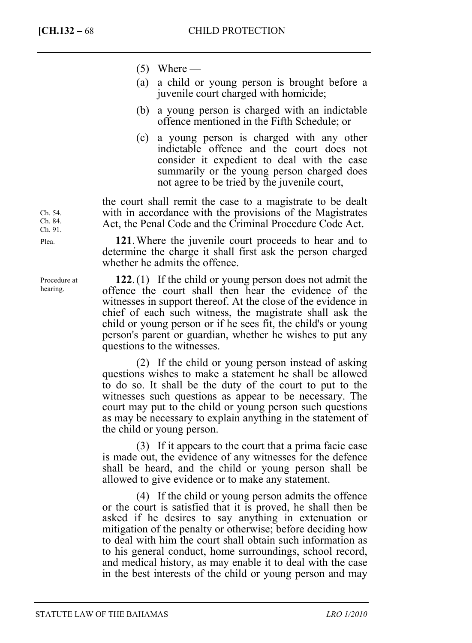- $(5)$  Where —
- (a) a child or young person is brought before a juvenile court charged with homicide;
- (b) a young person is charged with an indictable offence mentioned in the Fifth Schedule; or
- (c) a young person is charged with any other indictable offence and the court does not consider it expedient to deal with the case summarily or the young person charged does not agree to be tried by the juvenile court,

the court shall remit the case to a magistrate to be dealt with in accordance with the provisions of the Magistrates Act, the Penal Code and the Criminal Procedure Code Act.

**121**. Where the juvenile court proceeds to hear and to determine the charge it shall first ask the person charged whether he admits the offence.

**122**. (1) If the child or young person does not admit the offence the court shall then hear the evidence of the witnesses in support thereof. At the close of the evidence in chief of each such witness, the magistrate shall ask the child or young person or if he sees fit, the child's or young person's parent or guardian, whether he wishes to put any questions to the witnesses.

(2) If the child or young person instead of asking questions wishes to make a statement he shall be allowed to do so. It shall be the duty of the court to put to the witnesses such questions as appear to be necessary. The court may put to the child or young person such questions as may be necessary to explain anything in the statement of the child or young person.

(3) If it appears to the court that a prima facie case is made out, the evidence of any witnesses for the defence shall be heard, and the child or young person shall be allowed to give evidence or to make any statement.

(4) If the child or young person admits the offence or the court is satisfied that it is proved, he shall then be asked if he desires to say anything in extenuation or mitigation of the penalty or otherwise; before deciding how to deal with him the court shall obtain such information as to his general conduct, home surroundings, school record, and medical history, as may enable it to deal with the case in the best interests of the child or young person and may

Ch. 54. Ch. 84. Ch. 91. Plea.

Procedure at hearing.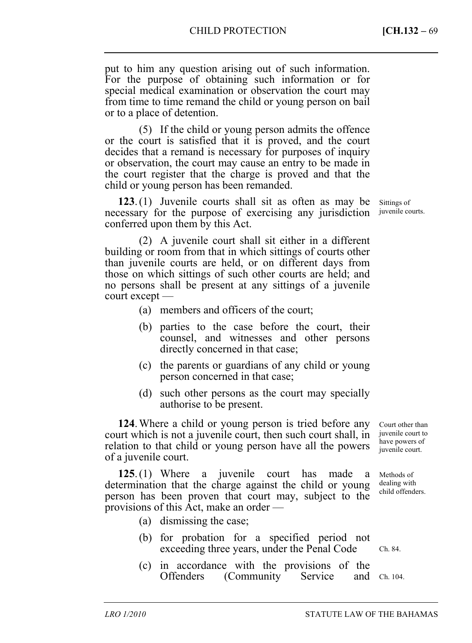put to him any question arising out of such information. For the purpose of obtaining such information or for special medical examination or observation the court may from time to time remand the child or young person on bail or to a place of detention.

(5) If the child or young person admits the offence or the court is satisfied that it is proved, and the court decides that a remand is necessary for purposes of inquiry or observation, the court may cause an entry to be made in the court register that the charge is proved and that the child or young person has been remanded.

**123**. (1) Juvenile courts shall sit as often as may be necessary for the purpose of exercising any jurisdiction conferred upon them by this Act.

(2) A juvenile court shall sit either in a different building or room from that in which sittings of courts other than juvenile courts are held, or on different days from those on which sittings of such other courts are held; and no persons shall be present at any sittings of a juvenile court except —

- (a) members and officers of the court;
- (b) parties to the case before the court, their counsel, and witnesses and other persons directly concerned in that case;
- (c) the parents or guardians of any child or young person concerned in that case;
- (d) such other persons as the court may specially authorise to be present.

**124**. Where a child or young person is tried before any court which is not a juvenile court, then such court shall, in relation to that child or young person have all the powers of a juvenile court. Court other than juvenile court to have powers of juvenile court.

**125**. (1) Where a juvenile court has made a determination that the charge against the child or young person has been proven that court may, subject to the provisions of this Act, make an order — Methods of dealing with child offenders.

- (a) dismissing the case;
- (b) for probation for a specified period not exceeding three years, under the Penal Code
- (c) in accordance with the provisions of the Offenders (Community Service and Ch. 104.

Sittings of juvenile courts.

Ch. 84.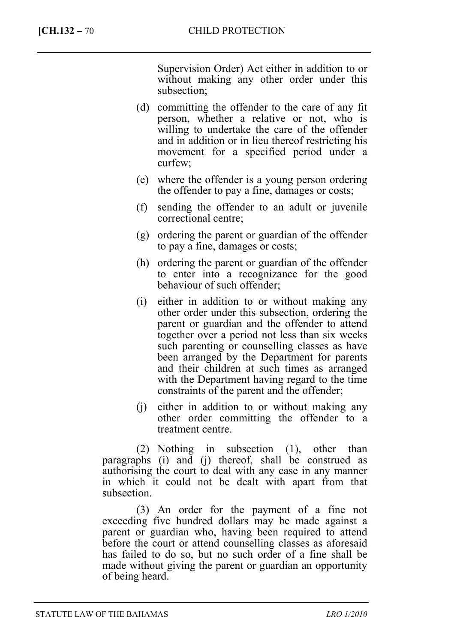Supervision Order) Act either in addition to or without making any other order under this subsection;

- (d) committing the offender to the care of any fit person, whether a relative or not, who is willing to undertake the care of the offender and in addition or in lieu thereof restricting his movement for a specified period under a curfew;
- (e) where the offender is a young person ordering the offender to pay a fine, damages or costs;
- (f) sending the offender to an adult or juvenile correctional centre;
- (g) ordering the parent or guardian of the offender to pay a fine, damages or costs;
- (h) ordering the parent or guardian of the offender to enter into a recognizance for the good behaviour of such offender;
- (i) either in addition to or without making any other order under this subsection, ordering the parent or guardian and the offender to attend together over a period not less than six weeks such parenting or counselling classes as have been arranged by the Department for parents and their children at such times as arranged with the Department having regard to the time constraints of the parent and the offender;
- (j) either in addition to or without making any other order committing the offender to a treatment centre.

(2) Nothing in subsection (1), other than paragraphs (i) and (j) thereof, shall be construed as authorising the court to deal with any case in any manner in which it could not be dealt with apart from that subsection.

(3) An order for the payment of a fine not exceeding five hundred dollars may be made against a parent or guardian who, having been required to attend before the court or attend counselling classes as aforesaid has failed to do so, but no such order of a fine shall be made without giving the parent or guardian an opportunity of being heard.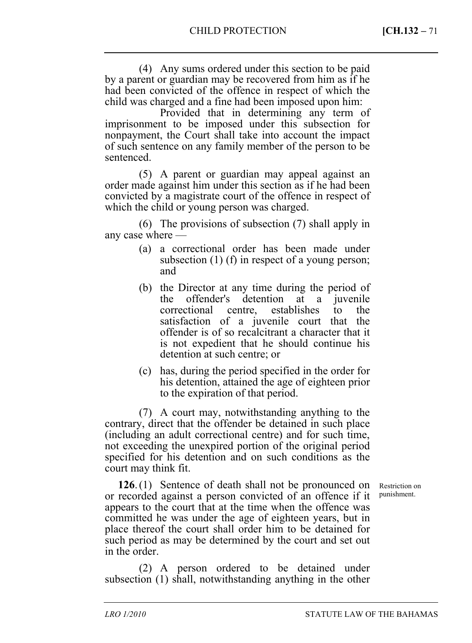(4) Any sums ordered under this section to be paid by a parent or guardian may be recovered from him as if he had been convicted of the offence in respect of which the child was charged and a fine had been imposed upon him:

Provided that in determining any term of imprisonment to be imposed under this subsection for nonpayment, the Court shall take into account the impact of such sentence on any family member of the person to be sentenced.

(5) A parent or guardian may appeal against an order made against him under this section as if he had been convicted by a magistrate court of the offence in respect of which the child or young person was charged.

(6) The provisions of subsection (7) shall apply in any case where —

- (a) a correctional order has been made under subsection (1) (f) in respect of a young person; and
- (b) the Director at any time during the period of the offender's detention at a juvenile<br>correctional centre, establishes to the correctional centre, establishes to the satisfaction of a juvenile court that the offender is of so recalcitrant a character that it is not expedient that he should continue his detention at such centre; or
- (c) has, during the period specified in the order for his detention, attained the age of eighteen prior to the expiration of that period.

(7) A court may, notwithstanding anything to the contrary, direct that the offender be detained in such place (including an adult correctional centre) and for such time, not exceeding the unexpired portion of the original period specified for his detention and on such conditions as the court may think fit.

**126**. (1) Sentence of death shall not be pronounced on or recorded against a person convicted of an offence if it appears to the court that at the time when the offence was committed he was under the age of eighteen years, but in place thereof the court shall order him to be detained for such period as may be determined by the court and set out in the order.

(2) A person ordered to be detained under subsection (1) shall, notwithstanding anything in the other

Restriction on punishment.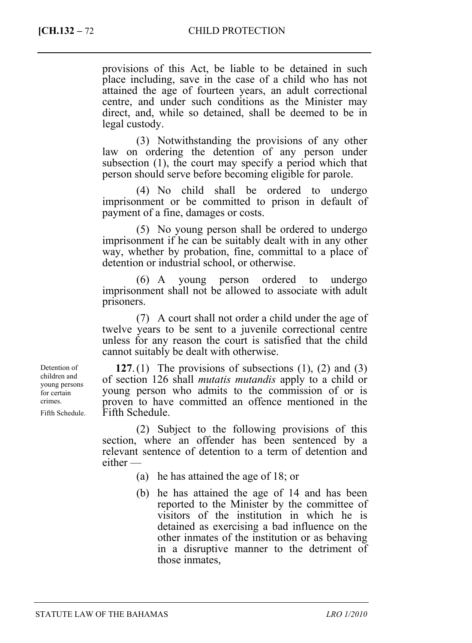provisions of this Act, be liable to be detained in such place including, save in the case of a child who has not attained the age of fourteen years, an adult correctional centre, and under such conditions as the Minister may direct, and, while so detained, shall be deemed to be in legal custody.

(3) Notwithstanding the provisions of any other law on ordering the detention of any person under subsection (1), the court may specify a period which that person should serve before becoming eligible for parole.

(4) No child shall be ordered to undergo imprisonment or be committed to prison in default of payment of a fine, damages or costs.

(5) No young person shall be ordered to undergo imprisonment if he can be suitably dealt with in any other way, whether by probation, fine, committal to a place of detention or industrial school, or otherwise.

(6) A young person ordered to undergo imprisonment shall not be allowed to associate with adult prisoners.

(7) A court shall not order a child under the age of twelve years to be sent to a juvenile correctional centre unless for any reason the court is satisfied that the child cannot suitably be dealt with otherwise.

**127**. (1) The provisions of subsections (1), (2) and (3) of section 126 shall *mutatis mutandis* apply to a child or young person who admits to the commission of or is proven to have committed an offence mentioned in the Fifth Schedule.

(2) Subject to the following provisions of this section, where an offender has been sentenced by a relevant sentence of detention to a term of detention and either —

- (a) he has attained the age of 18; or
- (b) he has attained the age of 14 and has been reported to the Minister by the committee of visitors of the institution in which he is detained as exercising a bad influence on the other inmates of the institution or as behaving in a disruptive manner to the detriment of those inmates,

Detention of children and young persons for certain crimes. Fifth Schedule.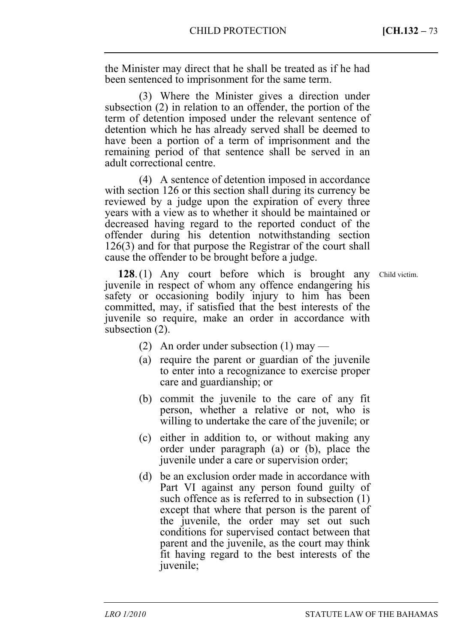the Minister may direct that he shall be treated as if he had been sentenced to imprisonment for the same term.

(3) Where the Minister gives a direction under subsection (2) in relation to an offender, the portion of the term of detention imposed under the relevant sentence of detention which he has already served shall be deemed to have been a portion of a term of imprisonment and the remaining period of that sentence shall be served in an adult correctional centre.

(4) A sentence of detention imposed in accordance with section 126 or this section shall during its currency be reviewed by a judge upon the expiration of every three years with a view as to whether it should be maintained or decreased having regard to the reported conduct of the offender during his detention notwithstanding section 126(3) and for that purpose the Registrar of the court shall cause the offender to be brought before a judge.

**128**. (1) Any court before which is brought any juvenile in respect of whom any offence endangering his safety or occasioning bodily injury to him has been committed, may, if satisfied that the best interests of the juvenile so require, make an order in accordance with subsection (2).

- (2) An order under subsection (1) may —
- (a) require the parent or guardian of the juvenile to enter into a recognizance to exercise proper care and guardianship; or
- (b) commit the juvenile to the care of any fit person, whether a relative or not, who is willing to undertake the care of the juvenile; or
- (c) either in addition to, or without making any order under paragraph (a) or (b), place the juvenile under a care or supervision order;
- (d) be an exclusion order made in accordance with Part VI against any person found guilty of such offence as is referred to in subsection (1) except that where that person is the parent of the juvenile, the order may set out such conditions for supervised contact between that parent and the juvenile, as the court may think fit having regard to the best interests of the juvenile;

Child victim.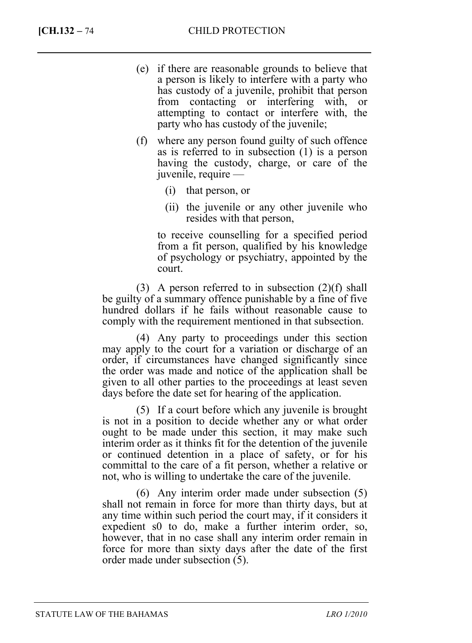- (e) if there are reasonable grounds to believe that a person is likely to interfere with a party who has custody of a juvenile, prohibit that person from contacting or interfering with, or attempting to contact or interfere with, the party who has custody of the juvenile;
- (f) where any person found guilty of such offence as is referred to in subsection (1) is a person having the custody, charge, or care of the juvenile, require —
	- (i) that person, or
	- (ii) the juvenile or any other juvenile who resides with that person,

 to receive counselling for a specified period from a fit person, qualified by his knowledge of psychology or psychiatry, appointed by the court.

(3) A person referred to in subsection  $(2)(f)$  shall be guilty of a summary offence punishable by a fine of five hundred dollars if he fails without reasonable cause to comply with the requirement mentioned in that subsection.

(4) Any party to proceedings under this section may apply to the court for a variation or discharge of an order, if circumstances have changed significantly since the order was made and notice of the application shall be given to all other parties to the proceedings at least seven days before the date set for hearing of the application.

(5) If a court before which any juvenile is brought is not in a position to decide whether any or what order ought to be made under this section, it may make such interim order as it thinks fit for the detention of the juvenile or continued detention in a place of safety, or for his committal to the care of a fit person, whether a relative or not, who is willing to undertake the care of the juvenile.

(6) Any interim order made under subsection (5) shall not remain in force for more than thirty days, but at any time within such period the court may, if it considers it expedient s0 to do, make a further interim order, so, however, that in no case shall any interim order remain in force for more than sixty days after the date of the first order made under subsection (5).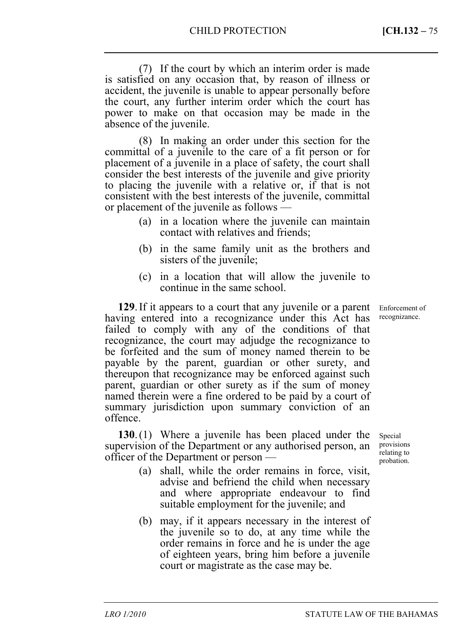(7) If the court by which an interim order is made is satisfied on any occasion that, by reason of illness or accident, the juvenile is unable to appear personally before the court, any further interim order which the court has power to make on that occasion may be made in the absence of the juvenile.

(8) In making an order under this section for the committal of a juvenile to the care of a fit person or for placement of a juvenile in a place of safety, the court shall consider the best interests of the juvenile and give priority to placing the juvenile with a relative or, if that is not consistent with the best interests of the juvenile, committal or placement of the juvenile as follows —

- (a) in a location where the juvenile can maintain contact with relatives and friends;
- (b) in the same family unit as the brothers and sisters of the juvenile;
- (c) in a location that will allow the juvenile to continue in the same school.

**129**. If it appears to a court that any juvenile or a parent having entered into a recognizance under this Act has failed to comply with any of the conditions of that recognizance, the court may adjudge the recognizance to be forfeited and the sum of money named therein to be payable by the parent, guardian or other surety, and thereupon that recognizance may be enforced against such parent, guardian or other surety as if the sum of money named therein were a fine ordered to be paid by a court of summary jurisdiction upon summary conviction of an offence.

**130**. (1) Where a juvenile has been placed under the supervision of the Department or any authorised person, an officer of the Department or person —

- (a) shall, while the order remains in force, visit, advise and befriend the child when necessary and where appropriate endeavour to find suitable employment for the juvenile; and
- (b) may, if it appears necessary in the interest of the juvenile so to do, at any time while the order remains in force and he is under the age of eighteen years, bring him before a juvenile court or magistrate as the case may be.

Enforcement of recognizance.

Special provisions relating to probation.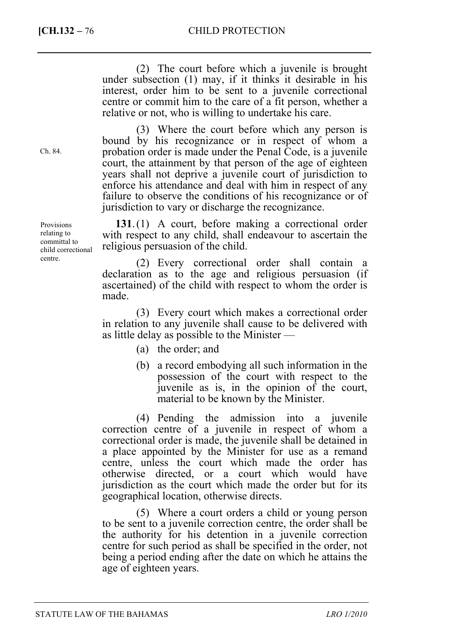(2) The court before which a juvenile is brought under subsection (1) may, if it thinks it desirable in his interest, order him to be sent to a juvenile correctional centre or commit him to the care of a fit person, whether a relative or not, who is willing to undertake his care.

(3) Where the court before which any person is bound by his recognizance or in respect of whom a probation order is made under the Penal Code, is a juvenile court, the attainment by that person of the age of eighteen years shall not deprive a juvenile court of jurisdiction to enforce his attendance and deal with him in respect of any failure to observe the conditions of his recognizance or of jurisdiction to vary or discharge the recognizance.

**131**. (1) A court, before making a correctional order with respect to any child, shall endeavour to ascertain the religious persuasion of the child.

(2) Every correctional order shall contain a declaration as to the age and religious persuasion (if ascertained) of the child with respect to whom the order is made.

(3) Every court which makes a correctional order in relation to any juvenile shall cause to be delivered with as little delay as possible to the Minister —

- (a) the order; and
- (b) a record embodying all such information in the possession of the court with respect to the juvenile as is, in the opinion of the court, material to be known by the Minister.

(4) Pending the admission into a juvenile correction centre of a juvenile in respect of whom a correctional order is made, the juvenile shall be detained in a place appointed by the Minister for use as a remand centre, unless the court which made the order has otherwise directed, or a court which would have jurisdiction as the court which made the order but for its geographical location, otherwise directs.

(5) Where a court orders a child or young person to be sent to a juvenile correction centre, the order shall be the authority for his detention in a juvenile correction centre for such period as shall be specified in the order, not being a period ending after the date on which he attains the age of eighteen years.

Ch. 84.

Provisions relating to committal to child correctional centre.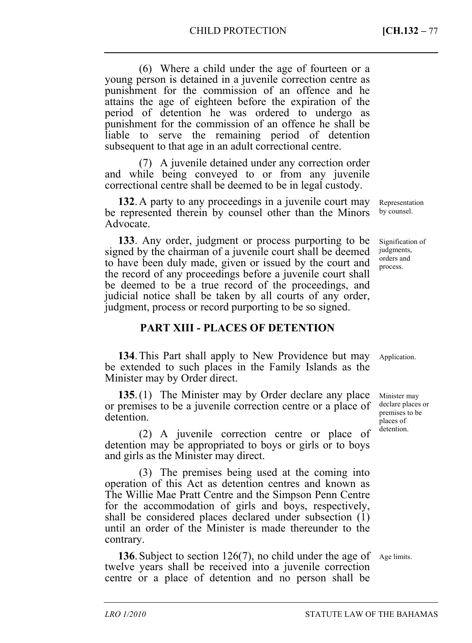(6) Where a child under the age of fourteen or a young person is detained in a juvenile correction centre as punishment for the commission of an offence and he attains the age of eighteen before the expiration of the period of detention he was ordered to undergo as punishment for the commission of an offence he shall be liable to serve the remaining period of detention subsequent to that age in an adult correctional centre.

(7) A juvenile detained under any correction order and while being conveyed to or from any juvenile correctional centre shall be deemed to be in legal custody.

**132**. A party to any proceedings in a juvenile court may be represented therein by counsel other than the Minors Advocate.

**133**. Any order, judgment or process purporting to be signed by the chairman of a juvenile court shall be deemed to have been duly made, given or issued by the court and the record of any proceedings before a juvenile court shall be deemed to be a true record of the proceedings, and judicial notice shall be taken by all courts of any order, judgment, process or record purporting to be so signed.

#### **PART XIII - PLACES OF DETENTION**

**134**. This Part shall apply to New Providence but may be extended to such places in the Family Islands as the Minister may by Order direct. Application.

**135**. (1) The Minister may by Order declare any place or premises to be a juvenile correction centre or a place of detention.

(2) A juvenile correction centre or place of detention may be appropriated to boys or girls or to boys and girls as the Minister may direct.

(3) The premises being used at the coming into operation of this Act as detention centres and known as The Willie Mae Pratt Centre and the Simpson Penn Centre for the accommodation of girls and boys, respectively, shall be considered places declared under subsection (1) until an order of the Minister is made thereunder to the contrary.

**136**. Subject to section 126(7), no child under the age of Age limits. twelve years shall be received into a juvenile correction centre or a place of detention and no person shall be

Minister may declare places or premises to be places of detention.

Representation by counsel.

Signification of judgments, orders and process.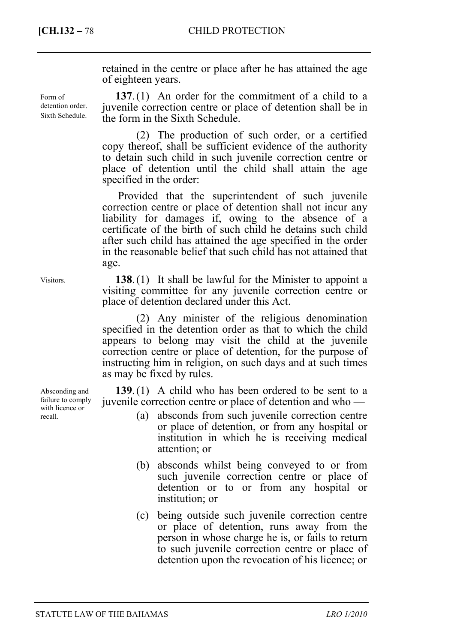Form of detention order. Sixth Schedule.

retained in the centre or place after he has attained the age of eighteen years.

**137**. (1) An order for the commitment of a child to a juvenile correction centre or place of detention shall be in the form in the Sixth Schedule.

(2) The production of such order, or a certified copy thereof, shall be sufficient evidence of the authority to detain such child in such juvenile correction centre or place of detention until the child shall attain the age specified in the order:

Provided that the superintendent of such juvenile correction centre or place of detention shall not incur any liability for damages if, owing to the absence of a certificate of the birth of such child he detains such child after such child has attained the age specified in the order in the reasonable belief that such child has not attained that age.

**138**. (1) It shall be lawful for the Minister to appoint a visiting committee for any juvenile correction centre or place of detention declared under this Act.

(2) Any minister of the religious denomination specified in the detention order as that to which the child appears to belong may visit the child at the juvenile correction centre or place of detention, for the purpose of instructing him in religion, on such days and at such times as may be fixed by rules.

**139**. (1) A child who has been ordered to be sent to a juvenile correction centre or place of detention and who —

- (a) absconds from such juvenile correction centre or place of detention, or from any hospital or institution in which he is receiving medical attention; or
- (b) absconds whilst being conveyed to or from such juvenile correction centre or place of detention or to or from any hospital or institution; or
- (c) being outside such juvenile correction centre or place of detention, runs away from the person in whose charge he is, or fails to return to such juvenile correction centre or place of detention upon the revocation of his licence; or

Visitors.

Absconding and failure to comply with licence or recall.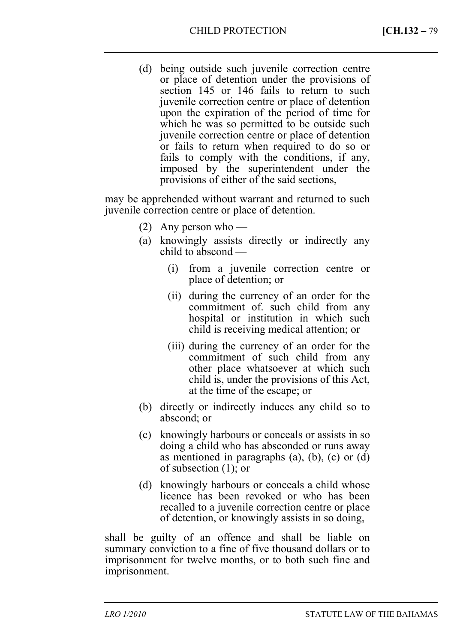(d) being outside such juvenile correction centre or place of detention under the provisions of section 145 or 146 fails to return to such juvenile correction centre or place of detention upon the expiration of the period of time for which he was so permitted to be outside such juvenile correction centre or place of detention or fails to return when required to do so or fails to comply with the conditions, if any, imposed by the superintendent under the provisions of either of the said sections,

may be apprehended without warrant and returned to such juvenile correction centre or place of detention.

- (2) Any person who —
- (a) knowingly assists directly or indirectly any child to abscond —
	- (i) from a juvenile correction centre or place of detention; or
	- (ii) during the currency of an order for the commitment of. such child from any hospital or institution in which such child is receiving medical attention; or
	- (iii) during the currency of an order for the commitment of such child from any other place whatsoever at which such child is, under the provisions of this Act, at the time of the escape; or
- (b) directly or indirectly induces any child so to abscond; or
- (c) knowingly harbours or conceals or assists in so doing a child who has absconded or runs away as mentioned in paragraphs  $(a)$ ,  $(b)$ ,  $(c)$  or  $(d)$ of subsection (1); or
- (d) knowingly harbours or conceals a child whose licence has been revoked or who has been recalled to a juvenile correction centre or place of detention, or knowingly assists in so doing,

shall be guilty of an offence and shall be liable on summary conviction to a fine of five thousand dollars or to imprisonment for twelve months, or to both such fine and imprisonment.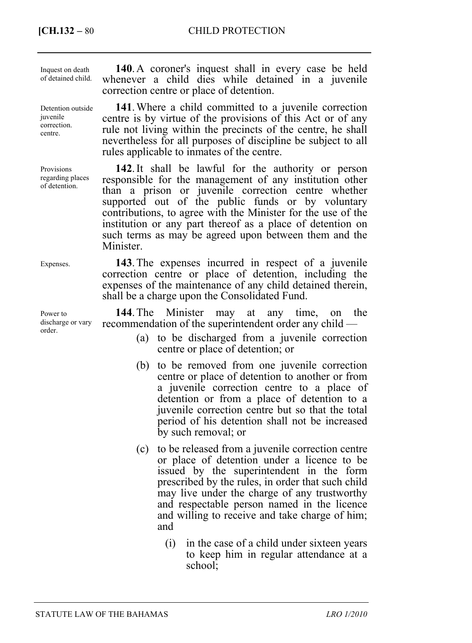**[CH.132 –** 80 CHILD PROTECTION

Inquest on death of detained child.

Detention outside juvenile correction. centre.

Provisions regarding places of detention.

Expenses.

Power to discharge or vary order.

**140**. A coroner's inquest shall in every case be held whenever a child dies while detained in a juvenile correction centre or place of detention.

**141**. Where a child committed to a juvenile correction centre is by virtue of the provisions of this Act or of any rule not living within the precincts of the centre, he shall nevertheless for all purposes of discipline be subject to all rules applicable to inmates of the centre.

**142**. It shall be lawful for the authority or person responsible for the management of any institution other than a prison or juvenile correction centre whether supported out of the public funds or by voluntary contributions, to agree with the Minister for the use of the institution or any part thereof as a place of detention on such terms as may be agreed upon between them and the **Minister** 

**143**. The expenses incurred in respect of a juvenile correction centre or place of detention, including the expenses of the maintenance of any child detained therein, shall be a charge upon the Consolidated Fund.

**144**. The Minister may at any time, on the recommendation of the superintendent order any child —

- (a) to be discharged from a juvenile correction centre or place of detention; or
- (b) to be removed from one juvenile correction centre or place of detention to another or from a juvenile correction centre to a place of detention or from a place of detention to a juvenile correction centre but so that the total period of his detention shall not be increased by such removal; or
- (c) to be released from a juvenile correction centre or place of detention under a licence to be issued by the superintendent in the form prescribed by the rules, in order that such child may live under the charge of any trustworthy and respectable person named in the licence and willing to receive and take charge of him; and
	- (i) in the case of a child under sixteen years to keep him in regular attendance at a school;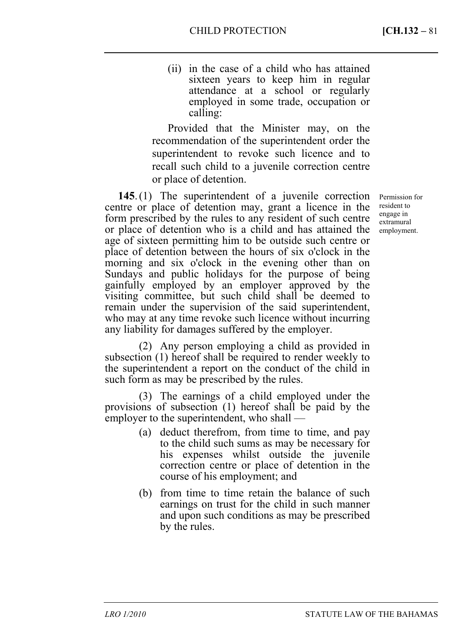(ii) in the case of a child who has attained sixteen years to keep him in regular attendance at a school or regularly employed in some trade, occupation or calling:

Provided that the Minister may, on the recommendation of the superintendent order the superintendent to revoke such licence and to recall such child to a juvenile correction centre or place of detention.

**145**. (1) The superintendent of a juvenile correction centre or place of detention may, grant a licence in the form prescribed by the rules to any resident of such centre or place of detention who is a child and has attained the age of sixteen permitting him to be outside such centre or place of detention between the hours of six o'clock in the morning and six o'clock in the evening other than on Sundays and public holidays for the purpose of being gainfully employed by an employer approved by the visiting committee, but such child shall be deemed to remain under the supervision of the said superintendent, who may at any time revoke such licence without incurring any liability for damages suffered by the employer.

(2) Any person employing a child as provided in subsection (1) hereof shall be required to render weekly to the superintendent a report on the conduct of the child in such form as may be prescribed by the rules.

(3) The earnings of a child employed under the provisions of subsection (1) hereof shall be paid by the employer to the superintendent, who shall —

- (a) deduct therefrom, from time to time, and pay to the child such sums as may be necessary for his expenses whilst outside the juvenile correction centre or place of detention in the course of his employment; and
- (b) from time to time retain the balance of such earnings on trust for the child in such manner and upon such conditions as may be prescribed by the rules.

Permission for resident to engage in extramural employment.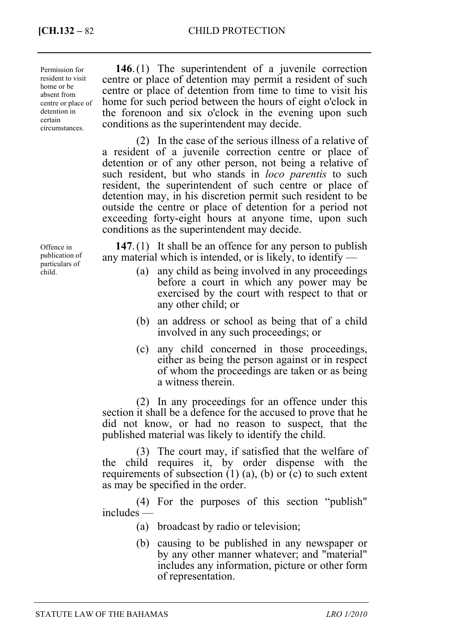**[CH.132 –** 82 CHILD PROTECTION

Permission for resident to visit home or be absent from centre or place of detention in certain circumstances.

Offence in publication of particulars of child.

**146**. (1) The superintendent of a juvenile correction centre or place of detention may permit a resident of such centre or place of detention from time to time to visit his home for such period between the hours of eight o'clock in the forenoon and six o'clock in the evening upon such conditions as the superintendent may decide.

(2) In the case of the serious illness of a relative of a resident of a juvenile correction centre or place of detention or of any other person, not being a relative of such resident, but who stands in *loco parentis* to such resident, the superintendent of such centre or place of detention may, in his discretion permit such resident to be outside the centre or place of detention for a period not exceeding forty-eight hours at anyone time, upon such conditions as the superintendent may decide.

**147**. (1) It shall be an offence for any person to publish any material which is intended, or is likely, to identify —

- (a) any child as being involved in any proceedings before a court in which any power may be exercised by the court with respect to that or any other child; or
- (b) an address or school as being that of a child involved in any such proceedings; or
- (c) any child concerned in those proceedings, either as being the person against or in respect of whom the proceedings are taken or as being a witness therein.

(2) In any proceedings for an offence under this section it shall be a defence for the accused to prove that he did not know, or had no reason to suspect, that the published material was likely to identify the child.

(3) The court may, if satisfied that the welfare of the child requires it, by order dispense with the requirements of subsection  $(1)$   $(a)$ ,  $(b)$  or  $(c)$  to such extent as may be specified in the order.

(4) For the purposes of this section "publish" includes —

(a) broadcast by radio or television;

(b) causing to be published in any newspaper or by any other manner whatever; and "material" includes any information, picture or other form of representation.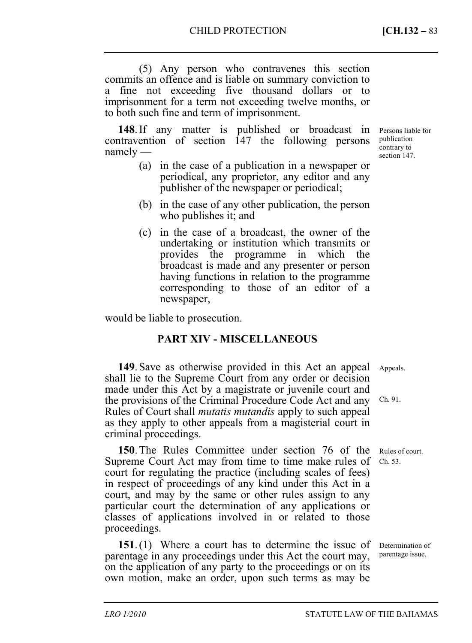(5) Any person who contravenes this section commits an offence and is liable on summary conviction to a fine not exceeding five thousand dollars or to imprisonment for a term not exceeding twelve months, or to both such fine and term of imprisonment.

**148**. If any matter is published or broadcast in contravention of section 147 the following persons namely —

- (a) in the case of a publication in a newspaper or periodical, any proprietor, any editor and any publisher of the newspaper or periodical;
- (b) in the case of any other publication, the person who publishes it; and
- (c) in the case of a broadcast, the owner of the undertaking or institution which transmits or provides the programme in which the broadcast is made and any presenter or person having functions in relation to the programme corresponding to those of an editor of a newspaper,

would be liable to prosecution.

# **PART XIV - MISCELLANEOUS**

**149**. Save as otherwise provided in this Act an appeal shall lie to the Supreme Court from any order or decision made under this Act by a magistrate or juvenile court and the provisions of the Criminal Procedure Code Act and any Rules of Court shall *mutatis mutandis* apply to such appeal as they apply to other appeals from a magisterial court in criminal proceedings. Appeals. Ch. 91.

**150**. The Rules Committee under section 76 of the Supreme Court Act may from time to time make rules of court for regulating the practice (including scales of fees) in respect of proceedings of any kind under this Act in a court, and may by the same or other rules assign to any particular court the determination of any applications or classes of applications involved in or related to those proceedings.

**151**. (1) Where a court has to determine the issue of parentage in any proceedings under this Act the court may, on the application of any party to the proceedings or on its own motion, make an order, upon such terms as may be

contrary to section 147.

Persons liable for publication

Rules of court. Ch. 53.

Determination of parentage issue.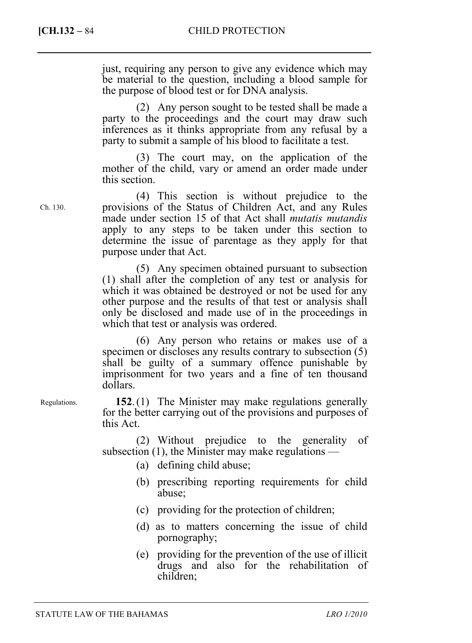**[CH.132 – 84** CHILD PROTECTION

just, requiring any person to give any evidence which may be material to the question, including a blood sample for the purpose of blood test or for DNA analysis.

(2) Any person sought to be tested shall be made a party to the proceedings and the court may draw such inferences as it thinks appropriate from any refusal by a party to submit a sample of his blood to facilitate a test.

(3) The court may, on the application of the mother of the child, vary or amend an order made under this section.

(4) This section is without prejudice to the provisions of the Status of Children Act, and any Rules made under section 15 of that Act shall *mutatis mutandis* apply to any steps to be taken under this section to determine the issue of parentage as they apply for that purpose under that Act.

(5) Any specimen obtained pursuant to subsection (1) shall after the completion of any test or analysis for which it was obtained be destroyed or not be used for any other purpose and the results of that test or analysis shall only be disclosed and made use of in the proceedings in which that test or analysis was ordered.

(6) Any person who retains or makes use of a specimen or discloses any results contrary to subsection (5) shall be guilty of a summary offence punishable by imprisonment for two years and a fine of ten thousand dollars.

**152**. (1) The Minister may make regulations generally for the better carrying out of the provisions and purposes of this Act.

(2) Without prejudice to the generality of subsection (1), the Minister may make regulations —

- (a) defining child abuse;
- (b) prescribing reporting requirements for child abuse;
- (c) providing for the protection of children;
- (d) as to matters concerning the issue of child pornography;
- (e) providing for the prevention of the use of illicit drugs and also for the rehabilitation of children;

Ch. 130.

Regulations.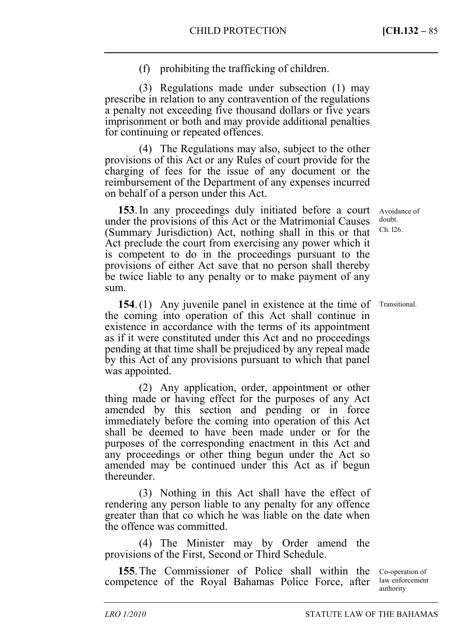(f) prohibiting the trafficking of children.

(3) Regulations made under subsection (1) may prescribe in relation to any contravention of the regulations a penalty not exceeding five thousand dollars or five years imprisonment or both and may provide additional penalties for continuing or repeated offences.

(4) The Regulations may also, subject to the other provisions of this Act or any Rules of court provide for the charging of fees for the issue of any document or the reimbursement of the Department of any expenses incurred on behalf of a person under this Act.

**153**. In any proceedings duly initiated before a court under the provisions of this Act or the Matrimonial Causes (Summary Jurisdiction) Act, nothing shall in this or that Act preclude the court from exercising any power which it is competent to do in the proceedings pursuant to the provisions of either Act save that no person shall thereby be twice liable to any penalty or to make payment of any sum.

**154**. (1) Any juvenile panel in existence at the time of the coming into operation of this Act shall continue in existence in accordance with the terms of its appointment as if it were constituted under this Act and no proceedings pending at that time shall be prejudiced by any repeal made by this Act of any provisions pursuant to which that panel was appointed.

(2) Any application, order, appointment or other thing made or having effect for the purposes of any Act amended by this section and pending or in force immediately before the coming into operation of this Act shall be deemed to have been made under or for the purposes of the corresponding enactment in this Act and any proceedings or other thing begun under the Act so amended may be continued under this Act as if begun thereunder.

(3) Nothing in this Act shall have the effect of rendering any person liable to any penalty for any offence greater than that co which he was liable on the date when the offence was committed.

(4) The Minister may by Order amend the provisions of the First, Second or Third Schedule.

**155**. The Commissioner of Police shall within the competence of the Royal Bahamas Police Force, after

Co-operation of law enforcement authority

Avoidance of doubt. Ch. l26.

Transitional.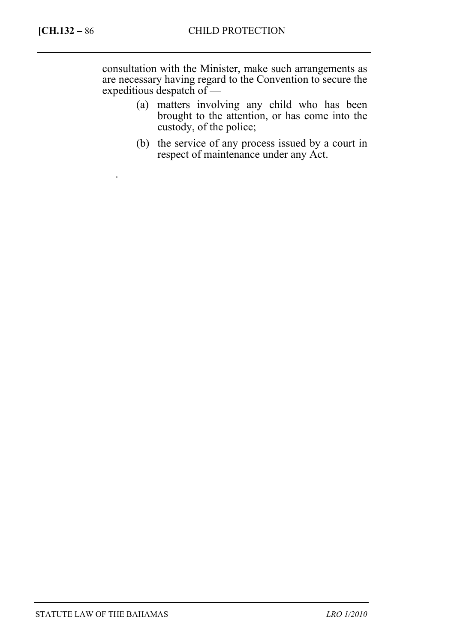.

consultation with the Minister, make such arrangements as are necessary having regard to the Convention to secure the expeditious despatch of —

- (a) matters involving any child who has been brought to the attention, or has come into the custody, of the police;
- (b) the service of any process issued by a court in respect of maintenance under any Act.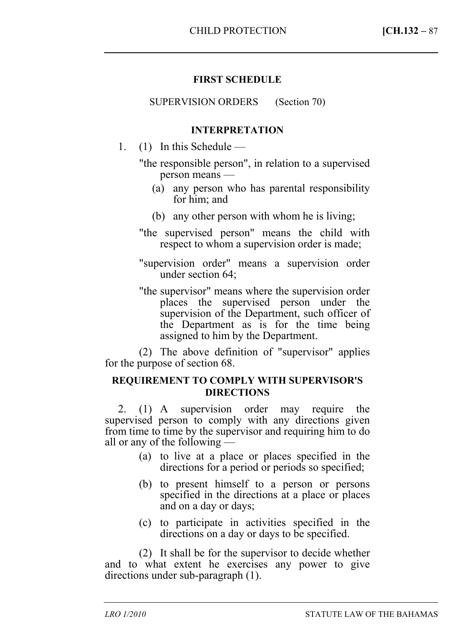# **FIRST SCHEDULE**

SUPERVISION ORDERS (Section 70)

### **INTERPRETATION**

- 1. (1) In this Schedule
	- "the responsible person", in relation to a supervised person means —
		- (a) any person who has parental responsibility for him; and
		- (b) any other person with whom he is living;
	- "the supervised person" means the child with respect to whom a supervision order is made;
	- "supervision order" means a supervision order under section 64;
	- "the supervisor" means where the supervision order places the supervised person under the supervision of the Department, such officer of the Department as is for the time being assigned to him by the Department.

(2) The above definition of "supervisor" applies for the purpose of section 68.

### **REQUIREMENT TO COMPLY WITH SUPERVISOR'S DIRECTIONS**

2. (1) A supervision order may require the supervised person to comply with any directions given from time to time by the supervisor and requiring him to do all or any of the following —

- (a) to live at a place or places specified in the directions for a period or periods so specified;
- (b) to present himself to a person or persons specified in the directions at a place or places and on a day or days;
- (c) to participate in activities specified in the directions on a day or days to be specified.

(2) It shall be for the supervisor to decide whether and to what extent he exercises any power to give directions under sub-paragraph (1).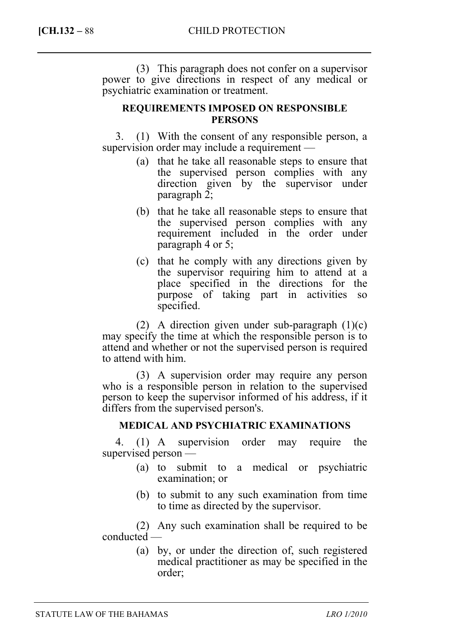(3) This paragraph does not confer on a supervisor power to give directions in respect of any medical or psychiatric examination or treatment.

## **REQUIREMENTS IMPOSED ON RESPONSIBLE PERSONS**

3. (1) With the consent of any responsible person, a supervision order may include a requirement —

- (a) that he take all reasonable steps to ensure that the supervised person complies with any direction given by the supervisor under paragraph 2;
- (b) that he take all reasonable steps to ensure that the supervised person complies with any requirement included in the order under paragraph 4 or 5;
- (c) that he comply with any directions given by the supervisor requiring him to attend at a place specified in the directions for the purpose of taking part in activities so specified.

(2) A direction given under sub-paragraph  $(1)(c)$ may specify the time at which the responsible person is to attend and whether or not the supervised person is required to attend with him.

(3) A supervision order may require any person who is a responsible person in relation to the supervised person to keep the supervisor informed of his address, if it differs from the supervised person's.

# **MEDICAL AND PSYCHIATRIC EXAMINATIONS**

4. (1) A supervision order may require the supervised person —

- (a) to submit to a medical or psychiatric examination; or
- (b) to submit to any such examination from time to time as directed by the supervisor.

(2) Any such examination shall be required to be conducted —

> (a) by, or under the direction of, such registered medical practitioner as may be specified in the order;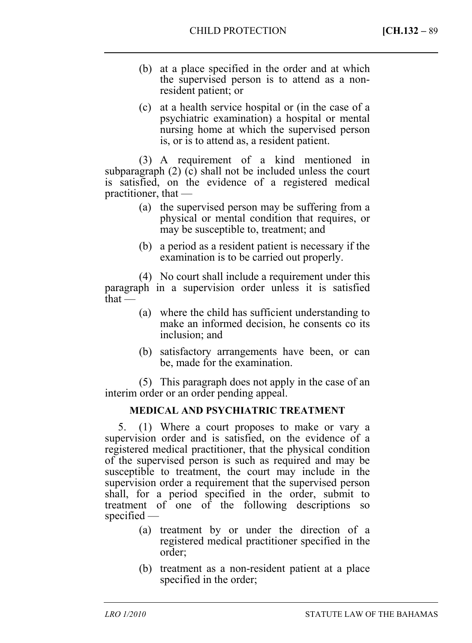- (b) at a place specified in the order and at which the supervised person is to attend as a nonresident patient; or
- (c) at a health service hospital or (in the case of a psychiatric examination) a hospital or mental nursing home at which the supervised person is, or is to attend as, a resident patient.

(3) A requirement of a kind mentioned in subparagraph (2) (c) shall not be included unless the court is satisfied, on the evidence of a registered medical practitioner, that —

- (a) the supervised person may be suffering from a physical or mental condition that requires, or may be susceptible to, treatment; and
- (b) a period as a resident patient is necessary if the examination is to be carried out properly.

(4) No court shall include a requirement under this paragraph in a supervision order unless it is satisfied that —

- (a) where the child has sufficient understanding to make an informed decision, he consents co its inclusion; and
- (b) satisfactory arrangements have been, or can be, made for the examination.

(5) This paragraph does not apply in the case of an interim order or an order pending appeal.

# **MEDICAL AND PSYCHIATRIC TREATMENT**

5. (1) Where a court proposes to make or vary a supervision order and is satisfied, on the evidence of a registered medical practitioner, that the physical condition of the supervised person is such as required and may be susceptible to treatment, the court may include in the supervision order a requirement that the supervised person shall, for a period specified in the order, submit to treatment of one of the following descriptions so specified —

- (a) treatment by or under the direction of a registered medical practitioner specified in the order;
- (b) treatment as a non-resident patient at a place specified in the order;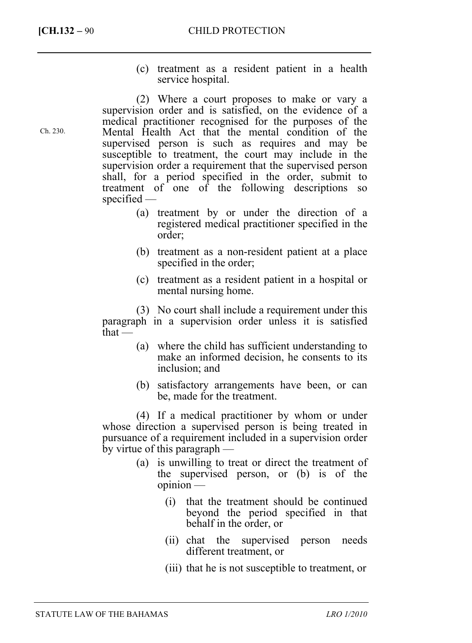(c) treatment as a resident patient in a health service hospital.

(2) Where a court proposes to make or vary a supervision order and is satisfied, on the evidence of a medical practitioner recognised for the purposes of the Mental Health Act that the mental condition of the supervised person is such as requires and may be susceptible to treatment, the court may include in the supervision order a requirement that the supervised person shall, for a period specified in the order, submit to treatment of one of the following descriptions so specified —

- (a) treatment by or under the direction of a registered medical practitioner specified in the order;
- (b) treatment as a non-resident patient at a place specified in the order;
- (c) treatment as a resident patient in a hospital or mental nursing home.

(3) No court shall include a requirement under this paragraph in a supervision order unless it is satisfied that —

- (a) where the child has sufficient understanding to make an informed decision, he consents to its inclusion; and
- (b) satisfactory arrangements have been, or can be, made for the treatment.

(4) If a medical practitioner by whom or under whose direction a supervised person is being treated in pursuance of a requirement included in a supervision order by virtue of this paragraph —

- (a) is unwilling to treat or direct the treatment of the supervised person, or (b) is of the opinion —
	- (i) that the treatment should be continued beyond the period specified in that behalf in the order, or
	- (ii) chat the supervised person needs different treatment, or
	- (iii) that he is not susceptible to treatment, or

Ch. 230.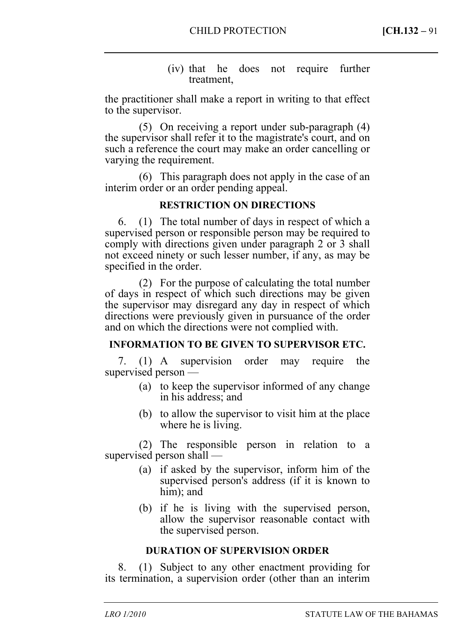#### (iv) that he does not require further treatment,

the practitioner shall make a report in writing to that effect to the supervisor.

(5) On receiving a report under sub-paragraph (4) the supervisor shall refer it to the magistrate's court, and on such a reference the court may make an order cancelling or varying the requirement.

(6) This paragraph does not apply in the case of an interim order or an order pending appeal.

### **RESTRICTION ON DIRECTIONS**

6. (1) The total number of days in respect of which a supervised person or responsible person may be required to comply with directions given under paragraph 2 or 3 shall not exceed ninety or such lesser number, if any, as may be specified in the order.

(2) For the purpose of calculating the total number of days in respect of which such directions may be given the supervisor may disregard any day in respect of which directions were previously given in pursuance of the order and on which the directions were not complied with.

### **INFORMATION TO BE GIVEN TO SUPERVISOR ETC.**

7. (1) A supervision order may require the supervised person —

- (a) to keep the supervisor informed of any change in his address; and
- (b) to allow the supervisor to visit him at the place where he is living.

(2) The responsible person in relation to a supervised person shall —

- (a) if asked by the supervisor, inform him of the supervised person's address (if it is known to him); and
- (b) if he is living with the supervised person, allow the supervisor reasonable contact with the supervised person.

### **DURATION OF SUPERVISION ORDER**

8. (1) Subject to any other enactment providing for its termination, a supervision order (other than an interim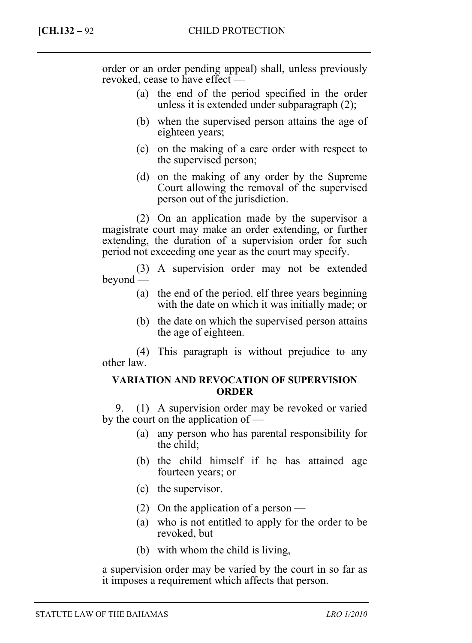order or an order pending appeal) shall, unless previously revoked, cease to have effect —

- (a) the end of the period specified in the order unless it is extended under subparagraph (2);
- (b) when the supervised person attains the age of eighteen years;
- (c) on the making of a care order with respect to the supervised person;
- (d) on the making of any order by the Supreme Court allowing the removal of the supervised person out of the jurisdiction.

(2) On an application made by the supervisor a magistrate court may make an order extending, or further extending, the duration of a supervision order for such period not exceeding one year as the court may specify.

(3) A supervision order may not be extended beyond —

- (a) the end of the period. elf three years beginning with the date on which it was initially made; or
- (b) the date on which the supervised person attains the age of eighteen.

(4) This paragraph is without prejudice to any other law.

### **VARIATION AND REVOCATION OF SUPERVISION ORDER**

9. (1) A supervision order may be revoked or varied by the court on the application of —

- (a) any person who has parental responsibility for the child;
- (b) the child himself if he has attained age fourteen years; or
- (c) the supervisor.
- (2) On the application of a person —
- (a) who is not entitled to apply for the order to be revoked, but
- (b) with whom the child is living,

a supervision order may be varied by the court in so far as it imposes a requirement which affects that person.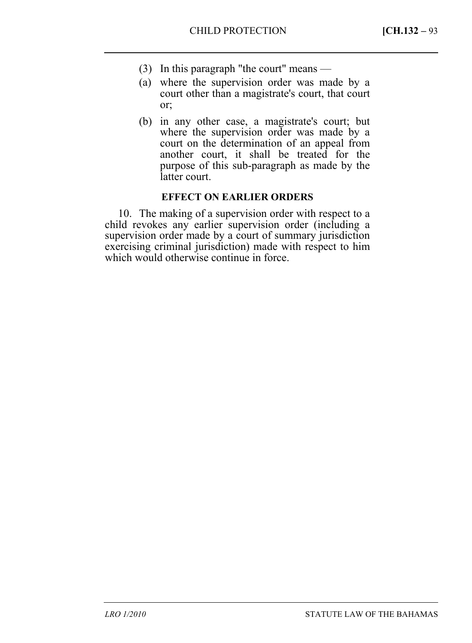- (3) In this paragraph "the court" means —
- (a) where the supervision order was made by a court other than a magistrate's court, that court or;
- (b) in any other case, a magistrate's court; but where the supervision order was made by a court on the determination of an appeal from another court, it shall be treated for the purpose of this sub-paragraph as made by the latter court.

### **EFFECT ON EARLIER ORDERS**

10. The making of a supervision order with respect to a child revokes any earlier supervision order (including a supervision order made by a court of summary jurisdiction exercising criminal jurisdiction) made with respect to him which would otherwise continue in force.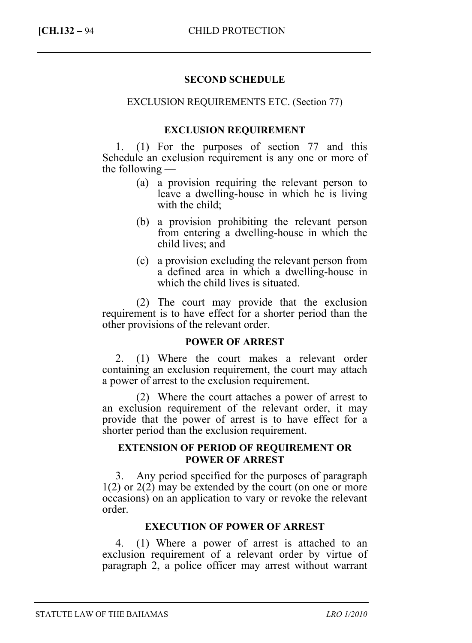#### **SECOND SCHEDULE**

#### EXCLUSION REQUIREMENTS ETC. (Section 77)

#### **EXCLUSION REQUIREMENT**

1. (1) For the purposes of section 77 and this Schedule an exclusion requirement is any one or more of the following —

- (a) a provision requiring the relevant person to leave a dwelling-house in which he is living with the child;
- (b) a provision prohibiting the relevant person from entering a dwelling-house in which the child lives; and
- (c) a provision excluding the relevant person from a defined area in which a dwelling-house in which the child lives is situated.

(2) The court may provide that the exclusion requirement is to have effect for a shorter period than the other provisions of the relevant order.

#### **POWER OF ARREST**

2. (1) Where the court makes a relevant order containing an exclusion requirement, the court may attach a power of arrest to the exclusion requirement.

(2) Where the court attaches a power of arrest to an exclusion requirement of the relevant order, it may provide that the power of arrest is to have effect for a shorter period than the exclusion requirement.

#### **EXTENSION OF PERIOD OF REQUIREMENT OR POWER OF ARREST**

3. Any period specified for the purposes of paragraph 1(2) or 2(2) may be extended by the court (on one or more occasions) on an application to vary or revoke the relevant order.

### **EXECUTION OF POWER OF ARREST**

4. (1) Where a power of arrest is attached to an exclusion requirement of a relevant order by virtue of paragraph 2, a police officer may arrest without warrant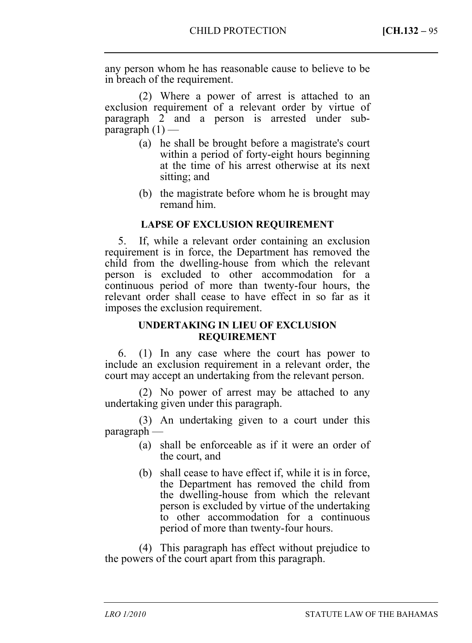any person whom he has reasonable cause to believe to be in breach of the requirement.

(2) Where a power of arrest is attached to an exclusion requirement of a relevant order by virtue of paragraph 2 and a person is arrested under subparagraph  $(1)$  —

- (a) he shall be brought before a magistrate's court within a period of forty-eight hours beginning at the time of his arrest otherwise at its next sitting; and
- (b) the magistrate before whom he is brought may remand him.

### **LAPSE OF EXCLUSION REQUIREMENT**

5. If, while a relevant order containing an exclusion requirement is in force, the Department has removed the child from the dwelling-house from which the relevant person is excluded to other accommodation for a continuous period of more than twenty-four hours, the relevant order shall cease to have effect in so far as it imposes the exclusion requirement.

## **UNDERTAKING IN LIEU OF EXCLUSION REQUIREMENT**

6. (1) In any case where the court has power to include an exclusion requirement in a relevant order, the court may accept an undertaking from the relevant person.

(2) No power of arrest may be attached to any undertaking given under this paragraph.

(3) An undertaking given to a court under this paragraph —

- (a) shall be enforceable as if it were an order of the court, and
- (b) shall cease to have effect if, while it is in force, the Department has removed the child from the dwelling-house from which the relevant person is excluded by virtue of the undertaking to other accommodation for a continuous period of more than twenty-four hours.

(4) This paragraph has effect without prejudice to the powers of the court apart from this paragraph.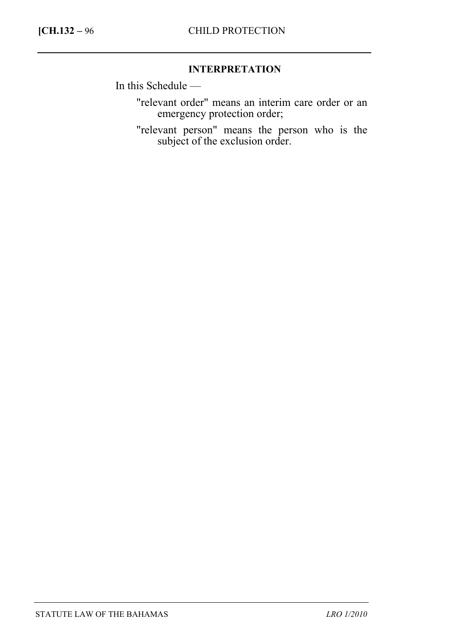## **INTERPRETATION**

In this Schedule —

"relevant order" means an interim care order or an emergency protection order;

"relevant person" means the person who is the subject of the exclusion order.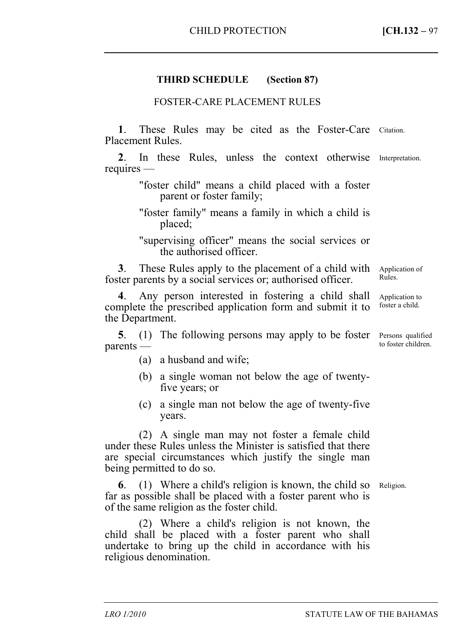## **THIRD SCHEDULE (Section 87)**

#### FOSTER-CARE PLACEMENT RULES

1. These Rules may be cited as the Foster-Care Citation. Placement Rules.

**2**. In these Rules, unless the context otherwise Interpretation. requires —

> "foster child" means a child placed with a foster parent or foster family;

> "foster family" means a family in which a child is placed;

> "supervising officer" means the social services or the authorised officer.

**3**. These Rules apply to the placement of a child with foster parents by a social services or; authorised officer. Application of Rules.

**4**. Any person interested in fostering a child shall complete the prescribed application form and submit it to the Department.

**5**. (1) The following persons may apply to be foster Persons qualified parents —

- (a) a husband and wife;
- (b) a single woman not below the age of twentyfive years; or
- (c) a single man not below the age of twenty-five years.

(2) A single man may not foster a female child under these Rules unless the Minister is satisfied that there are special circumstances which justify the single man being permitted to do so.

**6**. (1) Where a child's religion is known, the child so Religion. far as possible shall be placed with a foster parent who is of the same religion as the foster child.

(2) Where a child's religion is not known, the child shall be placed with a foster parent who shall undertake to bring up the child in accordance with his religious denomination.

Application to foster a child.

to foster children.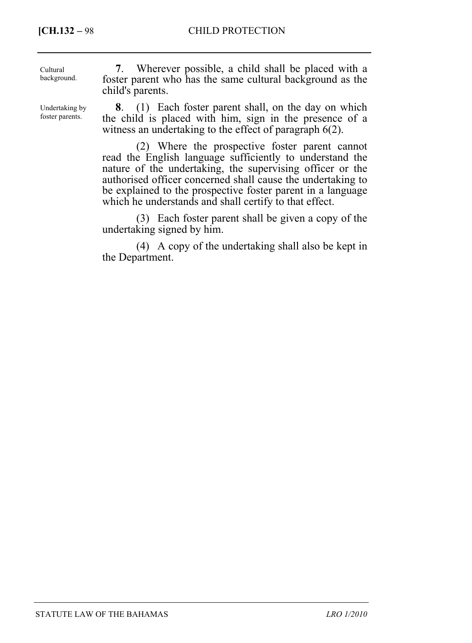foster parents.

| Cultural<br>background. | Wherever possible, a child shall be placed with a<br>foster parent who has the same cultural background as the<br>child's parents. |
|-------------------------|------------------------------------------------------------------------------------------------------------------------------------|
| Undertaking by          | (1) Each foster parent shall, on the day on which                                                                                  |

**8**. (1) Each foster parent shall, on the day on which the child is placed with him, sign in the presence of a witness an undertaking to the effect of paragraph 6(2).

(2) Where the prospective foster parent cannot read the English language sufficiently to understand the nature of the undertaking, the supervising officer or the authorised officer concerned shall cause the undertaking to be explained to the prospective foster parent in a language which he understands and shall certify to that effect.

(3) Each foster parent shall be given a copy of the undertaking signed by him.

(4) A copy of the undertaking shall also be kept in the Department.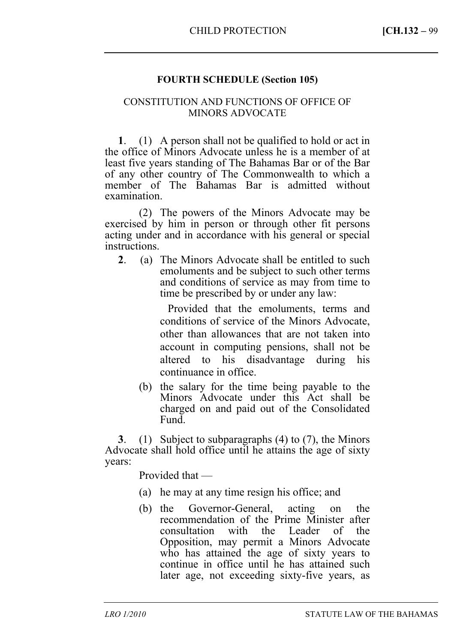### **FOURTH SCHEDULE (Section 105)**

#### CONSTITUTION AND FUNCTIONS OF OFFICE OF MINORS ADVOCATE

**1**. (1) A person shall not be qualified to hold or act in the office of Minors Advocate unless he is a member of at least five years standing of The Bahamas Bar or of the Bar of any other country of The Commonwealth to which a member of The Bahamas Bar is admitted without examination.

(2) The powers of the Minors Advocate may be exercised by him in person or through other fit persons acting under and in accordance with his general or special instructions.

**2**. (a) The Minors Advocate shall be entitled to such emoluments and be subject to such other terms and conditions of service as may from time to time be prescribed by or under any law:

> Provided that the emoluments, terms and conditions of service of the Minors Advocate, other than allowances that are not taken into account in computing pensions, shall not be altered to his disadvantage during his continuance in office.

(b) the salary for the time being payable to the Minors Advocate under this Act shall be charged on and paid out of the Consolidated Fund.

**3**. (1) Subject to subparagraphs (4) to (7), the Minors Advocate shall hold office until he attains the age of sixty years:

Provided that —

- (a) he may at any time resign his office; and
- (b) the Governor-General, acting on the recommendation of the Prime Minister after consultation with the Leader of the Opposition, may permit a Minors Advocate who has attained the age of sixty years to continue in office until he has attained such later age, not exceeding sixty-five years, as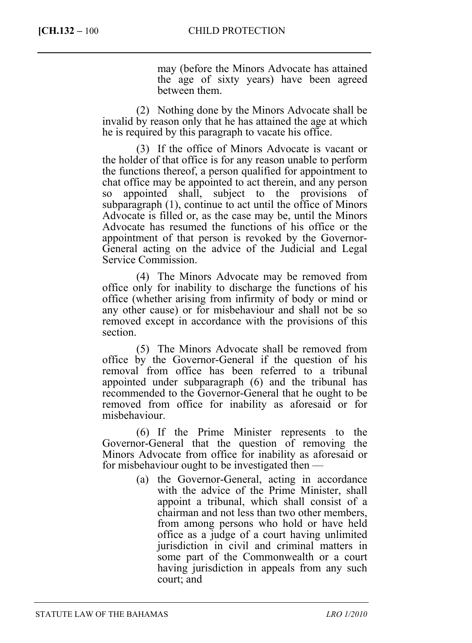may (before the Minors Advocate has attained the age of sixty years) have been agreed between them.

(2) Nothing done by the Minors Advocate shall be invalid by reason only that he has attained the age at which he is required by this paragraph to vacate his office.

(3) If the office of Minors Advocate is vacant or the holder of that office is for any reason unable to perform the functions thereof, a person qualified for appointment to chat office may be appointed to act therein, and any person so appointed shall, subject to the provisions of subparagraph (1), continue to act until the office of Minors Advocate is filled or, as the case may be, until the Minors Advocate has resumed the functions of his office or the appointment of that person is revoked by the Governor-General acting on the advice of the Judicial and Legal Service Commission.

(4) The Minors Advocate may be removed from office only for inability to discharge the functions of his office (whether arising from infirmity of body or mind or any other cause) or for misbehaviour and shall not be so removed except in accordance with the provisions of this section.

(5) The Minors Advocate shall be removed from office by the Governor-General if the question of his removal from office has been referred to a tribunal appointed under subparagraph (6) and the tribunal has recommended to the Governor-General that he ought to be removed from office for inability as aforesaid or for misbehaviour.

(6) If the Prime Minister represents to the Governor-General that the question of removing the Minors Advocate from office for inability as aforesaid or for misbehaviour ought to be investigated then —

> (a) the Governor-General, acting in accordance with the advice of the Prime Minister, shall appoint a tribunal, which shall consist of a chairman and not less than two other members, from among persons who hold or have held office as a judge of a court having unlimited jurisdiction in civil and criminal matters in some part of the Commonwealth or a court having jurisdiction in appeals from any such court; and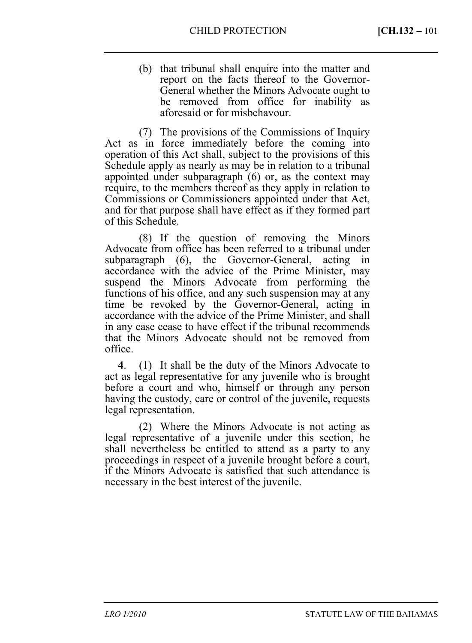(b) that tribunal shall enquire into the matter and report on the facts thereof to the Governor-General whether the Minors Advocate ought to be removed from office for inability as aforesaid or for misbehavour.

(7) The provisions of the Commissions of Inquiry Act as in force immediately before the coming into operation of this Act shall, subject to the provisions of this Schedule apply as nearly as may be in relation to a tribunal appointed under subparagraph (6) or, as the context may require, to the members thereof as they apply in relation to Commissions or Commissioners appointed under that Act, and for that purpose shall have effect as if they formed part of this Schedule.

(8) If the question of removing the Minors Advocate from office has been referred to a tribunal under subparagraph (6), the Governor-General, acting in accordance with the advice of the Prime Minister, may suspend the Minors Advocate from performing the functions of his office, and any such suspension may at any time be revoked by the Governor-General, acting in accordance with the advice of the Prime Minister, and shall in any case cease to have effect if the tribunal recommends that the Minors Advocate should not be removed from office.

**4**. (1) It shall be the duty of the Minors Advocate to act as legal representative for any juvenile who is brought before a court and who, himself or through any person having the custody, care or control of the juvenile, requests legal representation.

(2) Where the Minors Advocate is not acting as legal representative of a juvenile under this section, he shall nevertheless be entitled to attend as a party to any proceedings in respect of a juvenile brought before a court, if the Minors Advocate is satisfied that such attendance is necessary in the best interest of the juvenile.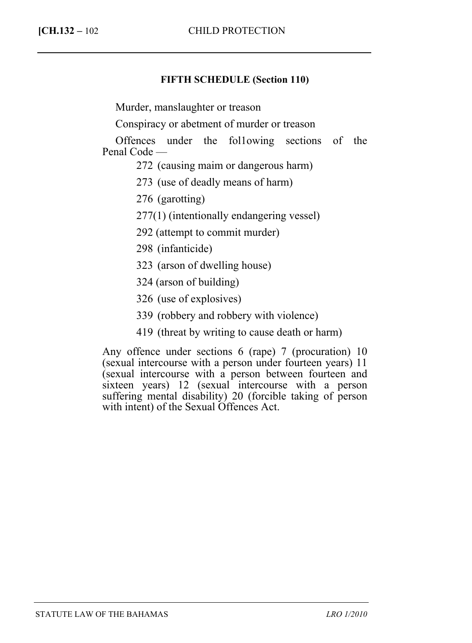## **FIFTH SCHEDULE (Section 110)**

Murder, manslaughter or treason

Conspiracy or abetment of murder or treason

Offences under the fol1owing sections of the Penal Code —

272 (causing maim or dangerous harm)

273 (use of deadly means of harm)

276 (garotting)

277(1) (intentionally endangering vessel)

292 (attempt to commit murder)

298 (infanticide)

323 (arson of dwelling house)

324 (arson of building)

326 (use of explosives)

339 (robbery and robbery with violence)

419 (threat by writing to cause death or harm)

Any offence under sections 6 (rape) 7 (procuration) 10 (sexual intercourse with a person under fourteen years) 11 (sexual intercourse with a person between fourteen and sixteen years) 12 (sexual intercourse with a person suffering mental disability) 20 (forcible taking of person with intent) of the Sexual Offences Act.